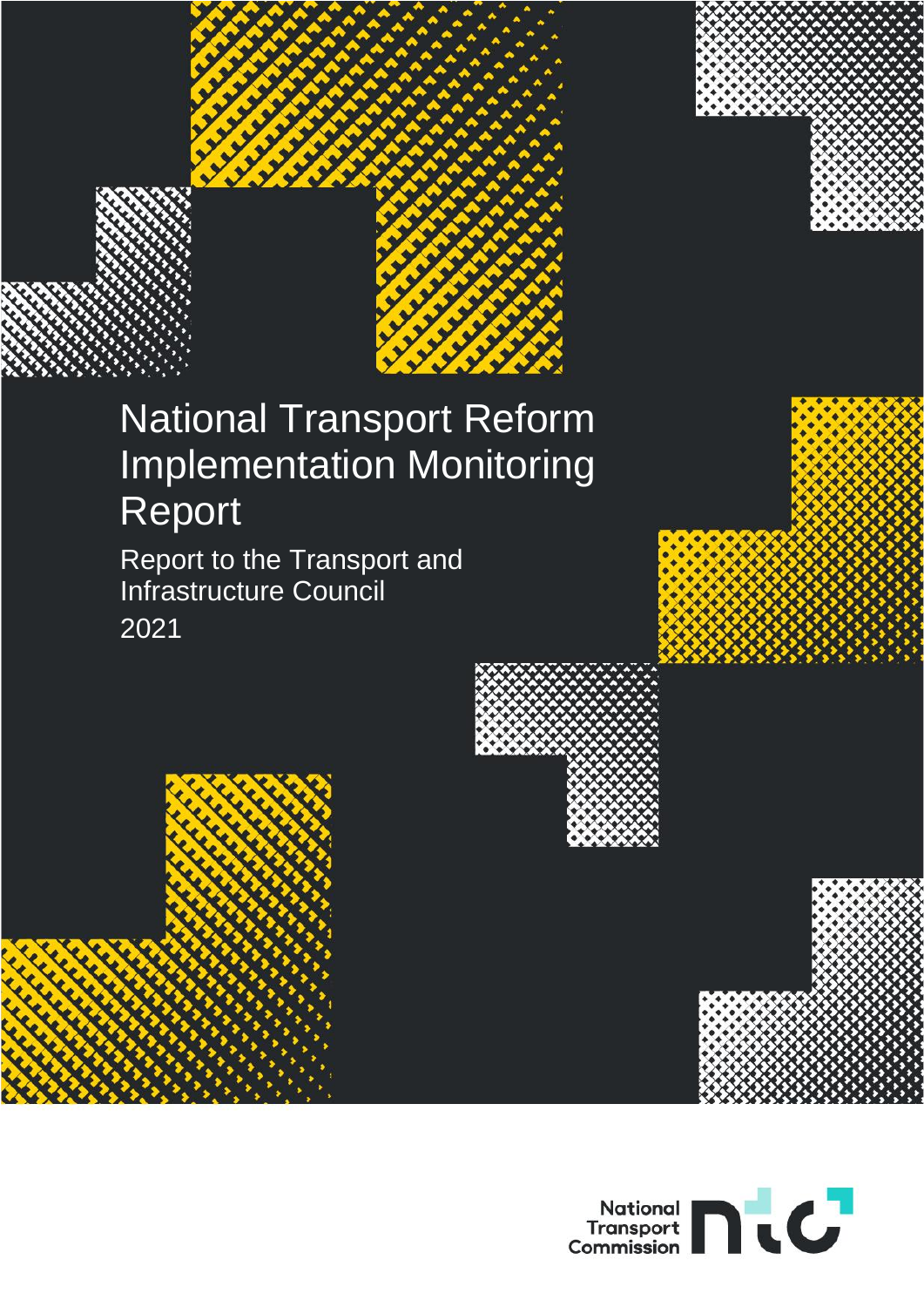

# National Transport Reform Implementation Monitoring Report

Report to the Transport and Infrastructure Council 2021







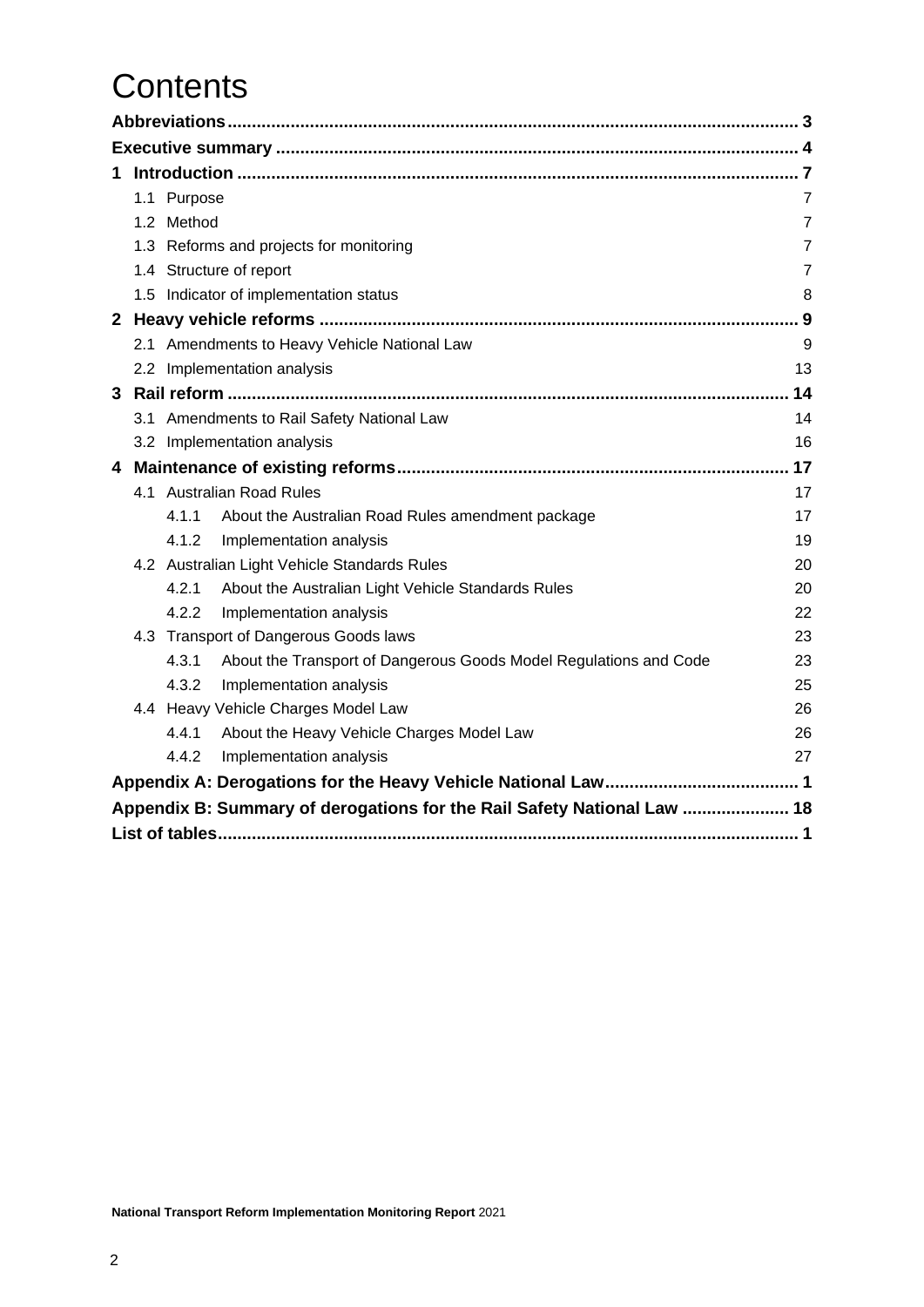# **Contents**

| 1. |  |             |                                                                         |                |  |  |  |
|----|--|-------------|-------------------------------------------------------------------------|----------------|--|--|--|
|    |  | 1.1 Purpose |                                                                         | $\overline{7}$ |  |  |  |
|    |  | 1.2 Method  |                                                                         | $\overline{7}$ |  |  |  |
|    |  |             | 1.3 Reforms and projects for monitoring                                 | $\overline{7}$ |  |  |  |
|    |  |             | 1.4 Structure of report                                                 | $\overline{7}$ |  |  |  |
|    |  |             | 1.5 Indicator of implementation status                                  | 8              |  |  |  |
|    |  |             |                                                                         | 9              |  |  |  |
|    |  |             | 2.1 Amendments to Heavy Vehicle National Law                            | 9              |  |  |  |
|    |  |             | 2.2 Implementation analysis                                             | 13             |  |  |  |
| 3  |  |             |                                                                         | 14             |  |  |  |
|    |  |             | 3.1 Amendments to Rail Safety National Law                              | 14             |  |  |  |
|    |  |             | 3.2 Implementation analysis                                             | 16             |  |  |  |
| 4  |  |             |                                                                         | 17             |  |  |  |
|    |  |             | 4.1 Australian Road Rules                                               | 17             |  |  |  |
|    |  | 4.1.1       | About the Australian Road Rules amendment package                       | 17             |  |  |  |
|    |  | 4.1.2       | Implementation analysis                                                 | 19             |  |  |  |
|    |  |             | 4.2 Australian Light Vehicle Standards Rules                            | 20             |  |  |  |
|    |  | 4.2.1       | About the Australian Light Vehicle Standards Rules                      | 20             |  |  |  |
|    |  | 4.2.2       | Implementation analysis                                                 | 22             |  |  |  |
|    |  |             | 4.3 Transport of Dangerous Goods laws                                   | 23             |  |  |  |
|    |  | 4.3.1       | About the Transport of Dangerous Goods Model Regulations and Code       | 23             |  |  |  |
|    |  | 4.3.2       | Implementation analysis                                                 | 25             |  |  |  |
|    |  |             | 4.4 Heavy Vehicle Charges Model Law                                     | 26             |  |  |  |
|    |  | 4.4.1       | About the Heavy Vehicle Charges Model Law                               | 26             |  |  |  |
|    |  | 4.4.2       | Implementation analysis                                                 | 27             |  |  |  |
|    |  |             |                                                                         |                |  |  |  |
|    |  |             | Appendix B: Summary of derogations for the Rail Safety National Law  18 |                |  |  |  |
|    |  |             |                                                                         |                |  |  |  |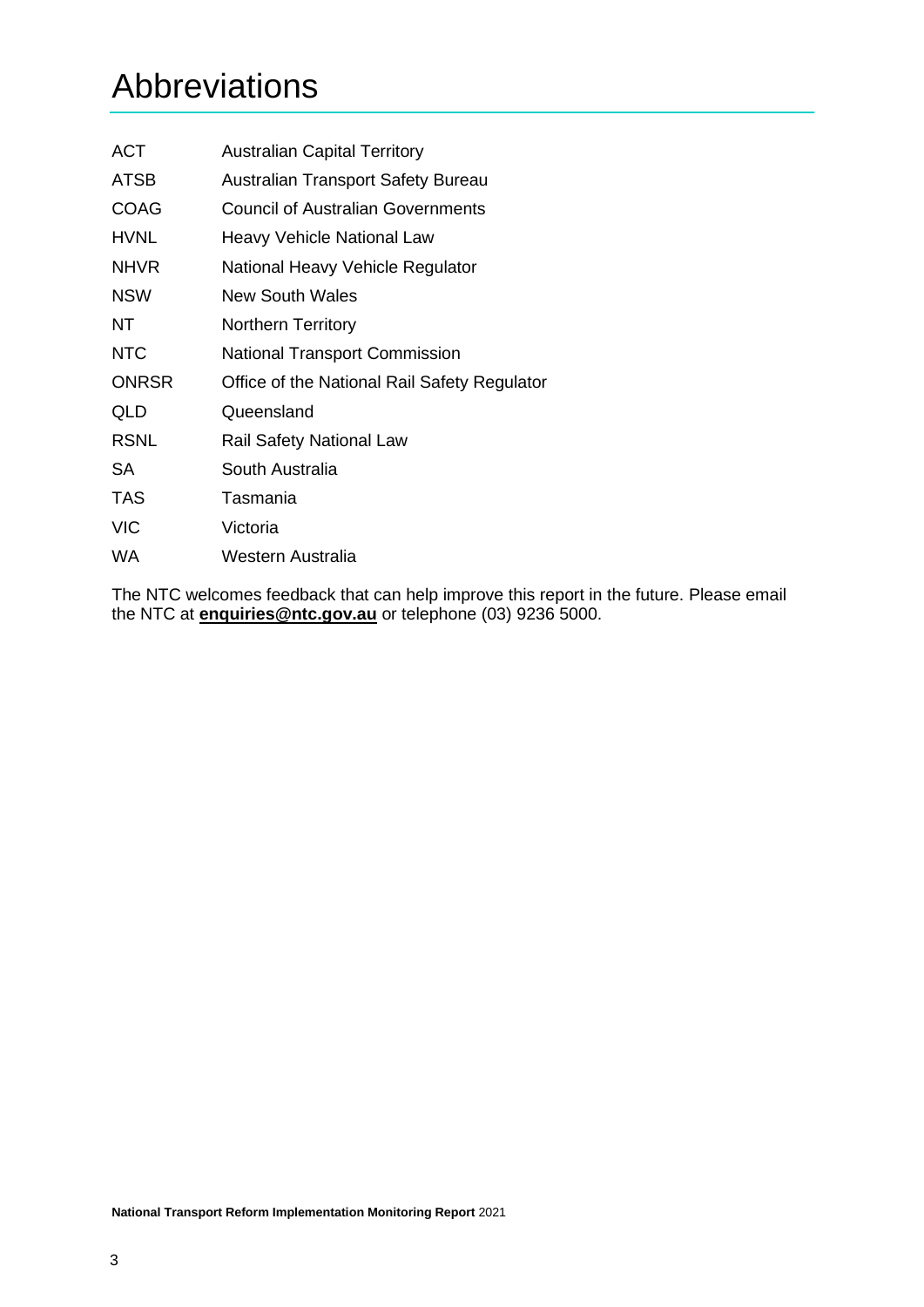# <span id="page-2-0"></span>Abbreviations

| <b>ACT</b>   | <b>Australian Capital Territory</b>          |
|--------------|----------------------------------------------|
| ATSB         | <b>Australian Transport Safety Bureau</b>    |
| <b>COAG</b>  | <b>Council of Australian Governments</b>     |
| <b>HVNL</b>  | <b>Heavy Vehicle National Law</b>            |
| <b>NHVR</b>  | National Heavy Vehicle Regulator             |
| <b>NSW</b>   | New South Wales                              |
| NT           | Northern Territory                           |
| <b>NTC</b>   | <b>National Transport Commission</b>         |
| <b>ONRSR</b> | Office of the National Rail Safety Regulator |
| QLD          | Queensland                                   |
| <b>RSNL</b>  | <b>Rail Safety National Law</b>              |
| SA           | South Australia                              |
| <b>TAS</b>   | Tasmania                                     |
| <b>VIC</b>   | Victoria                                     |
| WA           | Western Australia                            |

The NTC welcomes feedback that can help improve this report in the future. Please email the NTC at **[enquiries@ntc.gov.au](mailto:enquiries@ntc.gov.au)** or telephone (03) 9236 5000.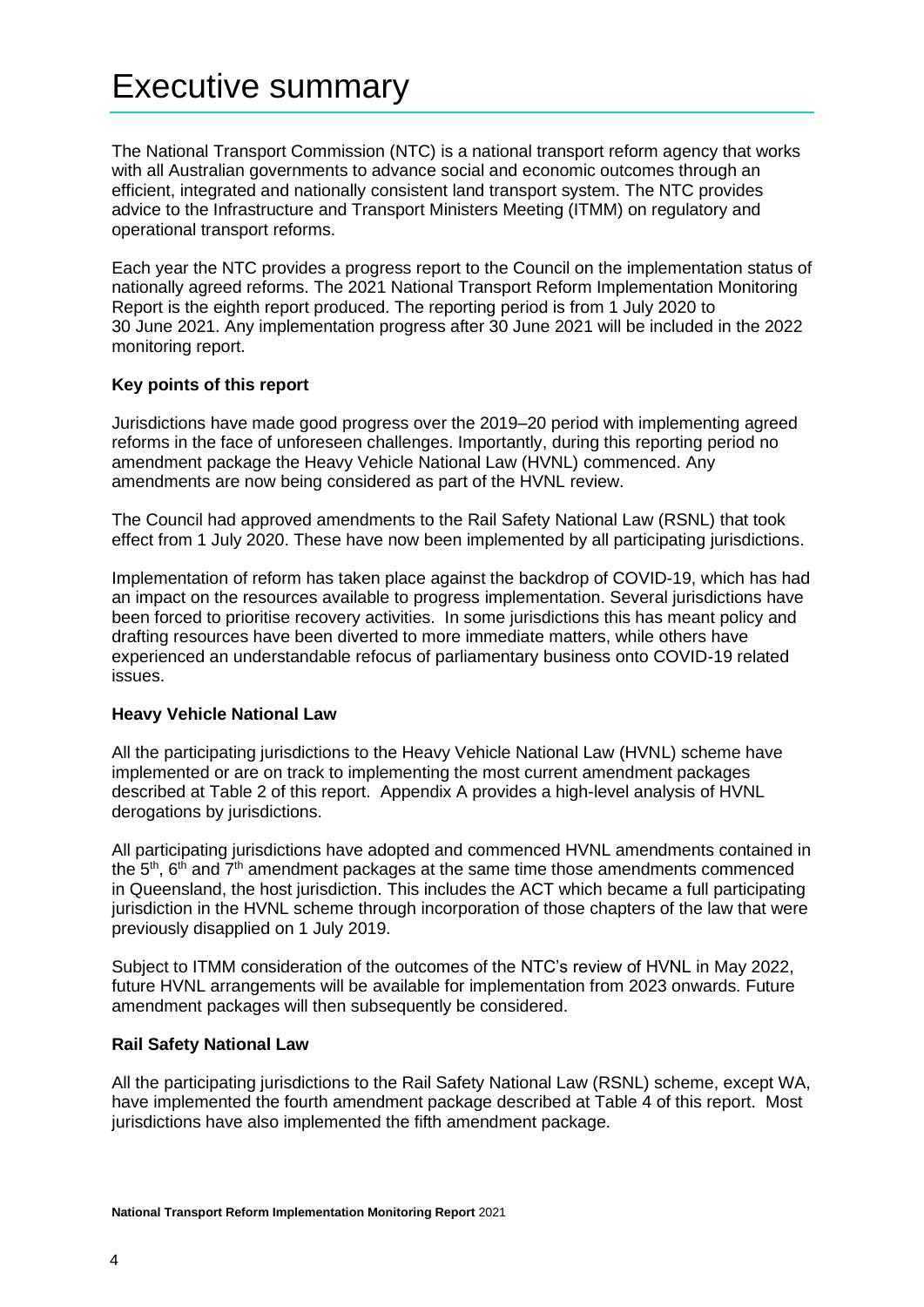# <span id="page-3-0"></span>Executive summary

The National Transport Commission (NTC) is a national transport reform agency that works with all Australian governments to advance social and economic outcomes through an efficient, integrated and nationally consistent land transport system. The NTC provides advice to the Infrastructure and Transport Ministers Meeting (ITMM) on regulatory and operational transport reforms.

Each year the NTC provides a progress report to the Council on the implementation status of nationally agreed reforms. The 2021 National Transport Reform Implementation Monitoring Report is the eighth report produced. The reporting period is from 1 July 2020 to 30 June 2021. Any implementation progress after 30 June 2021 will be included in the 2022 monitoring report.

## **Key points of this report**

Jurisdictions have made good progress over the 2019–20 period with implementing agreed reforms in the face of unforeseen challenges. Importantly, during this reporting period no amendment package the Heavy Vehicle National Law (HVNL) commenced. Any amendments are now being considered as part of the HVNL review.

The Council had approved amendments to the Rail Safety National Law (RSNL) that took effect from 1 July 2020. These have now been implemented by all participating jurisdictions.

Implementation of reform has taken place against the backdrop of COVID-19, which has had an impact on the resources available to progress implementation. Several jurisdictions have been forced to prioritise recovery activities. In some jurisdictions this has meant policy and drafting resources have been diverted to more immediate matters, while others have experienced an understandable refocus of parliamentary business onto COVID-19 related issues.

#### **Heavy Vehicle National Law**

All the participating jurisdictions to the Heavy Vehicle National Law (HVNL) scheme have implemented or are on track to implementing the most current amendment packages described at Table 2 of this report. Appendix A provides a high-level analysis of HVNL derogations by jurisdictions.

All participating jurisdictions have adopted and commenced HVNL amendments contained in the  $5<sup>th</sup>$ ,  $6<sup>th</sup>$  and  $7<sup>th</sup>$  amendment packages at the same time those amendments commenced in Queensland, the host jurisdiction. This includes the ACT which became a full participating jurisdiction in the HVNL scheme through incorporation of those chapters of the law that were previously disapplied on 1 July 2019.

Subject to ITMM consideration of the outcomes of the NTC's review of HVNL in May 2022, future HVNL arrangements will be available for implementation from 2023 onwards. Future amendment packages will then subsequently be considered.

#### **Rail Safety National Law**

All the participating jurisdictions to the Rail Safety National Law (RSNL) scheme, except WA, have implemented the fourth amendment package described at Table 4 of this report. Most jurisdictions have also implemented the fifth amendment package.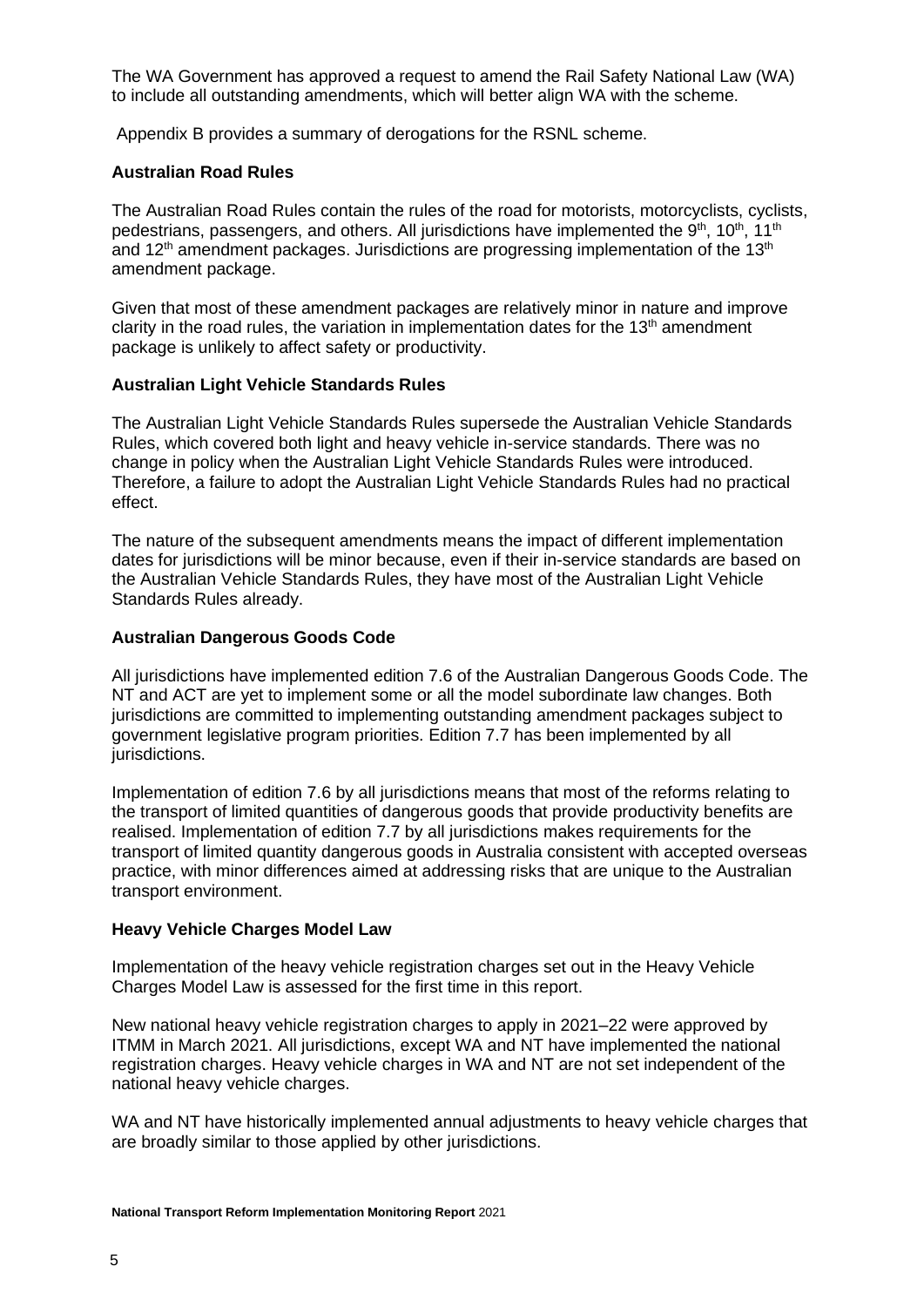The WA Government has approved a request to amend the Rail Safety National Law (WA) to include all outstanding amendments, which will better align WA with the scheme.

Appendix B provides a summary of derogations for the RSNL scheme.

### **Australian Road Rules**

The Australian Road Rules contain the rules of the road for motorists, motorcyclists, cyclists, pedestrians, passengers, and others. All jurisdictions have implemented the 9<sup>th</sup>, 10<sup>th</sup>, 11<sup>th</sup> and  $12<sup>th</sup>$  amendment packages. Jurisdictions are progressing implementation of the  $13<sup>th</sup>$ amendment package.

Given that most of these amendment packages are relatively minor in nature and improve clarity in the road rules, the variation in implementation dates for the  $13<sup>th</sup>$  amendment package is unlikely to affect safety or productivity.

### **Australian Light Vehicle Standards Rules**

The Australian Light Vehicle Standards Rules supersede the Australian Vehicle Standards Rules, which covered both light and heavy vehicle in-service standards. There was no change in policy when the Australian Light Vehicle Standards Rules were introduced. Therefore, a failure to adopt the Australian Light Vehicle Standards Rules had no practical effect.

The nature of the subsequent amendments means the impact of different implementation dates for jurisdictions will be minor because, even if their in-service standards are based on the Australian Vehicle Standards Rules, they have most of the Australian Light Vehicle Standards Rules already.

### **Australian Dangerous Goods Code**

All jurisdictions have implemented edition 7.6 of the Australian Dangerous Goods Code. The NT and ACT are yet to implement some or all the model subordinate law changes. Both jurisdictions are committed to implementing outstanding amendment packages subject to government legislative program priorities. Edition 7.7 has been implemented by all jurisdictions.

Implementation of edition 7.6 by all jurisdictions means that most of the reforms relating to the transport of limited quantities of dangerous goods that provide productivity benefits are realised. Implementation of edition 7.7 by all jurisdictions makes requirements for the transport of limited quantity dangerous goods in Australia consistent with accepted overseas practice, with minor differences aimed at addressing risks that are unique to the Australian transport environment.

#### **Heavy Vehicle Charges Model Law**

Implementation of the heavy vehicle registration charges set out in the Heavy Vehicle Charges Model Law is assessed for the first time in this report.

New national heavy vehicle registration charges to apply in 2021–22 were approved by ITMM in March 2021. All jurisdictions, except WA and NT have implemented the national registration charges. Heavy vehicle charges in WA and NT are not set independent of the national heavy vehicle charges.

WA and NT have historically implemented annual adjustments to heavy vehicle charges that are broadly similar to those applied by other jurisdictions.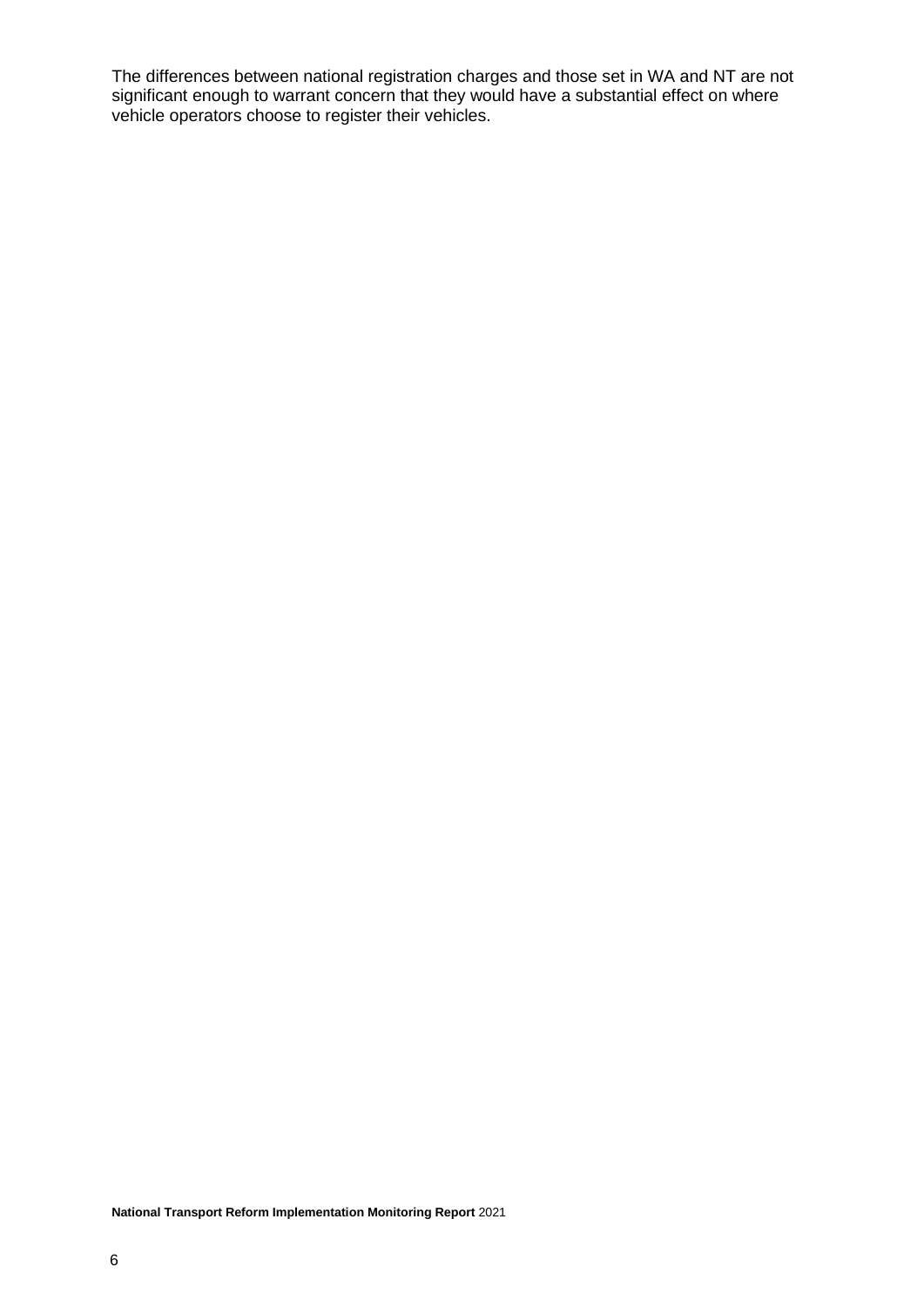The differences between national registration charges and those set in WA and NT are not significant enough to warrant concern that they would have a substantial effect on where vehicle operators choose to register their vehicles.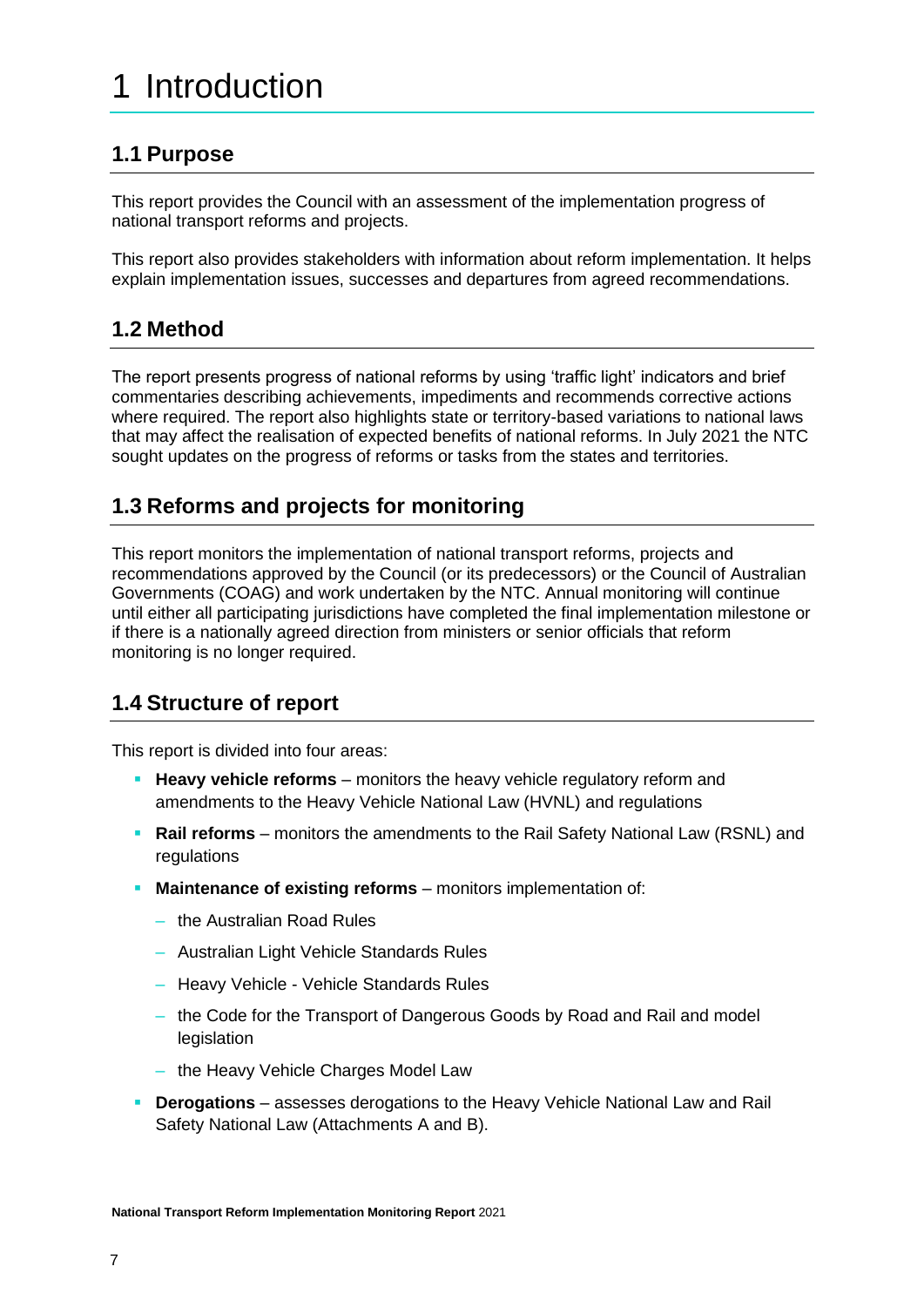# <span id="page-6-0"></span>1 Introduction

# <span id="page-6-1"></span>**1.1 Purpose**

This report provides the Council with an assessment of the implementation progress of national transport reforms and projects.

This report also provides stakeholders with information about reform implementation. It helps explain implementation issues, successes and departures from agreed recommendations.

# <span id="page-6-2"></span>**1.2 Method**

The report presents progress of national reforms by using 'traffic light' indicators and brief commentaries describing achievements, impediments and recommends corrective actions where required. The report also highlights state or territory-based variations to national laws that may affect the realisation of expected benefits of national reforms. In July 2021 the NTC sought updates on the progress of reforms or tasks from the states and territories.

# <span id="page-6-3"></span>**1.3 Reforms and projects for monitoring**

This report monitors the implementation of national transport reforms, projects and recommendations approved by the Council (or its predecessors) or the Council of Australian Governments (COAG) and work undertaken by the NTC. Annual monitoring will continue until either all participating jurisdictions have completed the final implementation milestone or if there is a nationally agreed direction from ministers or senior officials that reform monitoring is no longer required.

# <span id="page-6-4"></span>**1.4 Structure of report**

This report is divided into four areas:

- **Heavy vehicle reforms** monitors the heavy vehicle regulatory reform and amendments to the Heavy Vehicle National Law (HVNL) and regulations
- **Rail reforms** monitors the amendments to the Rail Safety National Law (RSNL) and regulations
- **Maintenance of existing reforms** monitors implementation of:
	- the Australian Road Rules
	- Australian Light Vehicle Standards Rules
	- Heavy Vehicle Vehicle Standards Rules
	- the Code for the Transport of Dangerous Goods by Road and Rail and model legislation
	- the Heavy Vehicle Charges Model Law
- **Derogations** assesses derogations to the Heavy Vehicle National Law and Rail Safety National Law (Attachments A and B).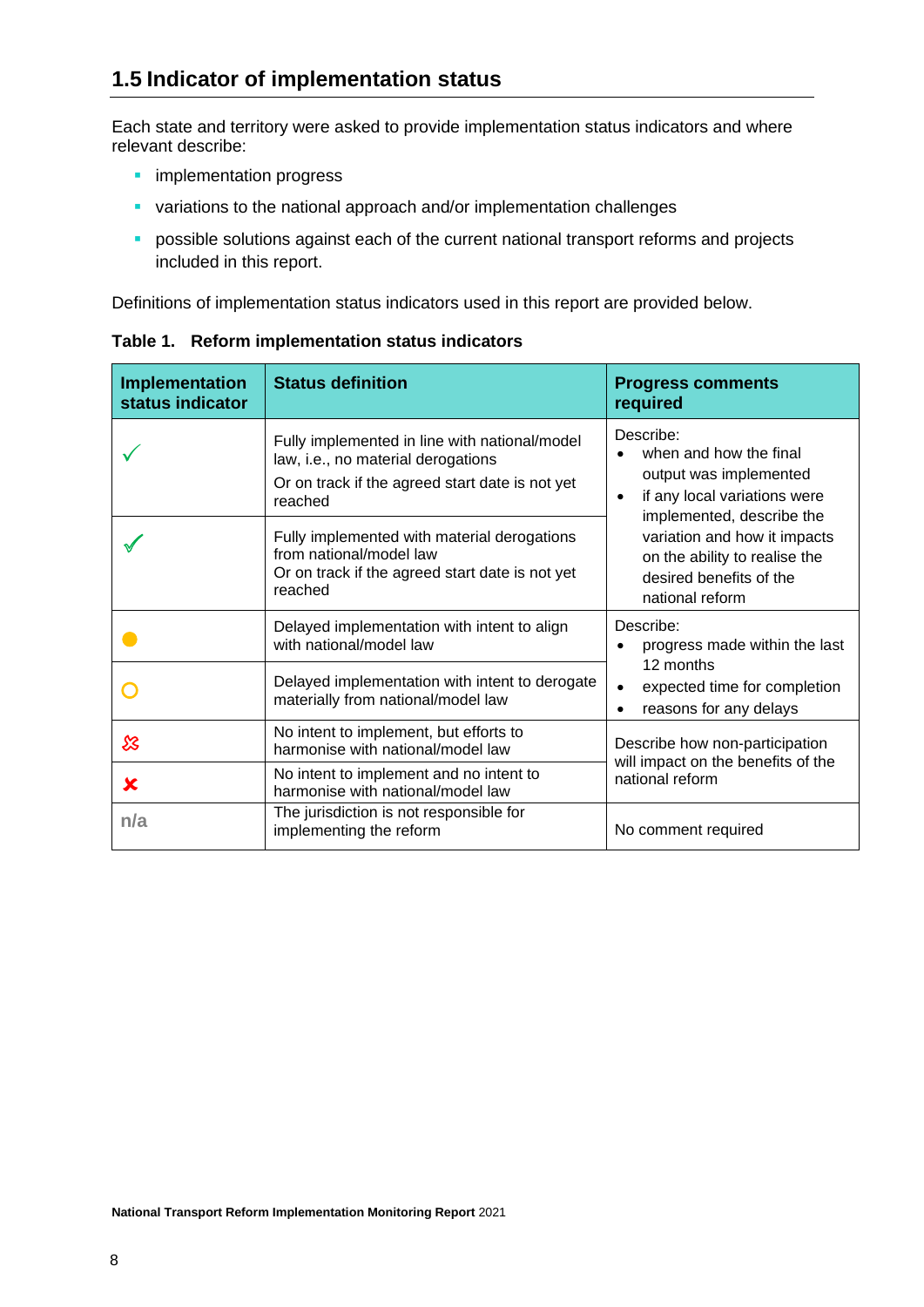<span id="page-7-0"></span>Each state and territory were asked to provide implementation status indicators and where relevant describe:

- **·** implementation progress
- **•** variations to the national approach and/or implementation challenges
- **•** possible solutions against each of the current national transport reforms and projects included in this report.

Definitions of implementation status indicators used in this report are provided below.

| <b>Implementation</b><br>status indicator | <b>Status definition</b>                                                                                                                          | <b>Progress comments</b><br>required                                                                                                    |  |
|-------------------------------------------|---------------------------------------------------------------------------------------------------------------------------------------------------|-----------------------------------------------------------------------------------------------------------------------------------------|--|
|                                           | Fully implemented in line with national/model<br>law, i.e., no material derogations<br>Or on track if the agreed start date is not yet<br>reached | Describe:<br>when and how the final<br>output was implemented<br>if any local variations were<br>$\bullet$<br>implemented, describe the |  |
|                                           | Fully implemented with material derogations<br>from national/model law<br>Or on track if the agreed start date is not yet<br>reached              | variation and how it impacts<br>on the ability to realise the<br>desired benefits of the<br>national reform                             |  |
|                                           | Delayed implementation with intent to align<br>with national/model law                                                                            | Describe:<br>progress made within the last                                                                                              |  |
|                                           | Delayed implementation with intent to derogate<br>materially from national/model law                                                              | 12 months<br>expected time for completion<br>reasons for any delays                                                                     |  |
| ℬ                                         | No intent to implement, but efforts to<br>harmonise with national/model law                                                                       | Describe how non-participation<br>will impact on the benefits of the                                                                    |  |
| x                                         | No intent to implement and no intent to<br>harmonise with national/model law                                                                      | national reform                                                                                                                         |  |
| n/a                                       | The jurisdiction is not responsible for<br>implementing the reform                                                                                | No comment required                                                                                                                     |  |

**Table 1. Reform implementation status indicators**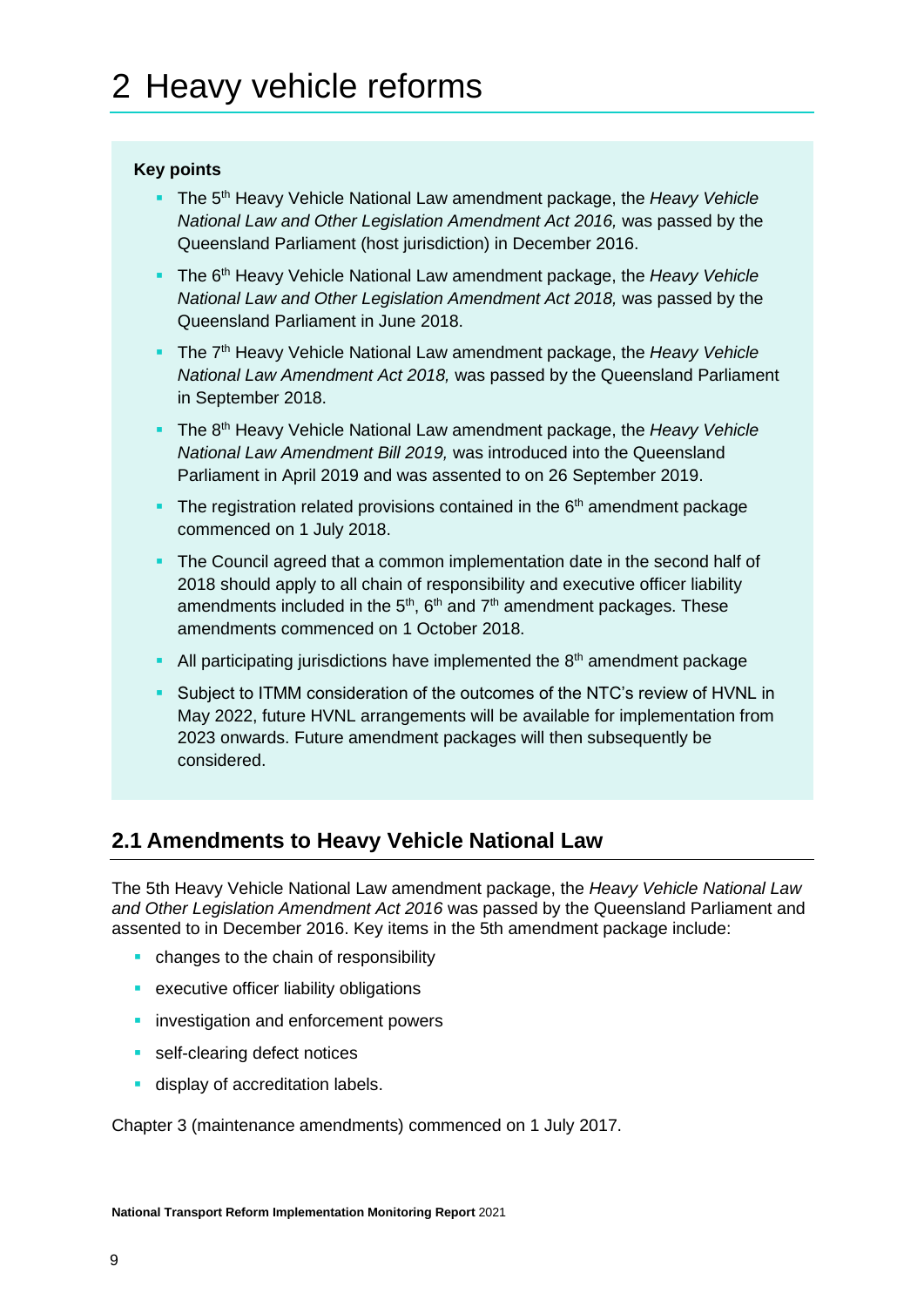## <span id="page-8-0"></span>**Key points**

- The 5<sup>th</sup> Heavy Vehicle National Law amendment package, the *Heavy Vehicle National Law and Other Legislation Amendment Act 2016,* was passed by the Queensland Parliament (host jurisdiction) in December 2016.
- The 6<sup>th</sup> Heavy Vehicle National Law amendment package, the *Heavy Vehicle National Law and Other Legislation Amendment Act 2018,* was passed by the Queensland Parliament in June 2018.
- The 7<sup>th</sup> Heavy Vehicle National Law amendment package, the *Heavy Vehicle National Law Amendment Act 2018,* was passed by the Queensland Parliament in September 2018.
- The 8<sup>th</sup> Heavy Vehicle National Law amendment package, the *Heavy Vehicle National Law Amendment Bill 2019,* was introduced into the Queensland Parliament in April 2019 and was assented to on 26 September 2019.
- **The registration related provisions contained in the**  $6<sup>th</sup>$  **amendment package** commenced on 1 July 2018.
- **The Council agreed that a common implementation date in the second half of** 2018 should apply to all chain of responsibility and executive officer liability amendments included in the  $5<sup>th</sup>$ ,  $6<sup>th</sup>$  and  $7<sup>th</sup>$  amendment packages. These amendments commenced on 1 October 2018.
- **All participating jurisdictions have implemented the**  $8<sup>th</sup>$  **amendment package**
- **EXECT** Subject to ITMM consideration of the outcomes of the NTC's review of HVNL in May 2022, future HVNL arrangements will be available for implementation from 2023 onwards. Future amendment packages will then subsequently be considered.

# <span id="page-8-1"></span>**2.1 Amendments to Heavy Vehicle National Law**

The 5th Heavy Vehicle National Law amendment package, the *Heavy Vehicle National Law and Other Legislation Amendment Act 2016* was passed by the Queensland Parliament and assented to in December 2016. Key items in the 5th amendment package include:

- changes to the chain of responsibility
- **EXECUTE:** executive officer liability obligations
- **·** investigation and enforcement powers
- self-clearing defect notices
- **■** display of accreditation labels.

Chapter 3 (maintenance amendments) commenced on 1 July 2017.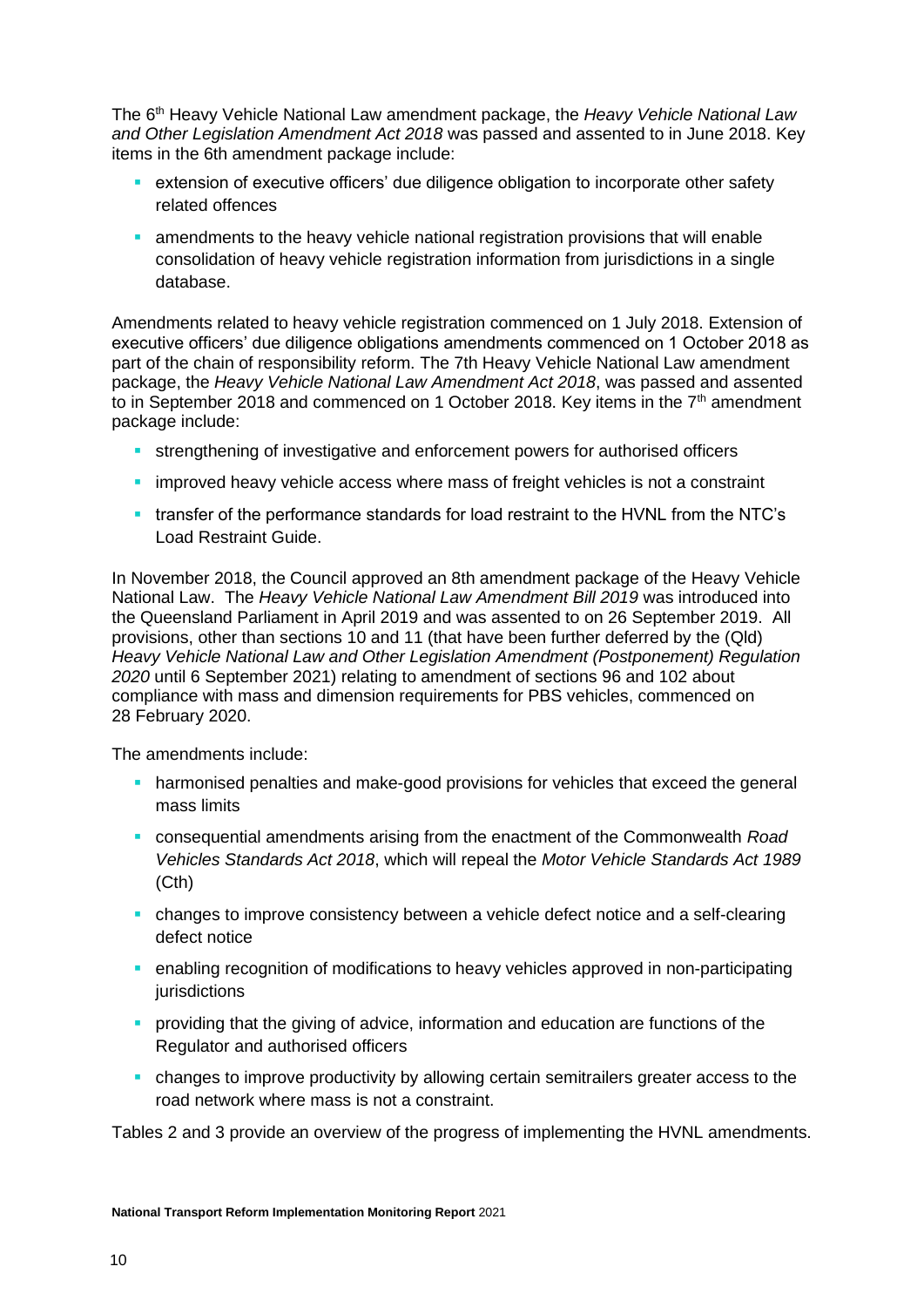The 6th Heavy Vehicle National Law amendment package, the *Heavy Vehicle National Law and Other Legislation Amendment Act 2018* was passed and assented to in June 2018. Key items in the 6th amendment package include:

- **EXECUTE:** extension of executive officers' due diligence obligation to incorporate other safety related offences
- **EXECT** amendments to the heavy vehicle national registration provisions that will enable consolidation of heavy vehicle registration information from jurisdictions in a single database.

Amendments related to heavy vehicle registration commenced on 1 July 2018. Extension of executive officers' due diligence obligations amendments commenced on 1 October 2018 as part of the chain of responsibility reform. The 7th Heavy Vehicle National Law amendment package, the *Heavy Vehicle National Law Amendment Act 2018*, was passed and assented to in September 2018 and commenced on 1 October 2018. Key items in the  $7<sup>th</sup>$  amendment package include:

- **EXECTED Strengthening of investigative and enforcement powers for authorised officers**
- **.** improved heavy vehicle access where mass of freight vehicles is not a constraint
- transfer of the performance standards for load restraint to the HVNL from the NTC's Load Restraint Guide.

In November 2018, the Council approved an 8th amendment package of the Heavy Vehicle National Law. The *Heavy Vehicle National Law Amendment Bill 2019* was introduced into the Queensland Parliament in April 2019 and was assented to on 26 September 2019. All provisions, other than sections 10 and 11 (that have been further deferred by the (Qld) *Heavy Vehicle National Law and Other Legislation Amendment (Postponement) Regulation 2020* until 6 September 2021) relating to amendment of sections 96 and 102 about compliance with mass and dimension requirements for PBS vehicles, commenced on 28 February 2020.

The amendments include:

- **•** harmonised penalties and make-good provisions for vehicles that exceed the general mass limits
- consequential amendments arising from the enactment of the Commonwealth *Road Vehicles Standards Act 2018*, which will repeal the *Motor Vehicle Standards Act 1989* (Cth)
- **changes to improve consistency between a vehicle defect notice and a self-clearing** defect notice
- **enabling recognition of modifications to heavy vehicles approved in non-participating** jurisdictions
- **•** providing that the giving of advice, information and education are functions of the Regulator and authorised officers
- **changes to improve productivity by allowing certain semitrailers greater access to the** road network where mass is not a constraint.

Tables 2 and 3 provide an overview of the progress of implementing the HVNL amendments.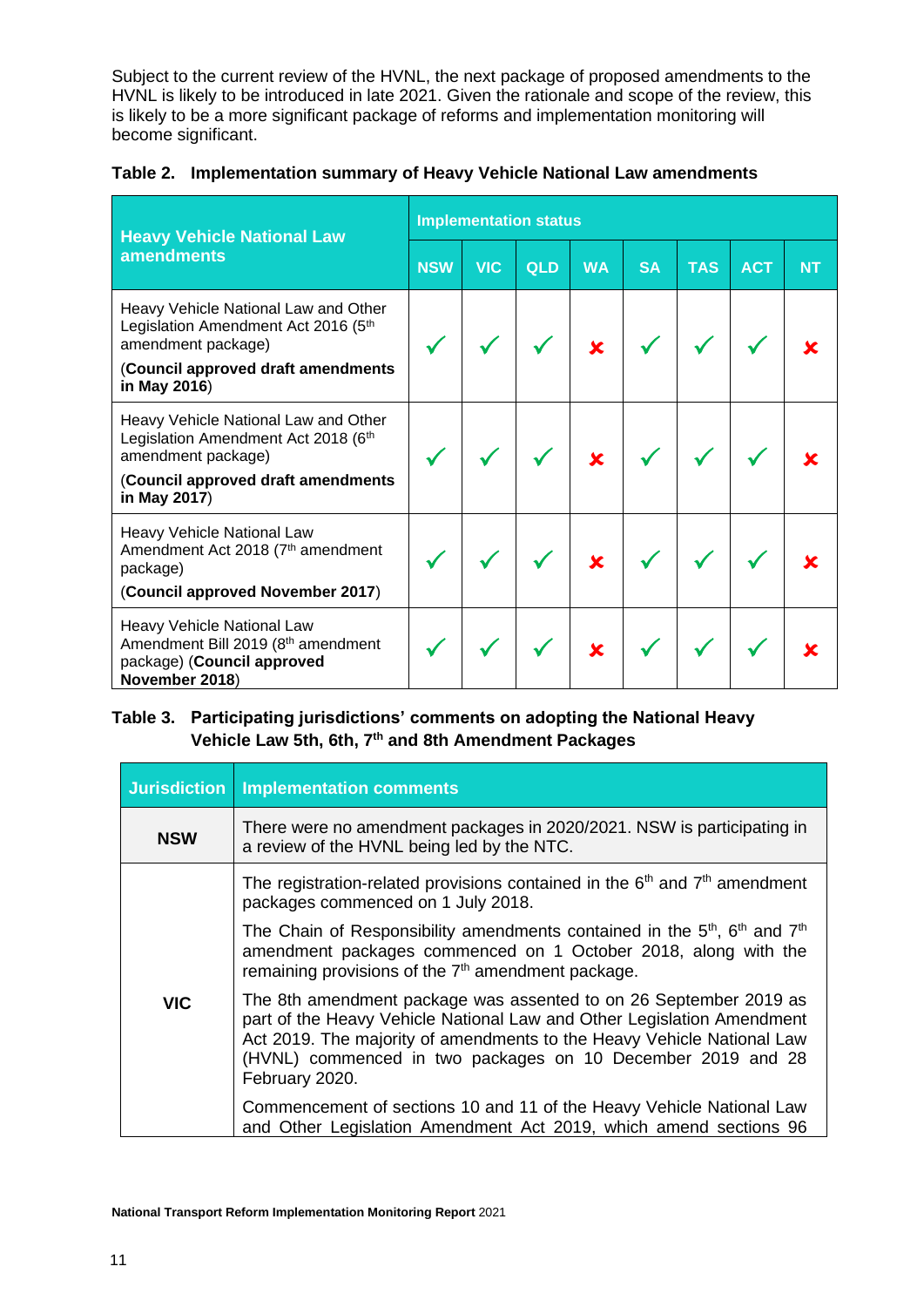Subject to the current review of the HVNL, the next package of proposed amendments to the HVNL is likely to be introduced in late 2021. Given the rationale and scope of the review, this is likely to be a more significant package of reforms and implementation monitoring will become significant.

|  |  |  | Table 2. Implementation summary of Heavy Vehicle National Law amendments |
|--|--|--|--------------------------------------------------------------------------|
|--|--|--|--------------------------------------------------------------------------|

| <b>Heavy Vehicle National Law</b>                                                                                |            | <b>Implementation status</b> |     |                         |           |            |            |           |  |
|------------------------------------------------------------------------------------------------------------------|------------|------------------------------|-----|-------------------------|-----------|------------|------------|-----------|--|
| <b>amendments</b>                                                                                                | <b>NSW</b> | <b>VIC</b>                   | QLD | <b>WA</b>               | <b>SA</b> | <b>TAS</b> | <b>ACT</b> | <b>NT</b> |  |
| Heavy Vehicle National Law and Other<br>Legislation Amendment Act 2016 (5th<br>amendment package)                |            |                              |     | $\overline{\mathbf{x}}$ |           |            |            |           |  |
| (Council approved draft amendments<br>in May 2016)                                                               |            |                              |     |                         |           |            |            |           |  |
| Heavy Vehicle National Law and Other<br>Legislation Amendment Act 2018 (6th<br>amendment package)                |            |                              |     | $\overline{\mathbf{x}}$ |           |            |            |           |  |
| (Council approved draft amendments<br>in May 2017)                                                               |            |                              |     |                         |           |            |            |           |  |
| Heavy Vehicle National Law<br>Amendment Act 2018 (7 <sup>th</sup> amendment<br>package)                          |            |                              |     | $\overline{\mathbf{x}}$ |           |            |            |           |  |
| (Council approved November 2017)                                                                                 |            |                              |     |                         |           |            |            |           |  |
| Heavy Vehicle National Law<br>Amendment Bill 2019 (8th amendment<br>package) (Council approved<br>November 2018) |            |                              |     | $\overline{\mathbf{x}}$ |           |            |            |           |  |

# **Table 3. Participating jurisdictions' comments on adopting the National Heavy Vehicle Law 5th, 6th, 7th and 8th Amendment Packages**

| <b>Jurisdiction</b> | <b>Implementation comments</b>                                                                                                                                                                                                                                                                         |
|---------------------|--------------------------------------------------------------------------------------------------------------------------------------------------------------------------------------------------------------------------------------------------------------------------------------------------------|
| <b>NSW</b>          | There were no amendment packages in 2020/2021. NSW is participating in<br>a review of the HVNL being led by the NTC.                                                                                                                                                                                   |
|                     | The registration-related provisions contained in the $6th$ and $7th$ amendment<br>packages commenced on 1 July 2018.                                                                                                                                                                                   |
|                     | The Chain of Responsibility amendments contained in the $5th$ , $6th$ and $7th$<br>amendment packages commenced on 1 October 2018, along with the<br>remaining provisions of the $7th$ amendment package.                                                                                              |
| <b>VIC</b>          | The 8th amendment package was assented to on 26 September 2019 as<br>part of the Heavy Vehicle National Law and Other Legislation Amendment<br>Act 2019. The majority of amendments to the Heavy Vehicle National Law<br>(HVNL) commenced in two packages on 10 December 2019 and 28<br>February 2020. |
|                     | Commencement of sections 10 and 11 of the Heavy Vehicle National Law<br>and Other Legislation Amendment Act 2019, which amend sections 96                                                                                                                                                              |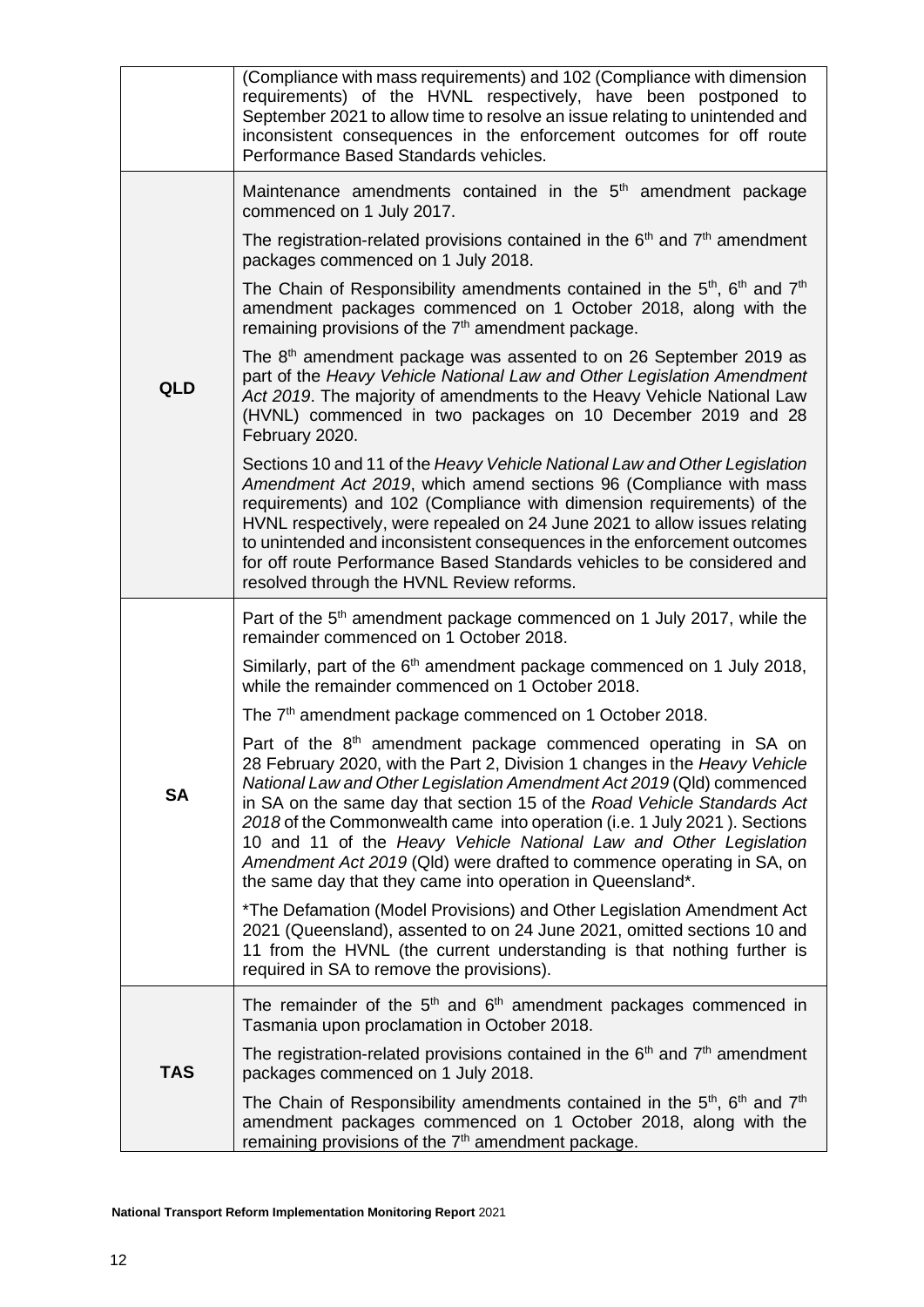|            | (Compliance with mass requirements) and 102 (Compliance with dimension<br>requirements) of the HVNL respectively, have been postponed to<br>September 2021 to allow time to resolve an issue relating to unintended and<br>inconsistent consequences in the enforcement outcomes for off route<br>Performance Based Standards vehicles.                                                                                                                                                                                                                                                               |
|------------|-------------------------------------------------------------------------------------------------------------------------------------------------------------------------------------------------------------------------------------------------------------------------------------------------------------------------------------------------------------------------------------------------------------------------------------------------------------------------------------------------------------------------------------------------------------------------------------------------------|
|            | Maintenance amendments contained in the 5 <sup>th</sup> amendment package<br>commenced on 1 July 2017.<br>The registration-related provisions contained in the $6th$ and $7th$ amendment                                                                                                                                                                                                                                                                                                                                                                                                              |
|            | packages commenced on 1 July 2018.<br>The Chain of Responsibility amendments contained in the $5th$ , $6th$ and $7th$<br>amendment packages commenced on 1 October 2018, along with the<br>remaining provisions of the 7 <sup>th</sup> amendment package.                                                                                                                                                                                                                                                                                                                                             |
| <b>QLD</b> | The 8 <sup>th</sup> amendment package was assented to on 26 September 2019 as<br>part of the Heavy Vehicle National Law and Other Legislation Amendment<br>Act 2019. The majority of amendments to the Heavy Vehicle National Law<br>(HVNL) commenced in two packages on 10 December 2019 and 28<br>February 2020.                                                                                                                                                                                                                                                                                    |
|            | Sections 10 and 11 of the Heavy Vehicle National Law and Other Legislation<br>Amendment Act 2019, which amend sections 96 (Compliance with mass<br>requirements) and 102 (Compliance with dimension requirements) of the<br>HVNL respectively, were repealed on 24 June 2021 to allow issues relating<br>to unintended and inconsistent consequences in the enforcement outcomes<br>for off route Performance Based Standards vehicles to be considered and<br>resolved through the HVNL Review reforms.                                                                                              |
|            | Part of the 5 <sup>th</sup> amendment package commenced on 1 July 2017, while the<br>remainder commenced on 1 October 2018.                                                                                                                                                                                                                                                                                                                                                                                                                                                                           |
|            | Similarly, part of the 6 <sup>th</sup> amendment package commenced on 1 July 2018,<br>while the remainder commenced on 1 October 2018.                                                                                                                                                                                                                                                                                                                                                                                                                                                                |
|            | The 7 <sup>th</sup> amendment package commenced on 1 October 2018.                                                                                                                                                                                                                                                                                                                                                                                                                                                                                                                                    |
| <b>SA</b>  | Part of the 8 <sup>th</sup> amendment package commenced operating in SA on<br>28 February 2020, with the Part 2, Division 1 changes in the Heavy Vehicle<br>National Law and Other Legislation Amendment Act 2019 (Qld) commenced<br>in SA on the same day that section 15 of the Road Vehicle Standards Act<br>2018 of the Commonwealth came into operation (i.e. 1 July 2021). Sections<br>10 and 11 of the Heavy Vehicle National Law and Other Legislation<br>Amendment Act 2019 (Qld) were drafted to commence operating in SA, on<br>the same day that they came into operation in Queensland*. |
|            | *The Defamation (Model Provisions) and Other Legislation Amendment Act<br>2021 (Queensland), assented to on 24 June 2021, omitted sections 10 and<br>11 from the HVNL (the current understanding is that nothing further is<br>required in SA to remove the provisions).                                                                                                                                                                                                                                                                                                                              |
|            | The remainder of the $5th$ and $6th$ amendment packages commenced in<br>Tasmania upon proclamation in October 2018.                                                                                                                                                                                                                                                                                                                                                                                                                                                                                   |
| <b>TAS</b> | The registration-related provisions contained in the $6th$ and $7th$ amendment<br>packages commenced on 1 July 2018.                                                                                                                                                                                                                                                                                                                                                                                                                                                                                  |
|            | The Chain of Responsibility amendments contained in the $5th$ , $6th$ and $7th$<br>amendment packages commenced on 1 October 2018, along with the<br>remaining provisions of the 7 <sup>th</sup> amendment package.                                                                                                                                                                                                                                                                                                                                                                                   |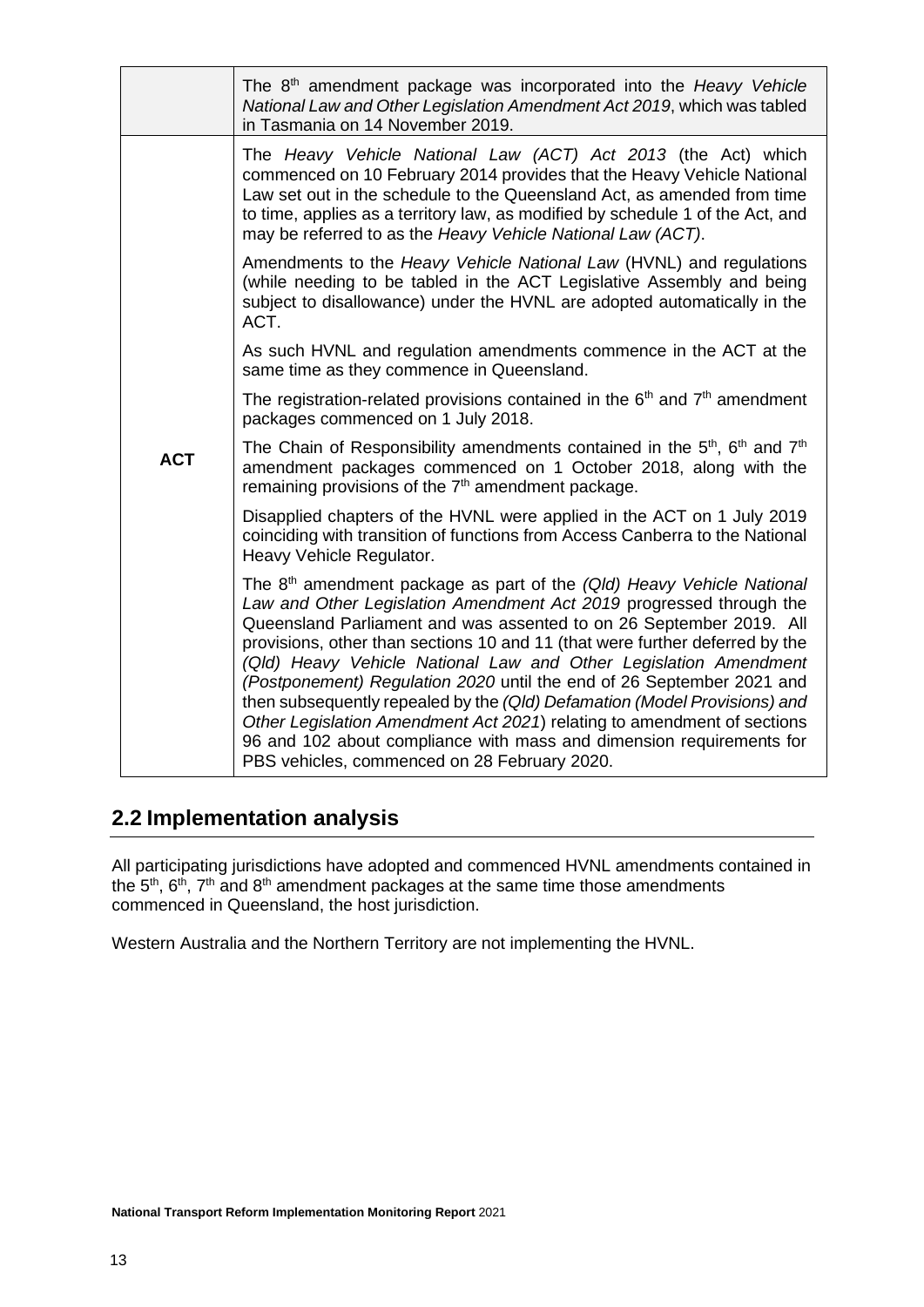|            | The 8 <sup>th</sup> amendment package was incorporated into the Heavy Vehicle<br>National Law and Other Legislation Amendment Act 2019, which was tabled<br>in Tasmania on 14 November 2019.                                                                                                                                                                                                                                                                                                                                                                                                                                                                                                                                                 |
|------------|----------------------------------------------------------------------------------------------------------------------------------------------------------------------------------------------------------------------------------------------------------------------------------------------------------------------------------------------------------------------------------------------------------------------------------------------------------------------------------------------------------------------------------------------------------------------------------------------------------------------------------------------------------------------------------------------------------------------------------------------|
|            | The Heavy Vehicle National Law (ACT) Act 2013 (the Act) which<br>commenced on 10 February 2014 provides that the Heavy Vehicle National<br>Law set out in the schedule to the Queensland Act, as amended from time<br>to time, applies as a territory law, as modified by schedule 1 of the Act, and<br>may be referred to as the Heavy Vehicle National Law (ACT).                                                                                                                                                                                                                                                                                                                                                                          |
|            | Amendments to the Heavy Vehicle National Law (HVNL) and regulations<br>(while needing to be tabled in the ACT Legislative Assembly and being<br>subject to disallowance) under the HVNL are adopted automatically in the<br>ACT.                                                                                                                                                                                                                                                                                                                                                                                                                                                                                                             |
|            | As such HVNL and regulation amendments commence in the ACT at the<br>same time as they commence in Queensland.                                                                                                                                                                                                                                                                                                                                                                                                                                                                                                                                                                                                                               |
|            | The registration-related provisions contained in the $6th$ and $7th$ amendment<br>packages commenced on 1 July 2018.                                                                                                                                                                                                                                                                                                                                                                                                                                                                                                                                                                                                                         |
| <b>ACT</b> | The Chain of Responsibility amendments contained in the $5th$ , $6th$ and $7th$<br>amendment packages commenced on 1 October 2018, along with the<br>remaining provisions of the 7 <sup>th</sup> amendment package.                                                                                                                                                                                                                                                                                                                                                                                                                                                                                                                          |
|            | Disapplied chapters of the HVNL were applied in the ACT on 1 July 2019<br>coinciding with transition of functions from Access Canberra to the National<br>Heavy Vehicle Regulator.                                                                                                                                                                                                                                                                                                                                                                                                                                                                                                                                                           |
|            | The 8 <sup>th</sup> amendment package as part of the (Qld) Heavy Vehicle National<br>Law and Other Legislation Amendment Act 2019 progressed through the<br>Queensland Parliament and was assented to on 26 September 2019. All<br>provisions, other than sections 10 and 11 (that were further deferred by the<br>(Qld) Heavy Vehicle National Law and Other Legislation Amendment<br>(Postponement) Regulation 2020 until the end of 26 September 2021 and<br>then subsequently repealed by the (Qld) Defamation (Model Provisions) and<br>Other Legislation Amendment Act 2021) relating to amendment of sections<br>96 and 102 about compliance with mass and dimension requirements for<br>PBS vehicles, commenced on 28 February 2020. |

# <span id="page-12-0"></span>**2.2 Implementation analysis**

All participating jurisdictions have adopted and commenced HVNL amendments contained in the  $5<sup>th</sup>$ ,  $6<sup>th</sup>$ ,  $7<sup>th</sup>$  and  $8<sup>th</sup>$  amendment packages at the same time those amendments commenced in Queensland, the host jurisdiction.

Western Australia and the Northern Territory are not implementing the HVNL.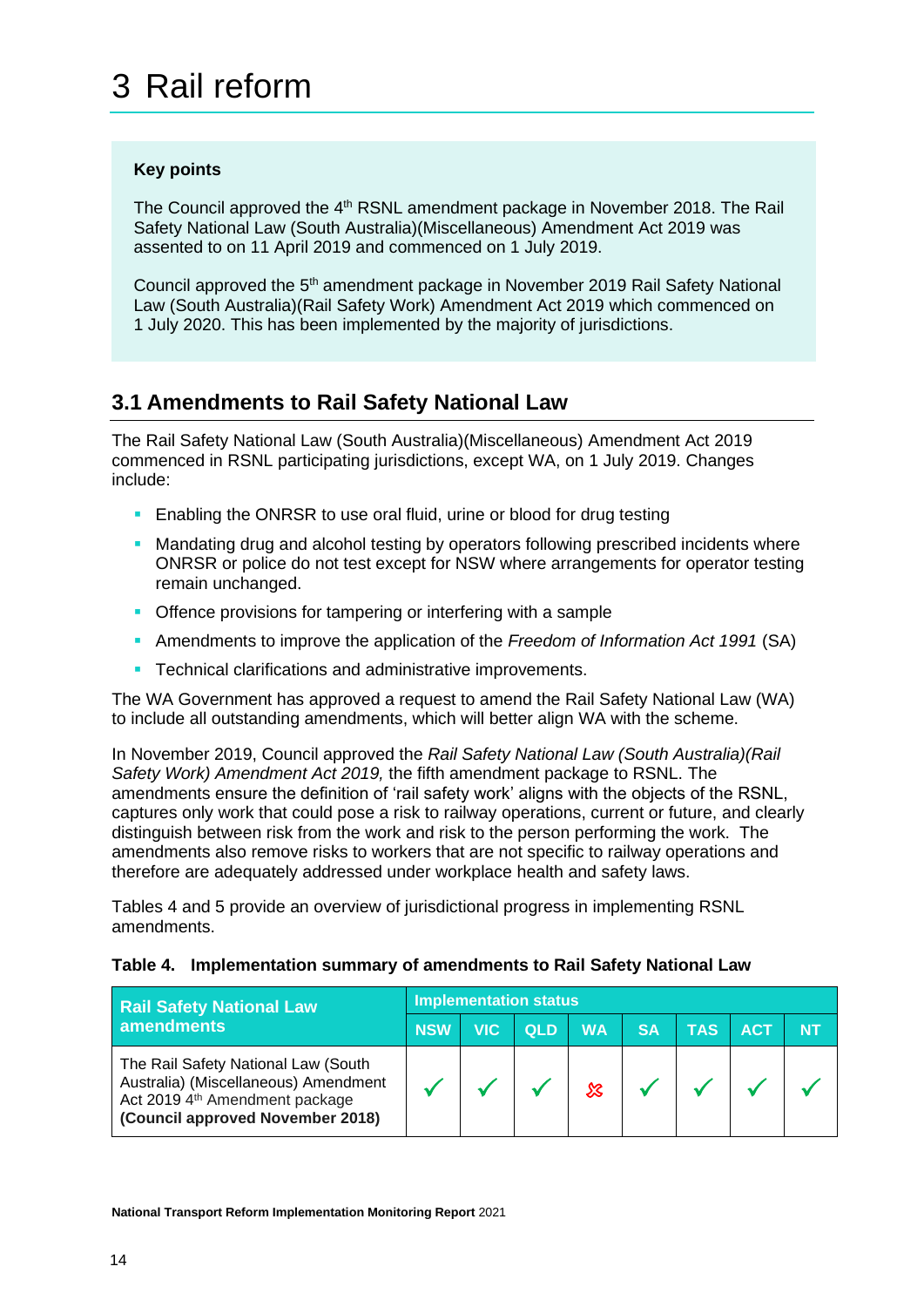## <span id="page-13-0"></span>**Key points**

The Council approved the 4<sup>th</sup> RSNL amendment package in November 2018. The Rail Safety National Law (South Australia)(Miscellaneous) Amendment Act 2019 was assented to on 11 April 2019 and commenced on 1 July 2019.

Council approved the 5<sup>th</sup> amendment package in November 2019 Rail Safety National Law (South Australia)(Rail Safety Work) Amendment Act 2019 which commenced on 1 July 2020. This has been implemented by the majority of jurisdictions.

# <span id="page-13-1"></span>**3.1 Amendments to Rail Safety National Law**

The Rail Safety National Law (South Australia)(Miscellaneous) Amendment Act 2019 commenced in RSNL participating jurisdictions, except WA, on 1 July 2019. Changes include:

- **Enabling the ONRSR to use oral fluid, urine or blood for drug testing**
- Mandating drug and alcohol testing by operators following prescribed incidents where ONRSR or police do not test except for NSW where arrangements for operator testing remain unchanged.
- **Offence provisions for tampering or interfering with a sample**
- Amendments to improve the application of the *Freedom of Information Act 1991* (SA)
- **Technical clarifications and administrative improvements.**

The WA Government has approved a request to amend the Rail Safety National Law (WA) to include all outstanding amendments, which will better align WA with the scheme.

In November 2019, Council approved the *Rail Safety National Law (South Australia)(Rail Safety Work) Amendment Act 2019,* the fifth amendment package to RSNL. The amendments ensure the definition of 'rail safety work' aligns with the objects of the RSNL, captures only work that could pose a risk to railway operations, current or future, and clearly distinguish between risk from the work and risk to the person performing the work. The amendments also remove risks to workers that are not specific to railway operations and therefore are adequately addressed under workplace health and safety laws.

Tables 4 and 5 provide an overview of jurisdictional progress in implementing RSNL amendments.

| <b>Rail Safety National Law</b>                                                                                                                   | <b>Implementation status</b> |            |            |           |           |            |            |           |  |
|---------------------------------------------------------------------------------------------------------------------------------------------------|------------------------------|------------|------------|-----------|-----------|------------|------------|-----------|--|
| amendments                                                                                                                                        | <b>NSW</b>                   | <b>VIC</b> | <b>QLD</b> | <b>WA</b> | <b>SA</b> | <b>TAS</b> | <b>ACT</b> | <b>NT</b> |  |
| The Rail Safety National Law (South<br>Australia) (Miscellaneous) Amendment<br>Act 2019 4th Amendment package<br>(Council approved November 2018) |                              |            |            |           |           |            |            |           |  |

#### **Table 4. Implementation summary of amendments to Rail Safety National Law**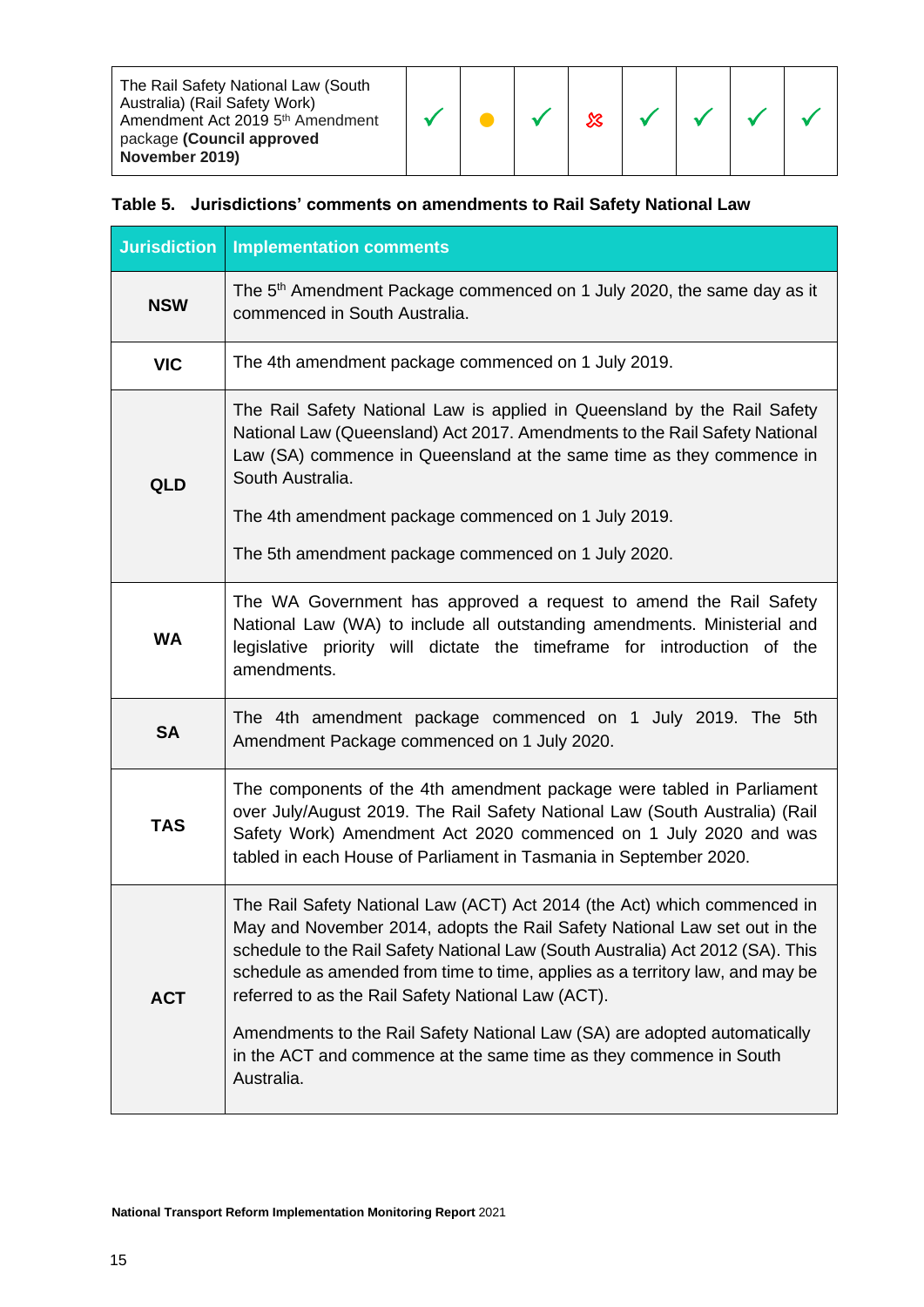| The Rail Safety National Law (South<br>Australia) (Rail Safety Work)<br>Amendment Act 2019 5 <sup>th</sup> Amendment<br>package (Council approved<br>November 2019) |  |  |  |  |  |  |  |  |  |
|---------------------------------------------------------------------------------------------------------------------------------------------------------------------|--|--|--|--|--|--|--|--|--|
|---------------------------------------------------------------------------------------------------------------------------------------------------------------------|--|--|--|--|--|--|--|--|--|

# **Table 5. Jurisdictions' comments on amendments to Rail Safety National Law**

| <b>Jurisdiction</b> | <b>Implementation comments</b>                                                                                                                                                                                                                                                                                                                                                 |
|---------------------|--------------------------------------------------------------------------------------------------------------------------------------------------------------------------------------------------------------------------------------------------------------------------------------------------------------------------------------------------------------------------------|
| <b>NSW</b>          | The 5 <sup>th</sup> Amendment Package commenced on 1 July 2020, the same day as it<br>commenced in South Australia.                                                                                                                                                                                                                                                            |
| <b>VIC</b>          | The 4th amendment package commenced on 1 July 2019.                                                                                                                                                                                                                                                                                                                            |
| <b>QLD</b>          | The Rail Safety National Law is applied in Queensland by the Rail Safety<br>National Law (Queensland) Act 2017. Amendments to the Rail Safety National<br>Law (SA) commence in Queensland at the same time as they commence in<br>South Australia.                                                                                                                             |
|                     | The 4th amendment package commenced on 1 July 2019.                                                                                                                                                                                                                                                                                                                            |
|                     | The 5th amendment package commenced on 1 July 2020.                                                                                                                                                                                                                                                                                                                            |
| <b>WA</b>           | The WA Government has approved a request to amend the Rail Safety<br>National Law (WA) to include all outstanding amendments. Ministerial and<br>legislative priority will dictate the timeframe for introduction of the<br>amendments.                                                                                                                                        |
| <b>SA</b>           | The 4th amendment package commenced on 1 July 2019. The 5th<br>Amendment Package commenced on 1 July 2020.                                                                                                                                                                                                                                                                     |
| <b>TAS</b>          | The components of the 4th amendment package were tabled in Parliament<br>over July/August 2019. The Rail Safety National Law (South Australia) (Rail<br>Safety Work) Amendment Act 2020 commenced on 1 July 2020 and was<br>tabled in each House of Parliament in Tasmania in September 2020.                                                                                  |
| <b>ACT</b>          | The Rail Safety National Law (ACT) Act 2014 (the Act) which commenced in<br>May and November 2014, adopts the Rail Safety National Law set out in the<br>schedule to the Rail Safety National Law (South Australia) Act 2012 (SA). This<br>schedule as amended from time to time, applies as a territory law, and may be<br>referred to as the Rail Safety National Law (ACT). |
|                     | Amendments to the Rail Safety National Law (SA) are adopted automatically<br>in the ACT and commence at the same time as they commence in South<br>Australia.                                                                                                                                                                                                                  |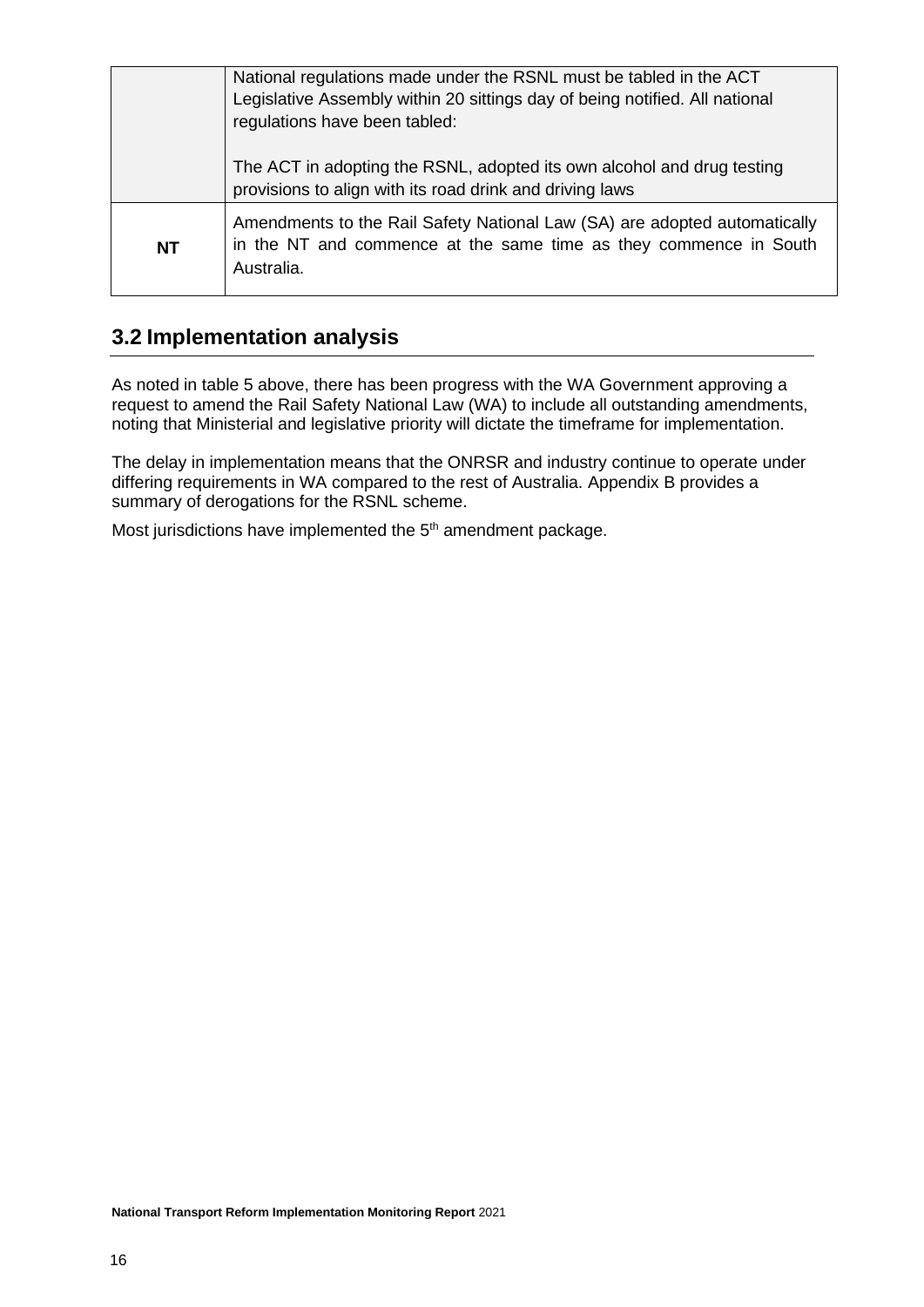|           | National regulations made under the RSNL must be tabled in the ACT<br>Legislative Assembly within 20 sittings day of being notified. All national<br>regulations have been tabled: |
|-----------|------------------------------------------------------------------------------------------------------------------------------------------------------------------------------------|
|           | The ACT in adopting the RSNL, adopted its own alcohol and drug testing<br>provisions to align with its road drink and driving laws                                                 |
| <b>NT</b> | Amendments to the Rail Safety National Law (SA) are adopted automatically<br>in the NT and commence at the same time as they commence in South<br>Australia.                       |

# <span id="page-15-0"></span>**3.2 Implementation analysis**

As noted in table 5 above, there has been progress with the WA Government approving a request to amend the Rail Safety National Law (WA) to include all outstanding amendments, noting that Ministerial and legislative priority will dictate the timeframe for implementation.

The delay in implementation means that the ONRSR and industry continue to operate under differing requirements in WA compared to the rest of Australia. Appendix B provides a summary of derogations for the RSNL scheme.

Most jurisdictions have implemented the  $5<sup>th</sup>$  amendment package.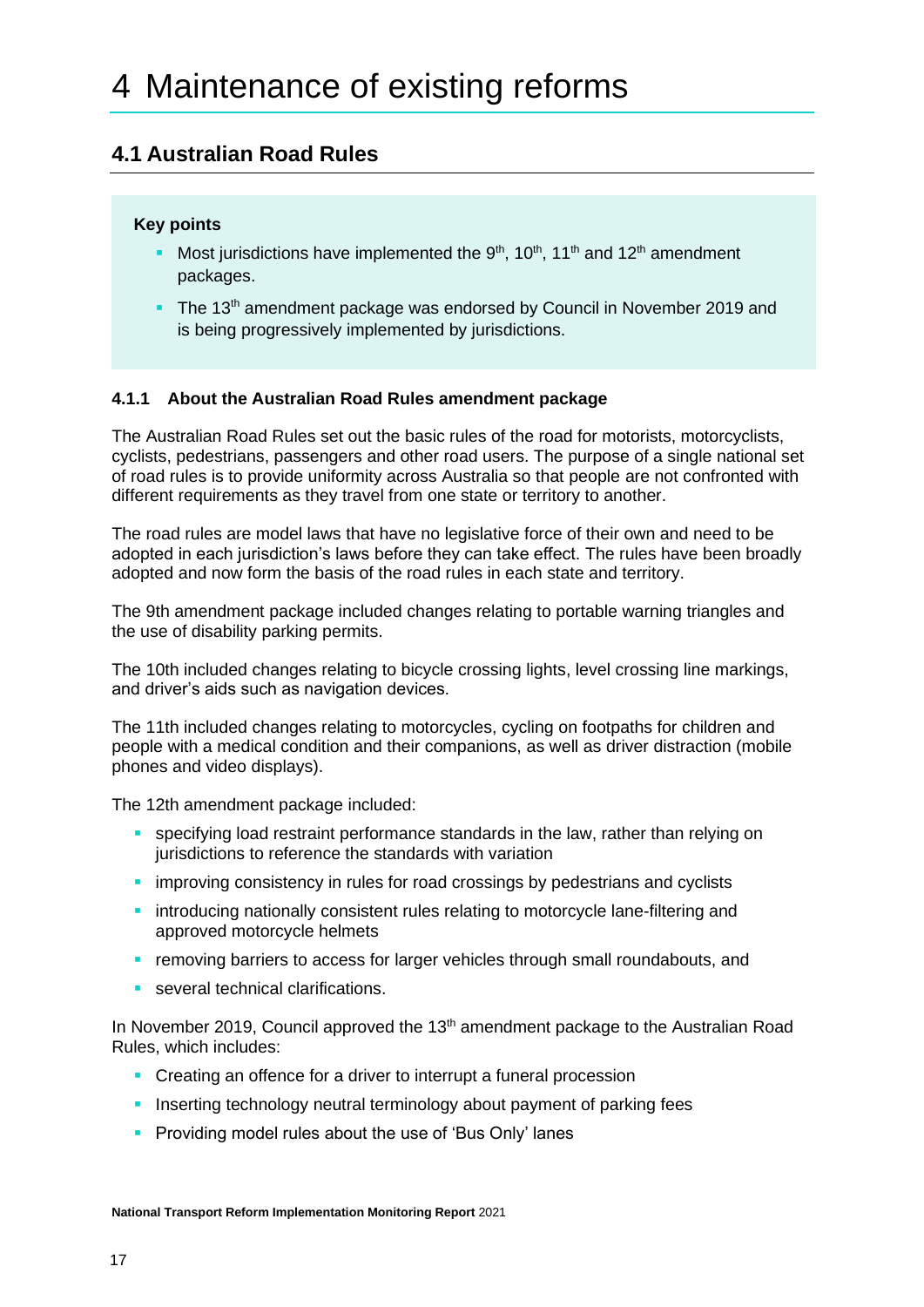# <span id="page-16-1"></span><span id="page-16-0"></span>**4.1 Australian Road Rules**

### **Key points**

- **•** Most jurisdictions have implemented the  $9<sup>th</sup>$ , 10<sup>th</sup>, 11<sup>th</sup> and 12<sup>th</sup> amendment packages.
- The 13<sup>th</sup> amendment package was endorsed by Council in November 2019 and is being progressively implemented by jurisdictions.

### <span id="page-16-2"></span>**4.1.1 About the Australian Road Rules amendment package**

The Australian Road Rules set out the basic rules of the road for motorists, motorcyclists, cyclists, pedestrians, passengers and other road users. The purpose of a single national set of road rules is to provide uniformity across Australia so that people are not confronted with different requirements as they travel from one state or territory to another.

The road rules are model laws that have no legislative force of their own and need to be adopted in each jurisdiction's laws before they can take effect. The rules have been broadly adopted and now form the basis of the road rules in each state and territory.

The 9th amendment package included changes relating to portable warning triangles and the use of disability parking permits.

The 10th included changes relating to bicycle crossing lights, level crossing line markings, and driver's aids such as navigation devices.

The 11th included changes relating to motorcycles, cycling on footpaths for children and people with a medical condition and their companions, as well as driver distraction (mobile phones and video displays).

The 12th amendment package included:

- specifying load restraint performance standards in the law, rather than relying on jurisdictions to reference the standards with variation
- **·** improving consistency in rules for road crossings by pedestrians and cyclists
- **introducing nationally consistent rules relating to motorcycle lane-filtering and** approved motorcycle helmets
- **removing barriers to access for larger vehicles through small roundabouts, and**
- several technical clarifications.

In November 2019, Council approved the 13<sup>th</sup> amendment package to the Australian Road Rules, which includes:

- Creating an offence for a driver to interrupt a funeral procession
- **.** Inserting technology neutral terminology about payment of parking fees
- **Providing model rules about the use of 'Bus Only' lanes**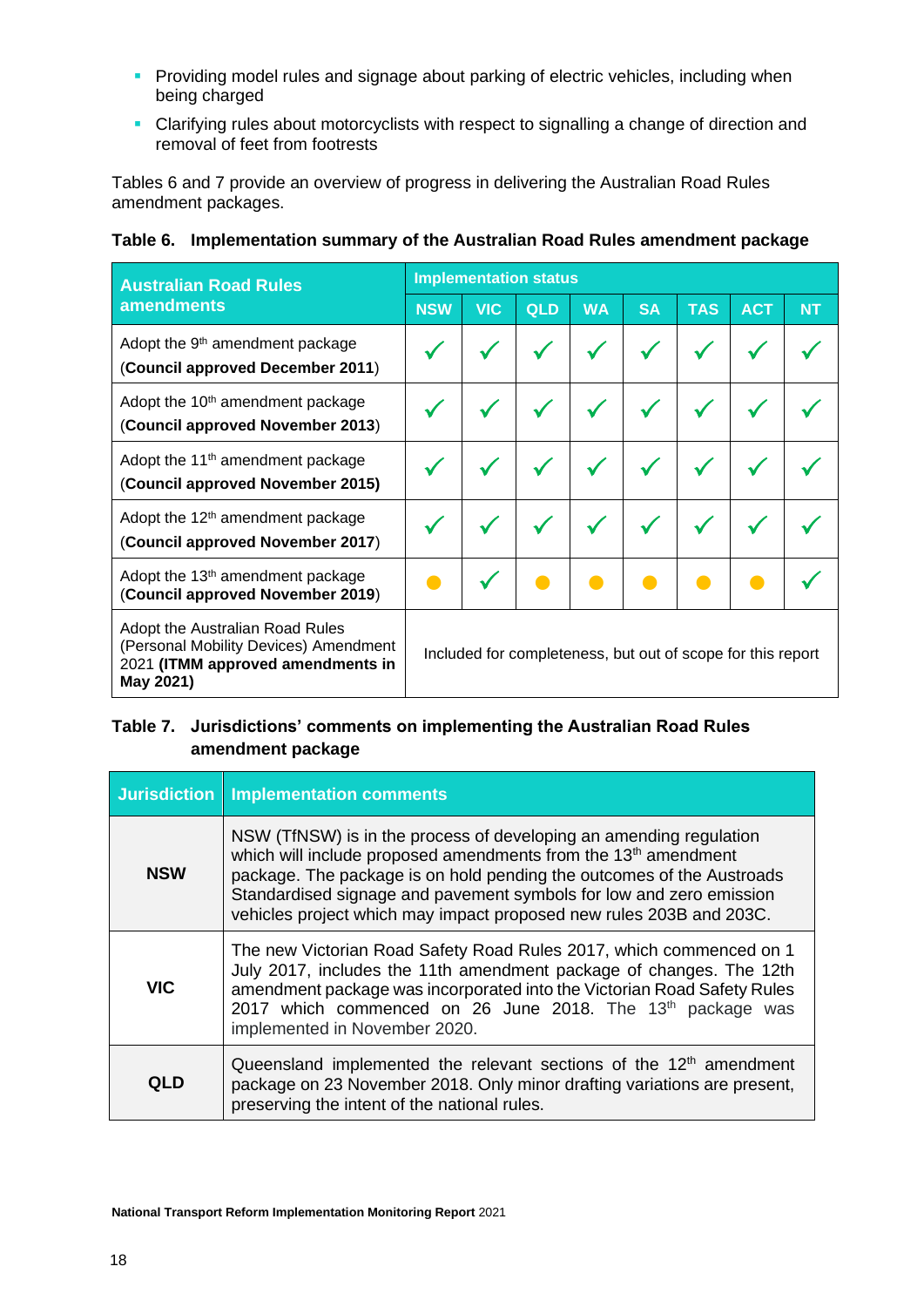- **Providing model rules and signage about parking of electric vehicles, including when** being charged
- Clarifying rules about motorcyclists with respect to signalling a change of direction and removal of feet from footrests

Tables 6 and 7 provide an overview of progress in delivering the Australian Road Rules amendment packages.

| <b>Australian Road Rules</b>                                                                                               | <b>Implementation status</b>                                |            |     |           |           |            |            |           |  |
|----------------------------------------------------------------------------------------------------------------------------|-------------------------------------------------------------|------------|-----|-----------|-----------|------------|------------|-----------|--|
| <b>amendments</b>                                                                                                          | <b>NSW</b>                                                  | <b>VIC</b> | QLD | <b>WA</b> | <b>SA</b> | <b>TAS</b> | <b>ACT</b> | <b>NT</b> |  |
| Adopt the 9 <sup>th</sup> amendment package<br>(Council approved December 2011)                                            |                                                             |            |     |           |           |            |            |           |  |
| Adopt the 10 <sup>th</sup> amendment package<br>(Council approved November 2013)                                           |                                                             |            |     |           |           |            |            |           |  |
| Adopt the 11 <sup>th</sup> amendment package<br>(Council approved November 2015)                                           |                                                             |            |     |           |           |            |            |           |  |
| Adopt the 12 <sup>th</sup> amendment package<br>(Council approved November 2017)                                           |                                                             |            |     |           |           |            |            |           |  |
| Adopt the 13 <sup>th</sup> amendment package<br>(Council approved November 2019)                                           |                                                             |            |     |           |           |            |            |           |  |
| Adopt the Australian Road Rules<br>(Personal Mobility Devices) Amendment<br>2021 (ITMM approved amendments in<br>May 2021) | Included for completeness, but out of scope for this report |            |     |           |           |            |            |           |  |

## **Table 6. Implementation summary of the Australian Road Rules amendment package**

# **Table 7. Jurisdictions' comments on implementing the Australian Road Rules amendment package**

|            | Jurisdiction   Implementation comments                                                                                                                                                                                                                                                                                                                                  |
|------------|-------------------------------------------------------------------------------------------------------------------------------------------------------------------------------------------------------------------------------------------------------------------------------------------------------------------------------------------------------------------------|
| <b>NSW</b> | NSW (TfNSW) is in the process of developing an amending regulation<br>which will include proposed amendments from the 13 <sup>th</sup> amendment<br>package. The package is on hold pending the outcomes of the Austroads<br>Standardised signage and pavement symbols for low and zero emission<br>vehicles project which may impact proposed new rules 203B and 203C. |
| <b>VIC</b> | The new Victorian Road Safety Road Rules 2017, which commenced on 1<br>July 2017, includes the 11th amendment package of changes. The 12th<br>amendment package was incorporated into the Victorian Road Safety Rules<br>2017 which commenced on 26 June 2018. The 13 <sup>th</sup> package was<br>implemented in November 2020.                                        |
| QLD        | Queensland implemented the relevant sections of the $12th$ amendment<br>package on 23 November 2018. Only minor drafting variations are present,<br>preserving the intent of the national rules.                                                                                                                                                                        |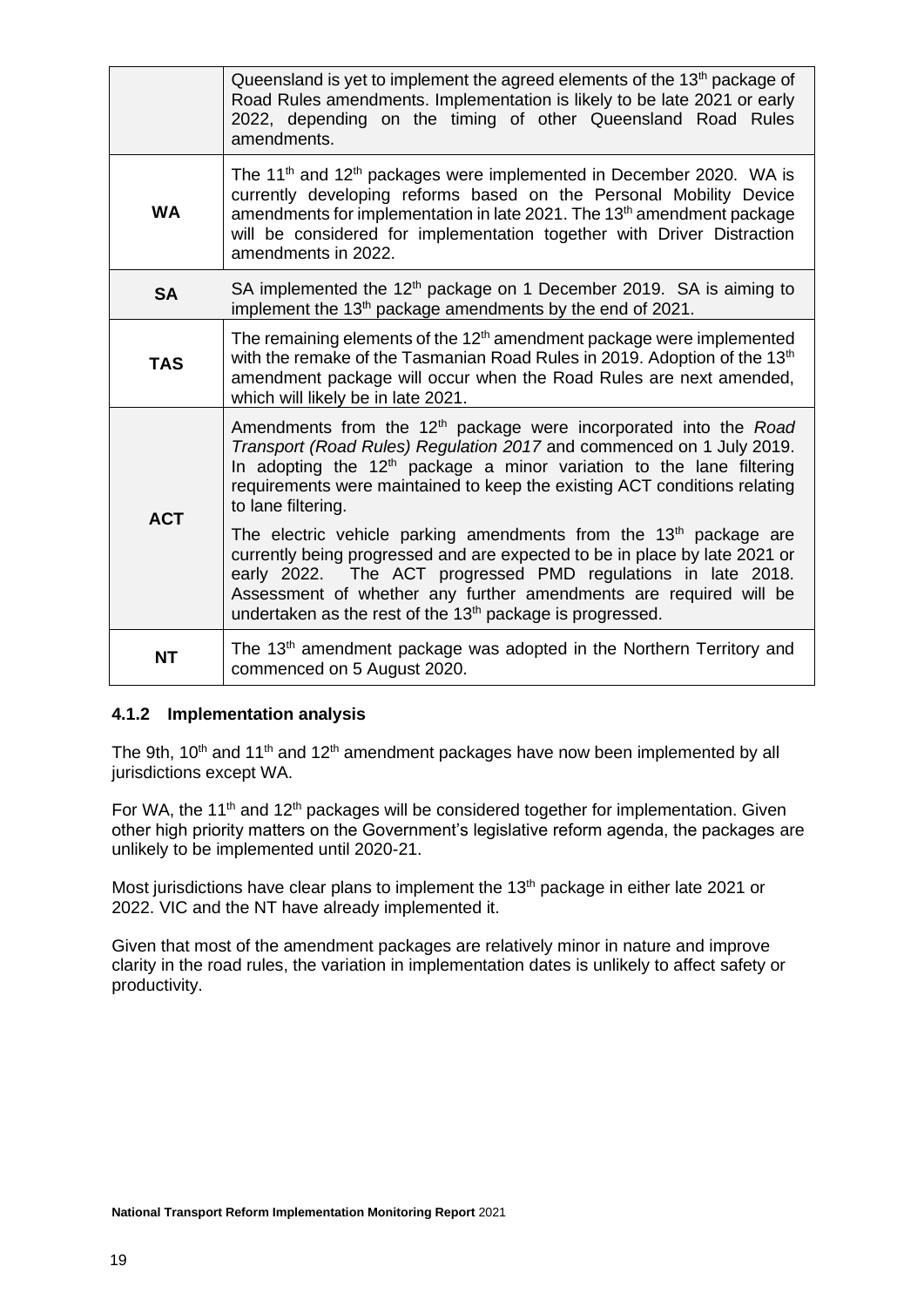|            | Queensland is yet to implement the agreed elements of the 13 <sup>th</sup> package of<br>Road Rules amendments. Implementation is likely to be late 2021 or early<br>2022, depending on the timing of other Queensland Road Rules<br>amendments.                                                                                                                          |
|------------|---------------------------------------------------------------------------------------------------------------------------------------------------------------------------------------------------------------------------------------------------------------------------------------------------------------------------------------------------------------------------|
| <b>WA</b>  | The 11 <sup>th</sup> and 12 <sup>th</sup> packages were implemented in December 2020. WA is<br>currently developing reforms based on the Personal Mobility Device<br>amendments for implementation in late 2021. The 13 <sup>th</sup> amendment package<br>will be considered for implementation together with Driver Distraction<br>amendments in 2022.                  |
| <b>SA</b>  | SA implemented the 12 <sup>th</sup> package on 1 December 2019. SA is aiming to<br>implement the 13 <sup>th</sup> package amendments by the end of 2021.                                                                                                                                                                                                                  |
| <b>TAS</b> | The remaining elements of the 12 <sup>th</sup> amendment package were implemented<br>with the remake of the Tasmanian Road Rules in 2019. Adoption of the 13 <sup>th</sup><br>amendment package will occur when the Road Rules are next amended,<br>which will likely be in late 2021.                                                                                    |
| <b>ACT</b> | Amendments from the 12 <sup>th</sup> package were incorporated into the Road<br>Transport (Road Rules) Regulation 2017 and commenced on 1 July 2019.<br>In adopting the $12th$ package a minor variation to the lane filtering<br>requirements were maintained to keep the existing ACT conditions relating<br>to lane filtering.                                         |
|            | The electric vehicle parking amendments from the 13 <sup>th</sup> package are<br>currently being progressed and are expected to be in place by late 2021 or<br>early 2022. The ACT progressed PMD regulations in late 2018.<br>Assessment of whether any further amendments are required will be<br>undertaken as the rest of the 13 <sup>th</sup> package is progressed. |
| <b>NT</b>  | The 13 <sup>th</sup> amendment package was adopted in the Northern Territory and<br>commenced on 5 August 2020.                                                                                                                                                                                                                                                           |

### <span id="page-18-0"></span>**4.1.2 Implementation analysis**

The 9th,  $10<sup>th</sup>$  and  $11<sup>th</sup>$  and  $12<sup>th</sup>$  amendment packages have now been implemented by all jurisdictions except WA.

For WA, the 11<sup>th</sup> and 12<sup>th</sup> packages will be considered together for implementation. Given other high priority matters on the Government's legislative reform agenda, the packages are unlikely to be implemented until 2020-21.

Most jurisdictions have clear plans to implement the 13<sup>th</sup> package in either late 2021 or 2022. VIC and the NT have already implemented it.

Given that most of the amendment packages are relatively minor in nature and improve clarity in the road rules, the variation in implementation dates is unlikely to affect safety or productivity.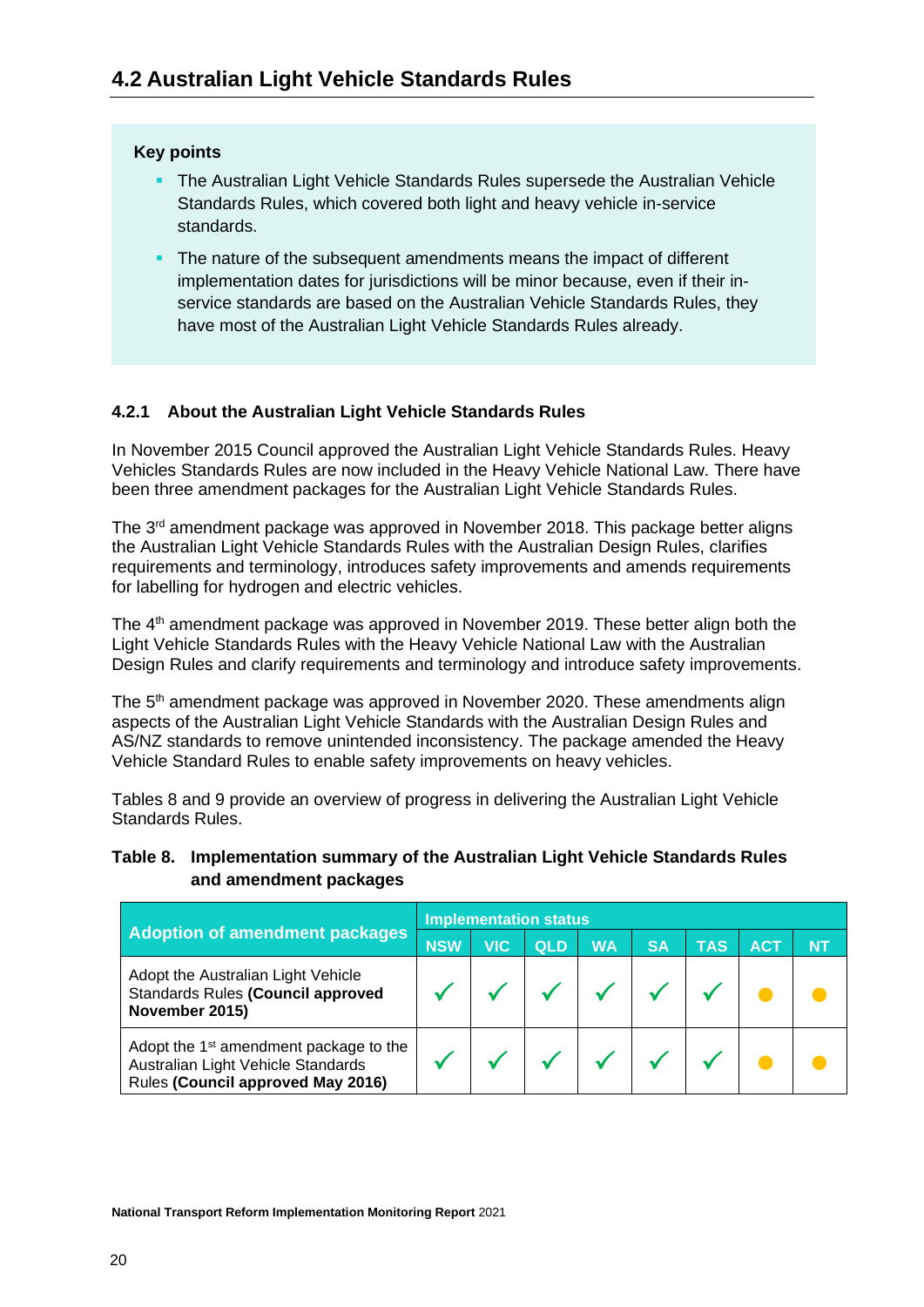## <span id="page-19-0"></span>**Key points**

- The Australian Light Vehicle Standards Rules supersede the Australian Vehicle Standards Rules, which covered both light and heavy vehicle in-service standards.
- **The nature of the subsequent amendments means the impact of different** implementation dates for jurisdictions will be minor because, even if their inservice standards are based on the Australian Vehicle Standards Rules, they have most of the Australian Light Vehicle Standards Rules already.

# <span id="page-19-1"></span>**4.2.1 About the Australian Light Vehicle Standards Rules**

In November 2015 Council approved the Australian Light Vehicle Standards Rules. Heavy Vehicles Standards Rules are now included in the Heavy Vehicle National Law. There have been three amendment packages for the Australian Light Vehicle Standards Rules.

The  $3<sup>rd</sup>$  amendment package was approved in November 2018. This package better aligns the Australian Light Vehicle Standards Rules with the Australian Design Rules, clarifies requirements and terminology, introduces safety improvements and amends requirements for labelling for hydrogen and electric vehicles.

The 4<sup>th</sup> amendment package was approved in November 2019. These better align both the Light Vehicle Standards Rules with the Heavy Vehicle National Law with the Australian Design Rules and clarify requirements and terminology and introduce safety improvements.

The 5<sup>th</sup> amendment package was approved in November 2020. These amendments align aspects of the Australian Light Vehicle Standards with the Australian Design Rules and AS/NZ standards to remove unintended inconsistency. The package amended the Heavy Vehicle Standard Rules to enable safety improvements on heavy vehicles.

Tables 8 and 9 provide an overview of progress in delivering the Australian Light Vehicle Standards Rules.

## **Table 8. Implementation summary of the Australian Light Vehicle Standards Rules and amendment packages**

|                                                                                                                               | <b>Implementation status</b> |            |            |           |           |            |     |           |
|-------------------------------------------------------------------------------------------------------------------------------|------------------------------|------------|------------|-----------|-----------|------------|-----|-----------|
| <b>Adoption of amendment packages</b>                                                                                         |                              | <b>VIC</b> | <b>QLD</b> | <b>WA</b> | <b>SA</b> | <b>TAS</b> | ACT | <b>NT</b> |
| Adopt the Australian Light Vehicle<br>Standards Rules (Council approved<br>November 2015)                                     |                              |            |            |           |           |            |     |           |
| Adopt the 1 <sup>st</sup> amendment package to the<br>Australian Light Vehicle Standards<br>Rules (Council approved May 2016) |                              |            |            |           |           |            |     |           |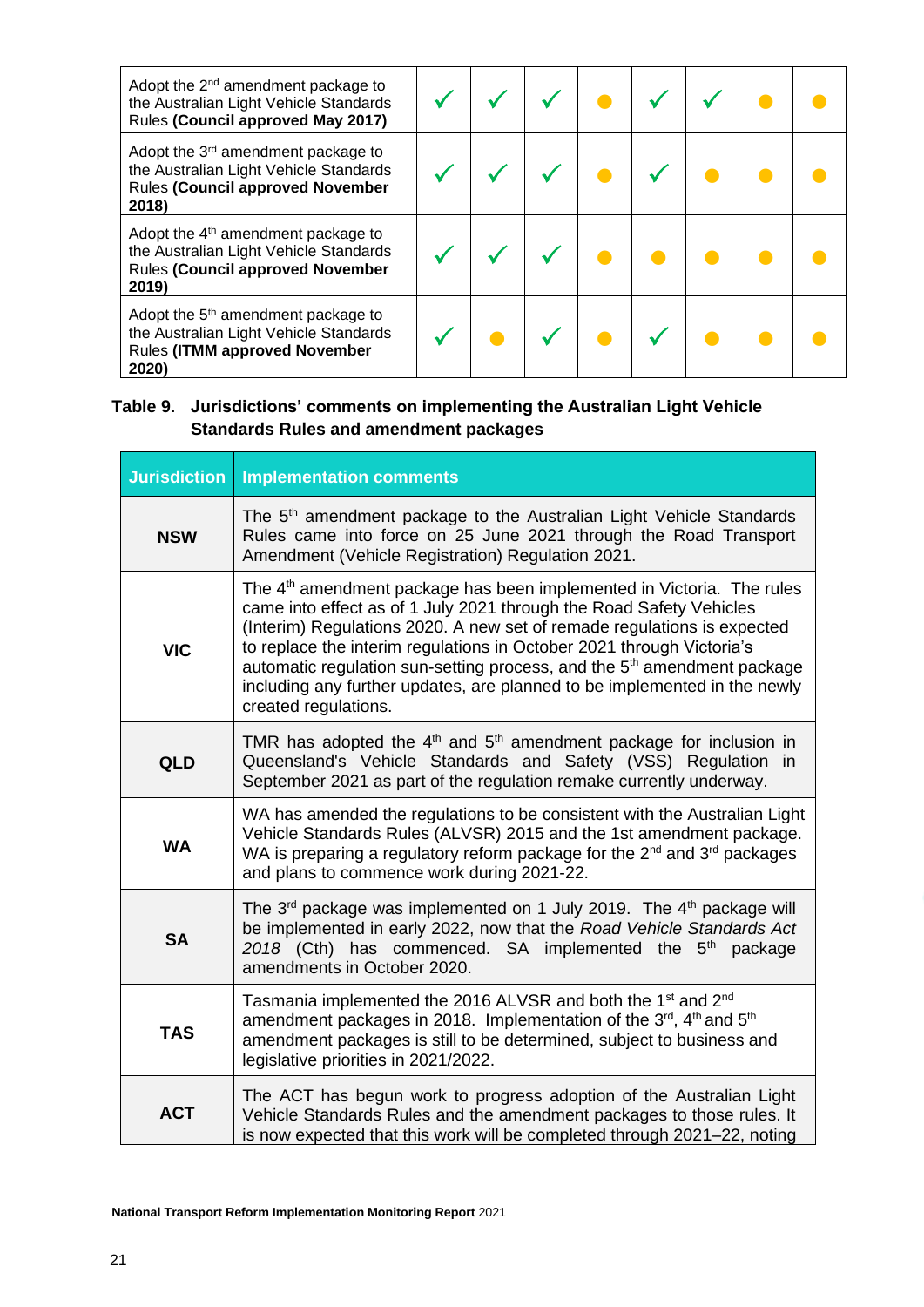| Adopt the 2 <sup>nd</sup> amendment package to<br>the Australian Light Vehicle Standards<br>Rules (Council approved May 2017)                |  |  |  |  |
|----------------------------------------------------------------------------------------------------------------------------------------------|--|--|--|--|
| Adopt the 3 <sup>rd</sup> amendment package to<br>the Australian Light Vehicle Standards<br><b>Rules (Council approved November</b><br>2018) |  |  |  |  |
| Adopt the $4th$ amendment package to<br>the Australian Light Vehicle Standards<br><b>Rules (Council approved November</b><br>2019)           |  |  |  |  |
| Adopt the 5 <sup>th</sup> amendment package to<br>the Australian Light Vehicle Standards<br><b>Rules (ITMM approved November</b><br>2020)    |  |  |  |  |

# **Table 9. Jurisdictions' comments on implementing the Australian Light Vehicle Standards Rules and amendment packages**

| <b>Jurisdiction</b> | <b>Implementation comments</b>                                                                                                                                                                                                                                                                                                                                                                                                                                                                           |
|---------------------|----------------------------------------------------------------------------------------------------------------------------------------------------------------------------------------------------------------------------------------------------------------------------------------------------------------------------------------------------------------------------------------------------------------------------------------------------------------------------------------------------------|
| <b>NSW</b>          | The 5 <sup>th</sup> amendment package to the Australian Light Vehicle Standards<br>Rules came into force on 25 June 2021 through the Road Transport<br>Amendment (Vehicle Registration) Regulation 2021.                                                                                                                                                                                                                                                                                                 |
| <b>VIC</b>          | The 4 <sup>th</sup> amendment package has been implemented in Victoria. The rules<br>came into effect as of 1 July 2021 through the Road Safety Vehicles<br>(Interim) Regulations 2020. A new set of remade regulations is expected<br>to replace the interim regulations in October 2021 through Victoria's<br>automatic regulation sun-setting process, and the 5 <sup>th</sup> amendment package<br>including any further updates, are planned to be implemented in the newly<br>created regulations. |
| <b>QLD</b>          | TMR has adopted the $4th$ and $5th$ amendment package for inclusion in<br>Queensland's Vehicle Standards and Safety (VSS) Regulation in<br>September 2021 as part of the regulation remake currently underway.                                                                                                                                                                                                                                                                                           |
| <b>WA</b>           | WA has amended the regulations to be consistent with the Australian Light<br>Vehicle Standards Rules (ALVSR) 2015 and the 1st amendment package.<br>WA is preparing a regulatory reform package for the $2^{nd}$ and $3^{rd}$ packages<br>and plans to commence work during 2021-22.                                                                                                                                                                                                                     |
| <b>SA</b>           | The 3 <sup>rd</sup> package was implemented on 1 July 2019. The 4 <sup>th</sup> package will<br>be implemented in early 2022, now that the Road Vehicle Standards Act<br>2018 (Cth) has commenced. SA implemented the $5th$ package<br>amendments in October 2020.                                                                                                                                                                                                                                       |
| <b>TAS</b>          | Tasmania implemented the 2016 ALVSR and both the 1 <sup>st</sup> and 2 <sup>nd</sup><br>amendment packages in 2018. Implementation of the 3rd, 4th and 5th<br>amendment packages is still to be determined, subject to business and<br>legislative priorities in 2021/2022.                                                                                                                                                                                                                              |
| <b>ACT</b>          | The ACT has begun work to progress adoption of the Australian Light<br>Vehicle Standards Rules and the amendment packages to those rules. It<br>is now expected that this work will be completed through 2021-22, noting                                                                                                                                                                                                                                                                                 |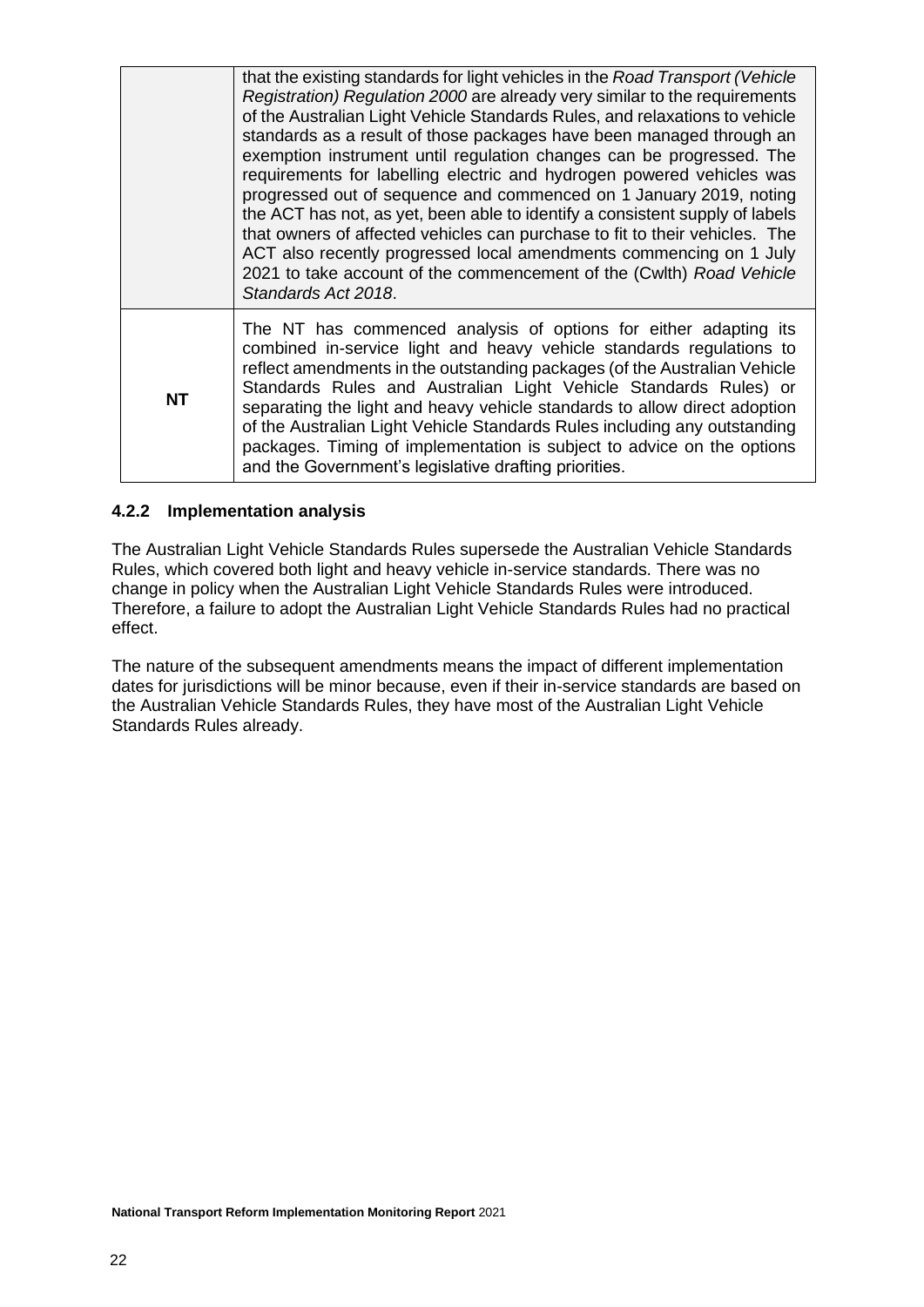| <b>NT</b> | Standards Act 2018.<br>The NT has commenced analysis of options for either adapting its<br>combined in-service light and heavy vehicle standards regulations to<br>reflect amendments in the outstanding packages (of the Australian Vehicle<br>Standards Rules and Australian Light Vehicle Standards Rules) or<br>separating the light and heavy vehicle standards to allow direct adoption<br>of the Australian Light Vehicle Standards Rules including any outstanding<br>packages. Timing of implementation is subject to advice on the options<br>and the Government's legislative drafting priorities.                                                                                                                                                                                                                                          |
|-----------|--------------------------------------------------------------------------------------------------------------------------------------------------------------------------------------------------------------------------------------------------------------------------------------------------------------------------------------------------------------------------------------------------------------------------------------------------------------------------------------------------------------------------------------------------------------------------------------------------------------------------------------------------------------------------------------------------------------------------------------------------------------------------------------------------------------------------------------------------------|
|           | that the existing standards for light vehicles in the Road Transport (Vehicle<br>Registration) Regulation 2000 are already very similar to the requirements<br>of the Australian Light Vehicle Standards Rules, and relaxations to vehicle<br>standards as a result of those packages have been managed through an<br>exemption instrument until regulation changes can be progressed. The<br>requirements for labelling electric and hydrogen powered vehicles was<br>progressed out of sequence and commenced on 1 January 2019, noting<br>the ACT has not, as yet, been able to identify a consistent supply of labels<br>that owners of affected vehicles can purchase to fit to their vehicles. The<br>ACT also recently progressed local amendments commencing on 1 July<br>2021 to take account of the commencement of the (Cwith) Road Vehicle |

## <span id="page-21-0"></span>**4.2.2 Implementation analysis**

The Australian Light Vehicle Standards Rules supersede the Australian Vehicle Standards Rules, which covered both light and heavy vehicle in-service standards. There was no change in policy when the Australian Light Vehicle Standards Rules were introduced. Therefore, a failure to adopt the Australian Light Vehicle Standards Rules had no practical effect.

The nature of the subsequent amendments means the impact of different implementation dates for jurisdictions will be minor because, even if their in-service standards are based on the Australian Vehicle Standards Rules, they have most of the Australian Light Vehicle Standards Rules already.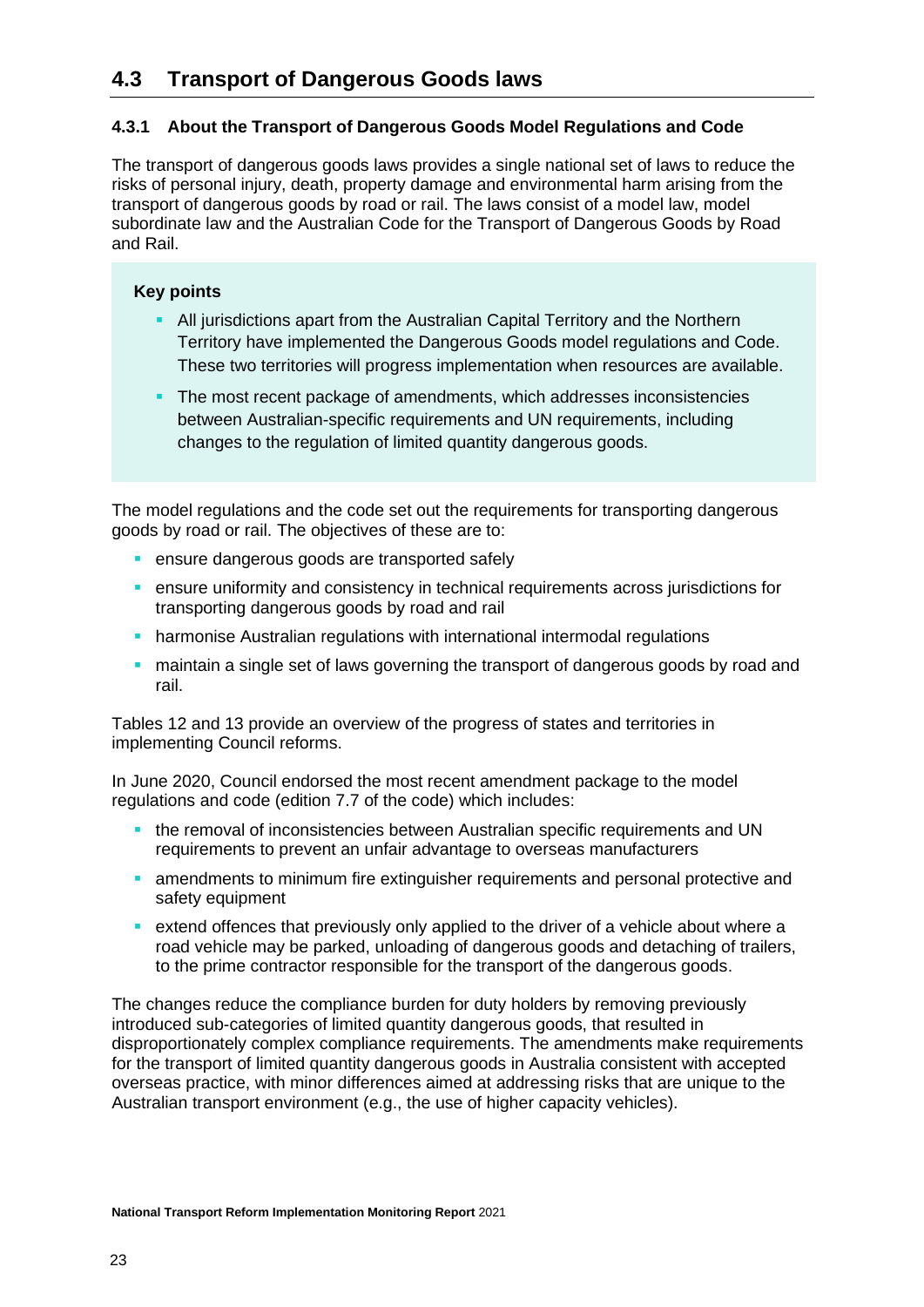# <span id="page-22-0"></span>**4.3 Transport of Dangerous Goods laws**

## <span id="page-22-1"></span>**4.3.1 About the Transport of Dangerous Goods Model Regulations and Code**

The transport of dangerous goods laws provides a single national set of laws to reduce the risks of personal injury, death, property damage and environmental harm arising from the transport of dangerous goods by road or rail. The laws consist of a model law, model subordinate law and the Australian Code for the Transport of Dangerous Goods by Road and Rail.

### **Key points**

- **EXTENDITION** All jurisdictions apart from the Australian Capital Territory and the Northern Territory have implemented the Dangerous Goods model regulations and Code. These two territories will progress implementation when resources are available.
- **The most recent package of amendments, which addresses inconsistencies** between Australian-specific requirements and UN requirements, including changes to the regulation of limited quantity dangerous goods.

The model regulations and the code set out the requirements for transporting dangerous goods by road or rail. The objectives of these are to:

- **EXECUTE:** ensure dangerous goods are transported safely
- **E** ensure uniformity and consistency in technical requirements across jurisdictions for transporting dangerous goods by road and rail
- **harmonise Australian regulations with international intermodal regulations**
- **E** maintain a single set of laws governing the transport of dangerous goods by road and rail.

Tables 12 and 13 provide an overview of the progress of states and territories in implementing Council reforms.

In June 2020, Council endorsed the most recent amendment package to the model regulations and code (edition 7.7 of the code) which includes:

- **.** the removal of inconsistencies between Australian specific requirements and UN requirements to prevent an unfair advantage to overseas manufacturers
- **E** amendments to minimum fire extinguisher requirements and personal protective and safety equipment
- extend offences that previously only applied to the driver of a vehicle about where a road vehicle may be parked, unloading of dangerous goods and detaching of trailers, to the prime contractor responsible for the transport of the dangerous goods.

The changes reduce the compliance burden for duty holders by removing previously introduced sub-categories of limited quantity dangerous goods, that resulted in disproportionately complex compliance requirements. The amendments make requirements for the transport of limited quantity dangerous goods in Australia consistent with accepted overseas practice, with minor differences aimed at addressing risks that are unique to the Australian transport environment (e.g., the use of higher capacity vehicles).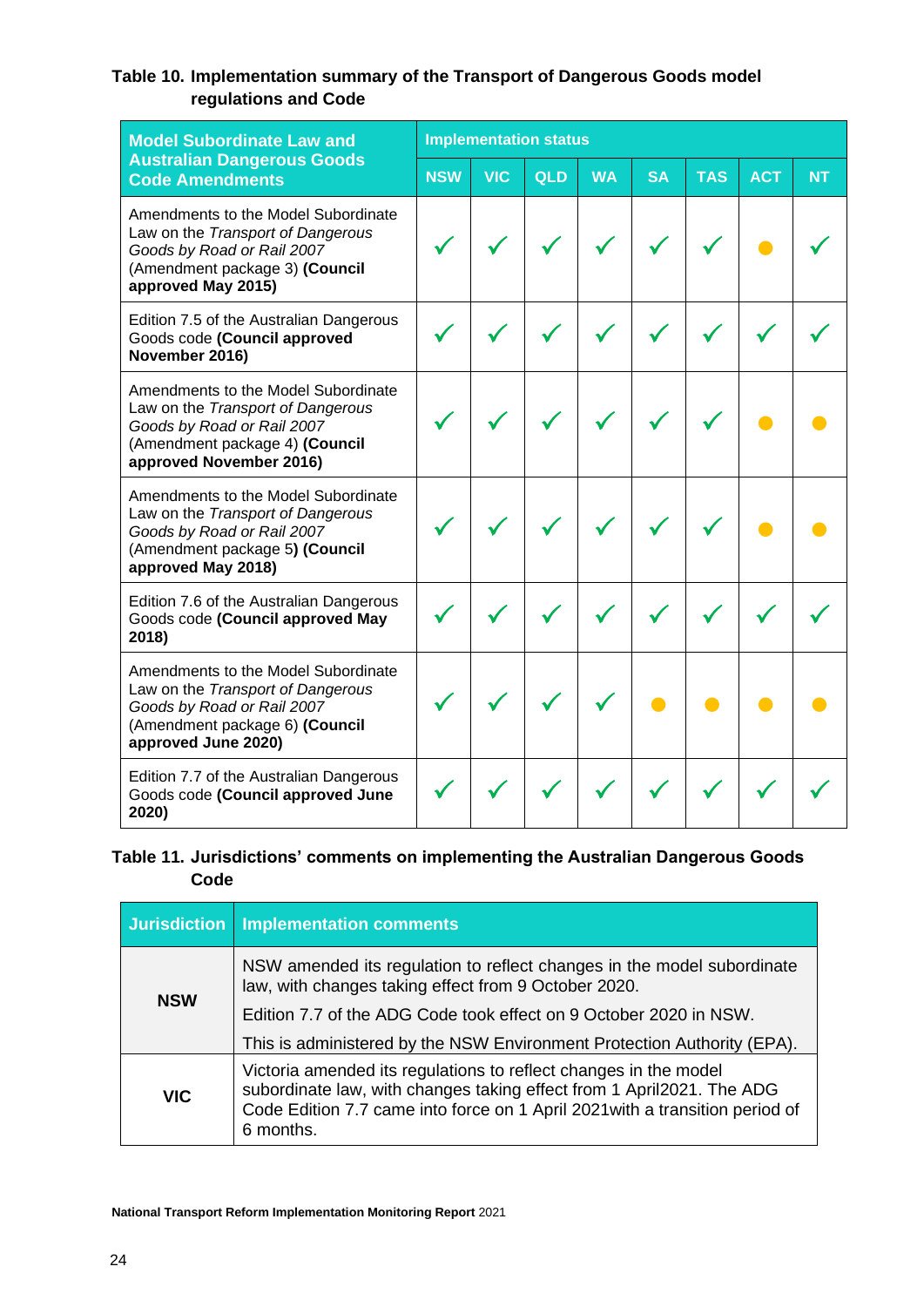# **Table 10. Implementation summary of the Transport of Dangerous Goods model regulations and Code**

| <b>Model Subordinate Law and</b>                                                                                                                                    |            | <b>Implementation status</b> |     |           |           |            |            |           |  |  |
|---------------------------------------------------------------------------------------------------------------------------------------------------------------------|------------|------------------------------|-----|-----------|-----------|------------|------------|-----------|--|--|
| <b>Australian Dangerous Goods</b><br><b>Code Amendments</b>                                                                                                         | <b>NSW</b> | <b>VIC</b>                   | QLD | <b>WA</b> | <b>SA</b> | <b>TAS</b> | <b>ACT</b> | <b>NT</b> |  |  |
| Amendments to the Model Subordinate<br>Law on the Transport of Dangerous<br>Goods by Road or Rail 2007<br>(Amendment package 3) (Council<br>approved May 2015)      |            |                              |     |           |           |            |            |           |  |  |
| Edition 7.5 of the Australian Dangerous<br>Goods code (Council approved<br>November 2016)                                                                           |            |                              |     |           |           |            |            |           |  |  |
| Amendments to the Model Subordinate<br>Law on the Transport of Dangerous<br>Goods by Road or Rail 2007<br>(Amendment package 4) (Council<br>approved November 2016) |            |                              |     |           |           |            |            |           |  |  |
| Amendments to the Model Subordinate<br>Law on the Transport of Dangerous<br>Goods by Road or Rail 2007<br>(Amendment package 5) (Council<br>approved May 2018)      |            |                              |     |           |           |            |            |           |  |  |
| Edition 7.6 of the Australian Dangerous<br>Goods code (Council approved May<br>2018)                                                                                |            |                              |     |           |           |            |            |           |  |  |
| Amendments to the Model Subordinate<br>Law on the Transport of Dangerous<br>Goods by Road or Rail 2007<br>(Amendment package 6) (Council<br>approved June 2020)     |            |                              |     |           |           |            |            |           |  |  |
| Edition 7.7 of the Australian Dangerous<br>Goods code (Council approved June<br>2020)                                                                               |            |                              |     |           |           |            |            |           |  |  |

# **Table 11. Jurisdictions' comments on implementing the Australian Dangerous Goods Code**

|            | Jurisdiction   Implementation comments                                                                                                                                                                                                 |
|------------|----------------------------------------------------------------------------------------------------------------------------------------------------------------------------------------------------------------------------------------|
| <b>NSW</b> | NSW amended its regulation to reflect changes in the model subordinate<br>law, with changes taking effect from 9 October 2020.                                                                                                         |
|            | Edition 7.7 of the ADG Code took effect on 9 October 2020 in NSW.                                                                                                                                                                      |
|            | This is administered by the NSW Environment Protection Authority (EPA).                                                                                                                                                                |
| <b>VIC</b> | Victoria amended its regulations to reflect changes in the model<br>subordinate law, with changes taking effect from 1 April2021. The ADG<br>Code Edition 7.7 came into force on 1 April 2021 with a transition period of<br>6 months. |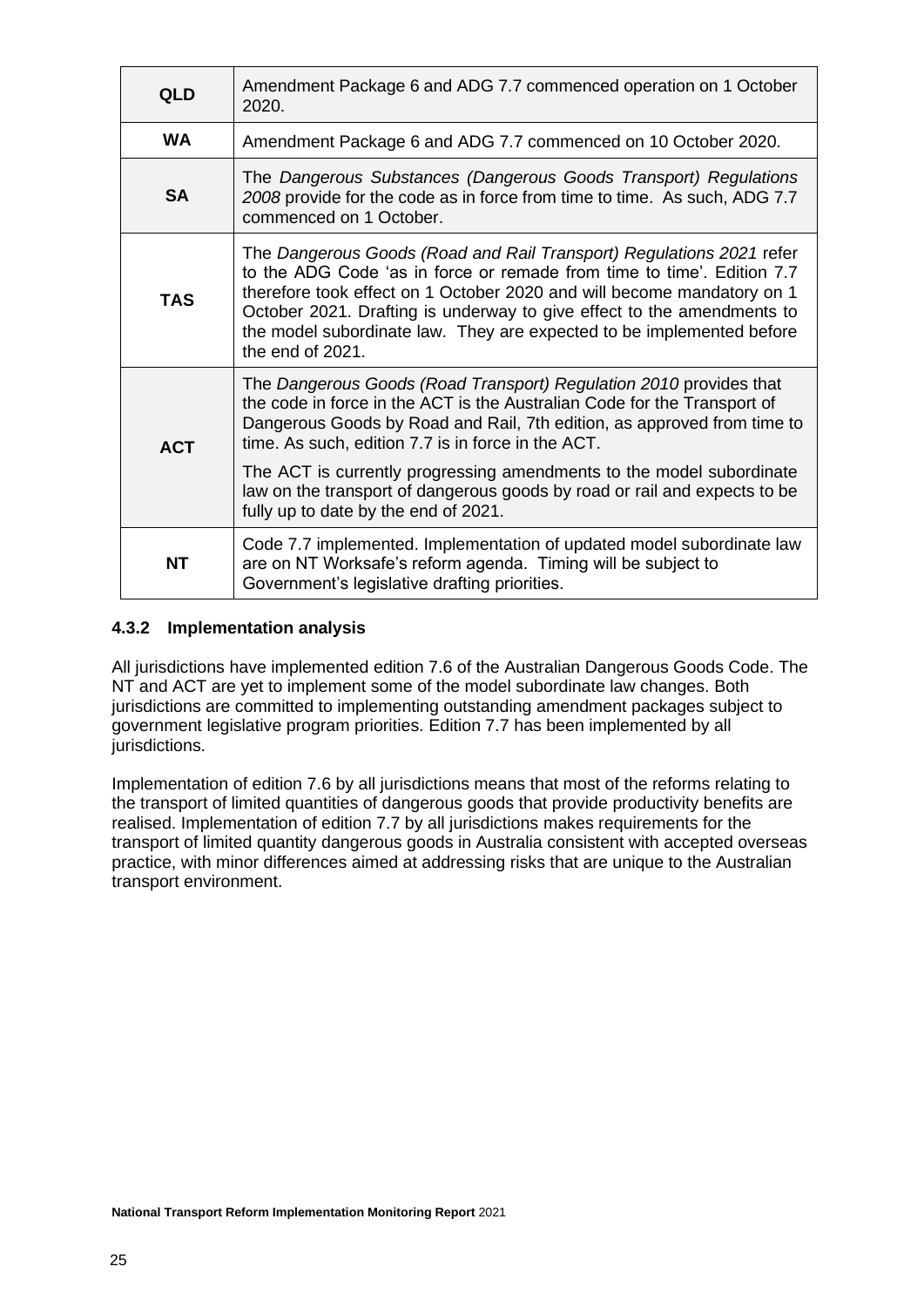| <b>QLD</b> | Amendment Package 6 and ADG 7.7 commenced operation on 1 October<br>2020.                                                                                                                                                                                                                                                                                                                                                                                                    |
|------------|------------------------------------------------------------------------------------------------------------------------------------------------------------------------------------------------------------------------------------------------------------------------------------------------------------------------------------------------------------------------------------------------------------------------------------------------------------------------------|
| <b>WA</b>  | Amendment Package 6 and ADG 7.7 commenced on 10 October 2020.                                                                                                                                                                                                                                                                                                                                                                                                                |
| <b>SA</b>  | The Dangerous Substances (Dangerous Goods Transport) Regulations<br>2008 provide for the code as in force from time to time. As such, ADG 7.7<br>commenced on 1 October.                                                                                                                                                                                                                                                                                                     |
| <b>TAS</b> | The Dangerous Goods (Road and Rail Transport) Regulations 2021 refer<br>to the ADG Code 'as in force or remade from time to time'. Edition 7.7<br>therefore took effect on 1 October 2020 and will become mandatory on 1<br>October 2021. Drafting is underway to give effect to the amendments to<br>the model subordinate law. They are expected to be implemented before<br>the end of 2021.                                                                              |
| <b>ACT</b> | The Dangerous Goods (Road Transport) Regulation 2010 provides that<br>the code in force in the ACT is the Australian Code for the Transport of<br>Dangerous Goods by Road and Rail, 7th edition, as approved from time to<br>time. As such, edition 7.7 is in force in the ACT.<br>The ACT is currently progressing amendments to the model subordinate<br>law on the transport of dangerous goods by road or rail and expects to be<br>fully up to date by the end of 2021. |
| <b>NT</b>  | Code 7.7 implemented. Implementation of updated model subordinate law<br>are on NT Worksafe's reform agenda. Timing will be subject to<br>Government's legislative drafting priorities.                                                                                                                                                                                                                                                                                      |

## <span id="page-24-0"></span>**4.3.2 Implementation analysis**

All jurisdictions have implemented edition 7.6 of the Australian Dangerous Goods Code. The NT and ACT are yet to implement some of the model subordinate law changes. Both jurisdictions are committed to implementing outstanding amendment packages subject to government legislative program priorities. Edition 7.7 has been implemented by all jurisdictions.

Implementation of edition 7.6 by all jurisdictions means that most of the reforms relating to the transport of limited quantities of dangerous goods that provide productivity benefits are realised. Implementation of edition 7.7 by all jurisdictions makes requirements for the transport of limited quantity dangerous goods in Australia consistent with accepted overseas practice, with minor differences aimed at addressing risks that are unique to the Australian transport environment.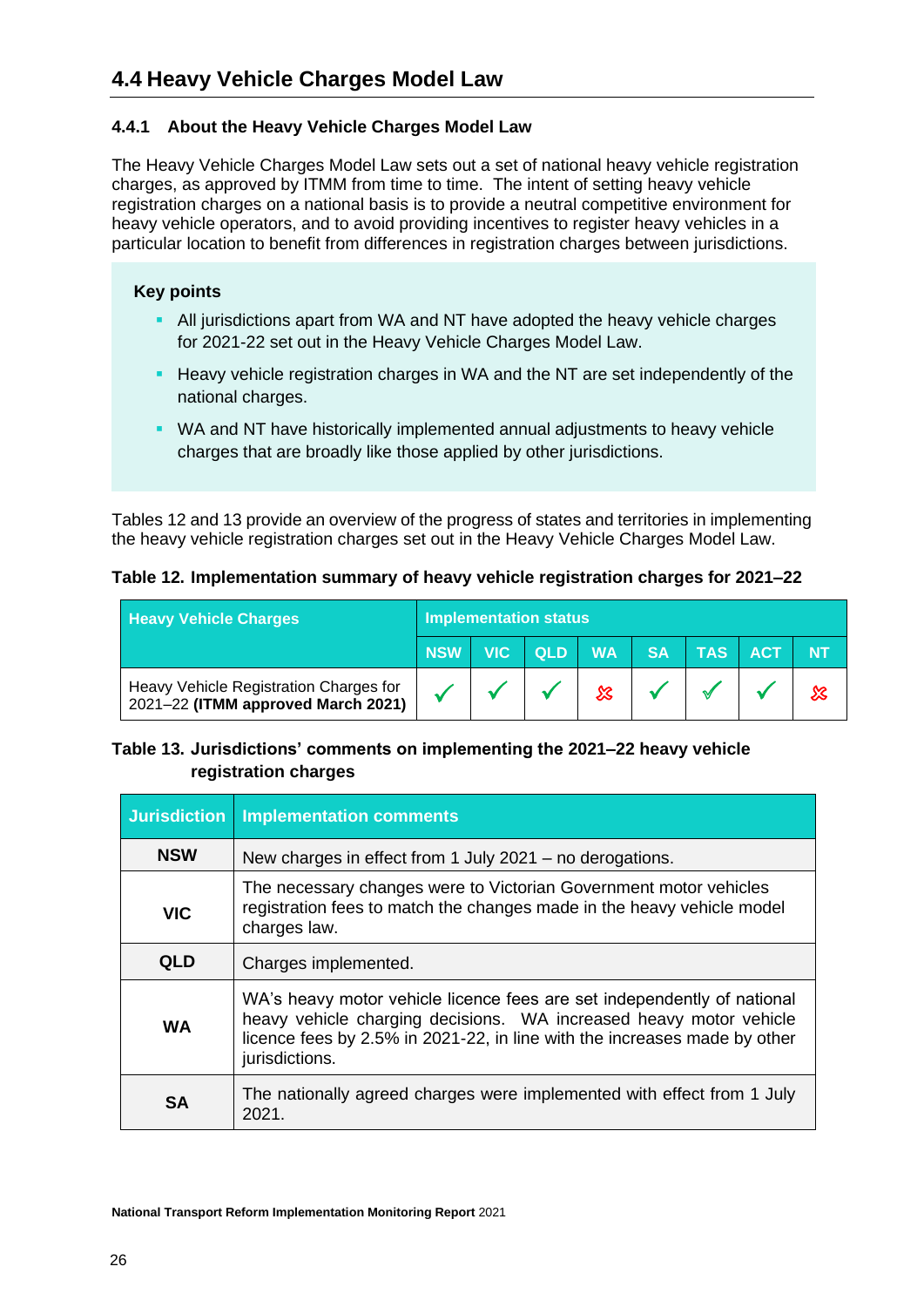# <span id="page-25-1"></span><span id="page-25-0"></span>**4.4.1 About the Heavy Vehicle Charges Model Law**

The Heavy Vehicle Charges Model Law sets out a set of national heavy vehicle registration charges, as approved by ITMM from time to time. The intent of setting heavy vehicle registration charges on a national basis is to provide a neutral competitive environment for heavy vehicle operators, and to avoid providing incentives to register heavy vehicles in a particular location to benefit from differences in registration charges between jurisdictions.

# **Key points**

- **EXTEND 15 All jurisdictions apart from WA and NT have adopted the heavy vehicle charges** for 2021-22 set out in the Heavy Vehicle Charges Model Law.
- **EXECT** Heavy vehicle registration charges in WA and the NT are set independently of the national charges.
- WA and NT have historically implemented annual adjustments to heavy vehicle charges that are broadly like those applied by other jurisdictions.

Tables 12 and 13 provide an overview of the progress of states and territories in implementing the heavy vehicle registration charges set out in the Heavy Vehicle Charges Model Law.

## **Table 12. Implementation summary of heavy vehicle registration charges for 2021–22**

| <b>Heavy Vehicle Charges</b>                                                 | <b>Implementation status</b> |  |  |   |  |                           |  |
|------------------------------------------------------------------------------|------------------------------|--|--|---|--|---------------------------|--|
|                                                                              |                              |  |  |   |  | NSW VIC QLD WA SA TAS ACT |  |
| Heavy Vehicle Registration Charges for<br>2021-22 (ITMM approved March 2021) |                              |  |  | ⅏ |  |                           |  |

# **Table 13. Jurisdictions' comments on implementing the 2021–22 heavy vehicle registration charges**

| Jurisdiction | <b>Implementation comments</b>                                                                                                                                                                                                               |
|--------------|----------------------------------------------------------------------------------------------------------------------------------------------------------------------------------------------------------------------------------------------|
| <b>NSW</b>   | New charges in effect from 1 July 2021 - no derogations.                                                                                                                                                                                     |
| <b>VIC</b>   | The necessary changes were to Victorian Government motor vehicles<br>registration fees to match the changes made in the heavy vehicle model<br>charges law.                                                                                  |
| <b>QLD</b>   | Charges implemented.                                                                                                                                                                                                                         |
| <b>WA</b>    | WA's heavy motor vehicle licence fees are set independently of national<br>heavy vehicle charging decisions. WA increased heavy motor vehicle<br>licence fees by 2.5% in 2021-22, in line with the increases made by other<br>jurisdictions. |
| <b>SA</b>    | The nationally agreed charges were implemented with effect from 1 July<br>2021.                                                                                                                                                              |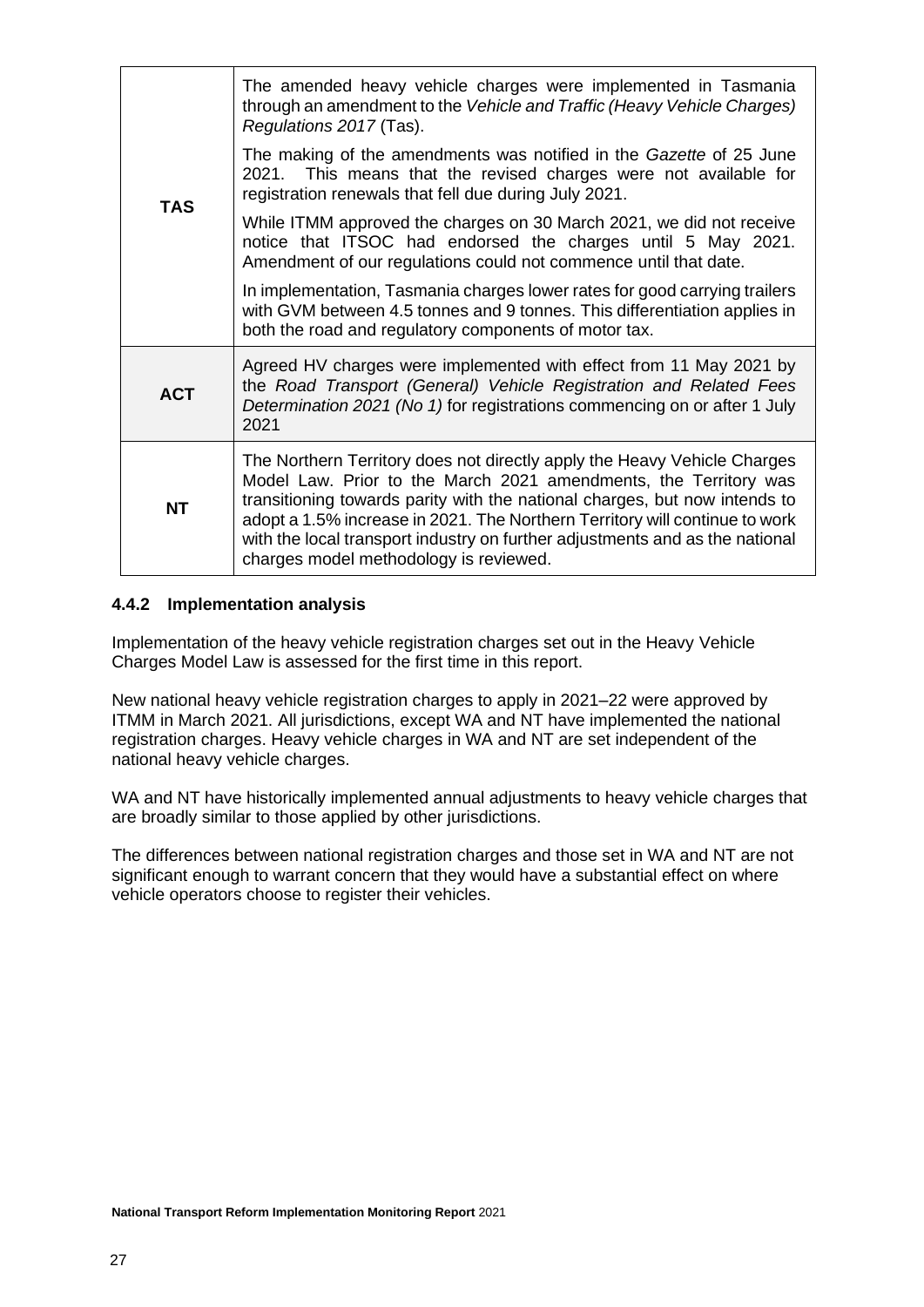|            | The amended heavy vehicle charges were implemented in Tasmania<br>through an amendment to the Vehicle and Traffic (Heavy Vehicle Charges)<br>Regulations 2017 (Tas).                                                                                                                                                                                                                                                                |
|------------|-------------------------------------------------------------------------------------------------------------------------------------------------------------------------------------------------------------------------------------------------------------------------------------------------------------------------------------------------------------------------------------------------------------------------------------|
| <b>TAS</b> | The making of the amendments was notified in the Gazette of 25 June<br>2021. This means that the revised charges were not available for<br>registration renewals that fell due during July 2021.                                                                                                                                                                                                                                    |
|            | While ITMM approved the charges on 30 March 2021, we did not receive<br>notice that ITSOC had endorsed the charges until 5 May 2021.<br>Amendment of our regulations could not commence until that date.                                                                                                                                                                                                                            |
|            | In implementation, Tasmania charges lower rates for good carrying trailers<br>with GVM between 4.5 tonnes and 9 tonnes. This differentiation applies in<br>both the road and regulatory components of motor tax.                                                                                                                                                                                                                    |
| <b>ACT</b> | Agreed HV charges were implemented with effect from 11 May 2021 by<br>the Road Transport (General) Vehicle Registration and Related Fees<br>Determination 2021 (No 1) for registrations commencing on or after 1 July<br>2021                                                                                                                                                                                                       |
| <b>NT</b>  | The Northern Territory does not directly apply the Heavy Vehicle Charges<br>Model Law. Prior to the March 2021 amendments, the Territory was<br>transitioning towards parity with the national charges, but now intends to<br>adopt a 1.5% increase in 2021. The Northern Territory will continue to work<br>with the local transport industry on further adjustments and as the national<br>charges model methodology is reviewed. |

### <span id="page-26-0"></span>**4.4.2 Implementation analysis**

Implementation of the heavy vehicle registration charges set out in the Heavy Vehicle Charges Model Law is assessed for the first time in this report.

New national heavy vehicle registration charges to apply in 2021–22 were approved by ITMM in March 2021. All jurisdictions, except WA and NT have implemented the national registration charges. Heavy vehicle charges in WA and NT are set independent of the national heavy vehicle charges.

WA and NT have historically implemented annual adjustments to heavy vehicle charges that are broadly similar to those applied by other jurisdictions.

The differences between national registration charges and those set in WA and NT are not significant enough to warrant concern that they would have a substantial effect on where vehicle operators choose to register their vehicles.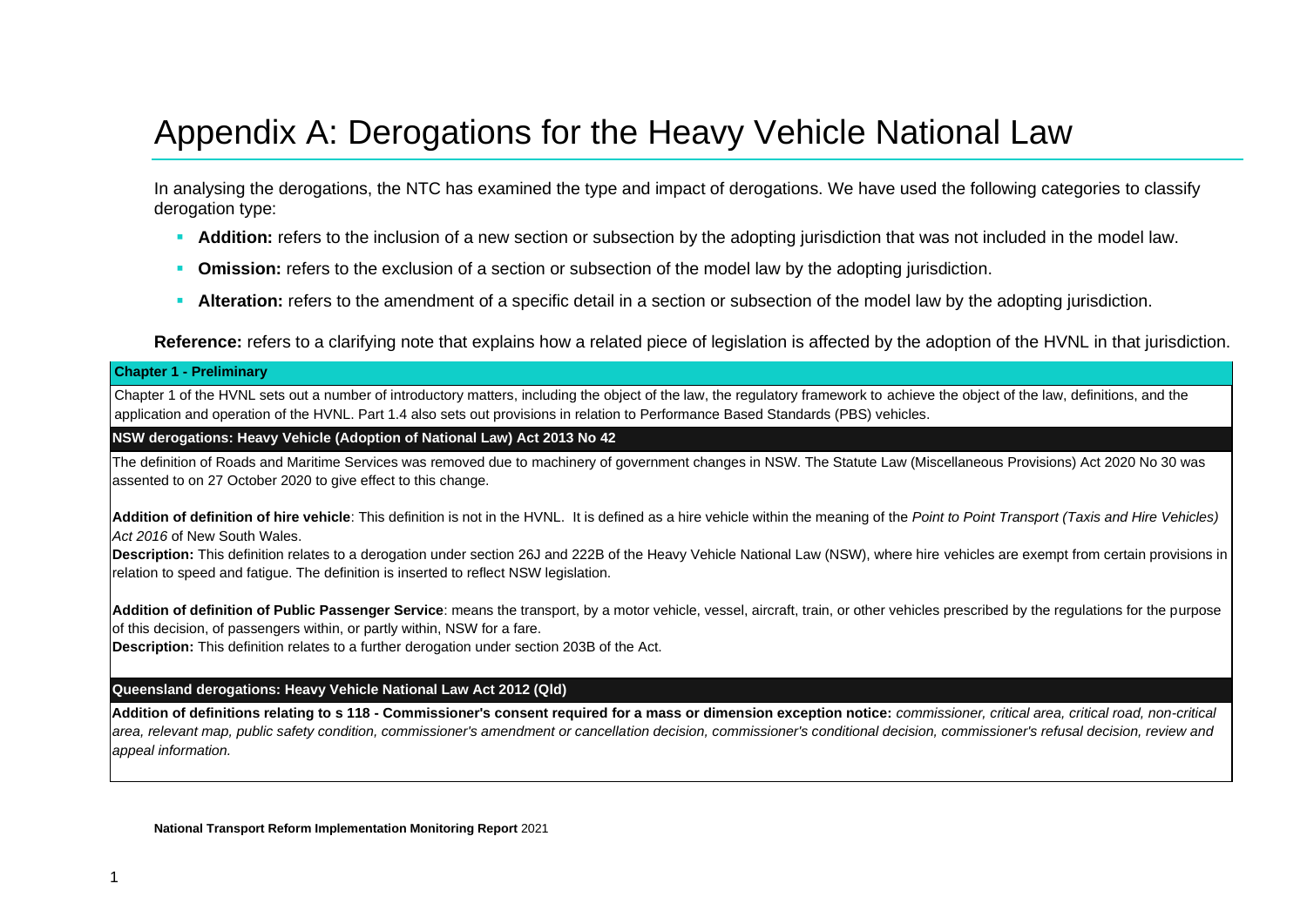# Appendix A: Derogations for the Heavy Vehicle National Law

In analysing the derogations, the NTC has examined the type and impact of derogations. We have used the following categories to classify derogation type:

- **Addition:** refers to the inclusion of a new section or subsection by the adopting jurisdiction that was not included in the model law.
- **Omission:** refers to the exclusion of a section or subsection of the model law by the adopting jurisdiction.
- **EXTER Alteration:** refers to the amendment of a specific detail in a section or subsection of the model law by the adopting jurisdiction.

**Reference:** refers to a clarifying note that explains how a related piece of legislation is affected by the adoption of the HVNL in that jurisdiction.

#### **Chapter 1 - Preliminary**

Chapter 1 of the HVNL sets out a number of introductory matters, including the object of the law, the regulatory framework to achieve the object of the law, definitions, and the application and operation of the HVNL. Part 1.4 also sets out provisions in relation to Performance Based Standards (PBS) vehicles.

#### **NSW derogations: Heavy Vehicle (Adoption of National Law) Act 2013 No 42**

The definition of Roads and Maritime Services was removed due to machinery of government changes in NSW. The Statute Law (Miscellaneous Provisions) Act 2020 No 30 was assented to on 27 October 2020 to give effect to this change.

<span id="page-27-0"></span>**Addition of definition of hire vehicle**: This definition is not in the HVNL. It is defined as a hire vehicle within the meaning of the *Point to Point Transport (Taxis and Hire Vehicles) Act 2016* of New South Wales.

**Description:** This definition relates to a derogation under section 26J and 222B of the Heavy Vehicle National Law (NSW), where hire vehicles are exempt from certain provisions in relation to speed and fatigue. The definition is inserted to reflect NSW legislation.

**Addition of definition of Public Passenger Service**: means the transport, by a motor vehicle, vessel, aircraft, train, or other vehicles prescribed by the regulations for the purpose of this decision, of passengers within, or partly within, NSW for a fare.

**Description:** This definition relates to a further derogation under section 203B of the Act.

#### **Queensland derogations: Heavy Vehicle National Law Act 2012 (Qld)**

**Addition of definitions relating to s 118 - Commissioner's consent required for a mass or dimension exception notice:** *commissioner, critical area, critical road, non-critical area, relevant map, public safety condition, commissioner's amendment or cancellation decision, commissioner's conditional decision, commissioner's refusal decision, review and appeal information.*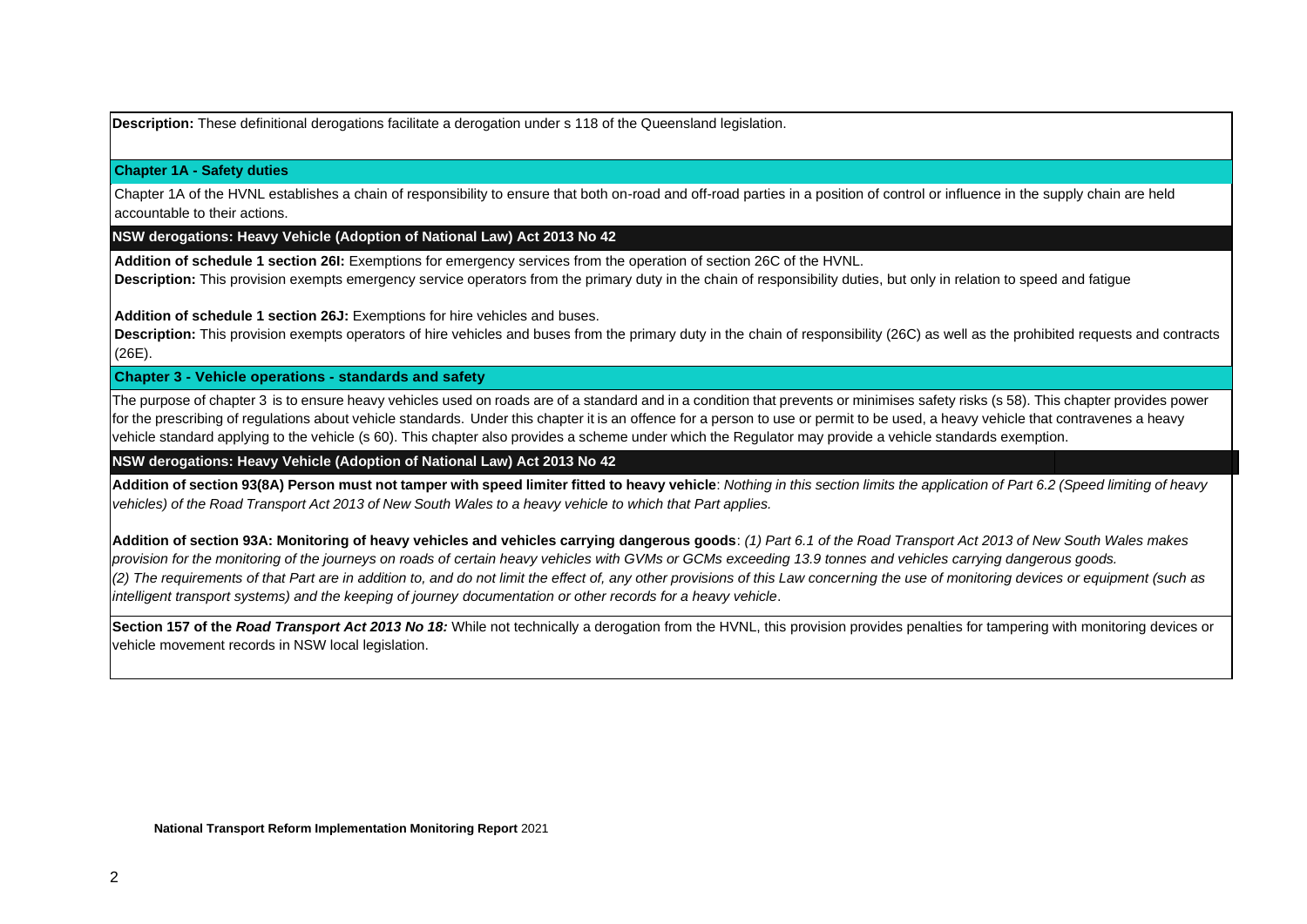**Description:** These definitional derogations facilitate a derogation under s 118 of the Queensland legislation.

#### **Chapter 1A - Safety duties**

Chapter 1A of the HVNL establishes a chain of responsibility to ensure that both on-road and off-road parties in a position of control or influence in the supply chain are held accountable to their actions.

#### **NSW derogations: Heavy Vehicle (Adoption of National Law) Act 2013 No 42**

**Addition of schedule 1 section 26I:** Exemptions for emergency services from the operation of section 26C of the HVNL. **Description:** This provision exempts emergency service operators from the primary duty in the chain of responsibility duties, but only in relation to speed and fatigue

**Addition of schedule 1 section 26J:** Exemptions for hire vehicles and buses.

**Description:** This provision exempts operators of hire vehicles and buses from the primary duty in the chain of responsibility (26C) as well as the prohibited requests and contracts (26E).

#### **Chapter 3 - Vehicle operations - standards and safety**

The purpose of chapter 3 is to ensure heavy vehicles used on roads are of a standard and in a condition that prevents or minimises safety risks (s 58). This chapter provides power for the prescribing of regulations about vehicle standards. Under this chapter it is an offence for a person to use or permit to be used, a heavy vehicle that contravenes a heavy vehicle standard applying to the vehicle (s 60). This chapter also provides a scheme under which the Regulator may provide a vehicle standards exemption.

#### **NSW derogations: Heavy Vehicle (Adoption of National Law) Act 2013 No 42**

Addition of section 93(8A) Person must not tamper with speed limiter fitted to heavy vehicle: Nothing in this section limits the application of Part 6.2 (Speed limiting of heavy *vehicles) of the Road Transport Act 2013 of New South Wales to a heavy vehicle to which that Part applies.*

**Addition of section 93A: Monitoring of heavy vehicles and vehicles carrying dangerous goods**: *(1) Part 6.1 of the Road Transport Act 2013 of New South Wales makes provision for the monitoring of the journeys on roads of certain heavy vehicles with GVMs or GCMs exceeding 13.9 tonnes and vehicles carrying dangerous goods. (2) The requirements of that Part are in addition to, and do not limit the effect of, any other provisions of this Law concerning the use of monitoring devices or equipment (such as intelligent transport systems) and the keeping of journey documentation or other records for a heavy vehicle*.

Section 157 of the *Road Transport Act 2013 No 18:* While not technically a derogation from the HVNL, this provision provides penalties for tampering with monitoring devices or vehicle movement records in NSW local legislation.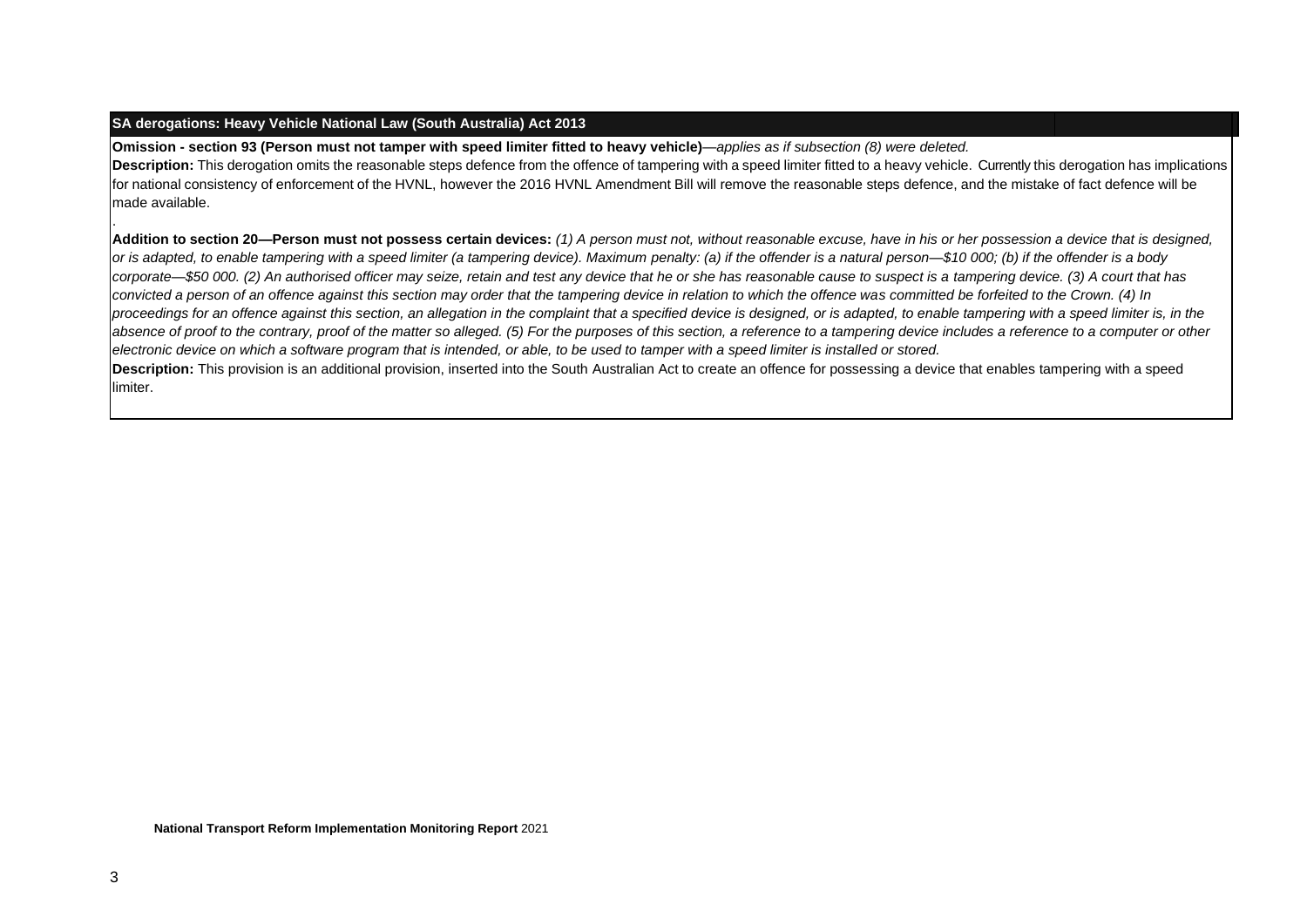#### **SA derogations: Heavy Vehicle National Law (South Australia) Act 2013**

**Omission - section 93 (Person must not tamper with speed limiter fitted to heavy vehicle)**—*applies as if subsection (8) were deleted.* Description: This derogation omits the reasonable steps defence from the offence of tampering with a speed limiter fitted to a heavy vehicle. Currently this derogation has implications for national consistency of enforcement of the HVNL, however the 2016 HVNL Amendment Bill will remove the reasonable steps defence, and the mistake of fact defence will be made available.

**Addition to section 20—Person must not possess certain devices:** *(1) A person must not, without reasonable excuse, have in his or her possession a device that is designed, or is adapted, to enable tampering with a speed limiter (a tampering device). Maximum penalty: (a) if the offender is a natural person—\$10 000; (b) if the offender is a body corporate—\$50 000. (2) An authorised officer may seize, retain and test any device that he or she has reasonable cause to suspect is a tampering device. (3) A court that has convicted a person of an offence against this section may order that the tampering device in relation to which the offence was committed be forfeited to the Crown. (4) In*  proceedings for an offence against this section, an allegation in the complaint that a specified device is designed, or is adapted, to enable tampering with a speed limiter is, in the absence of proof to the contrary, proof of the matter so alleged. (5) For the purposes of this section, a reference to a tampering device includes a reference to a computer or other *electronic device on which a software program that is intended, or able, to be used to tamper with a speed limiter is installed or stored.* **Description:** This provision is an additional provision, inserted into the South Australian Act to create an offence for possessing a device that enables tampering with a speed limiter.

.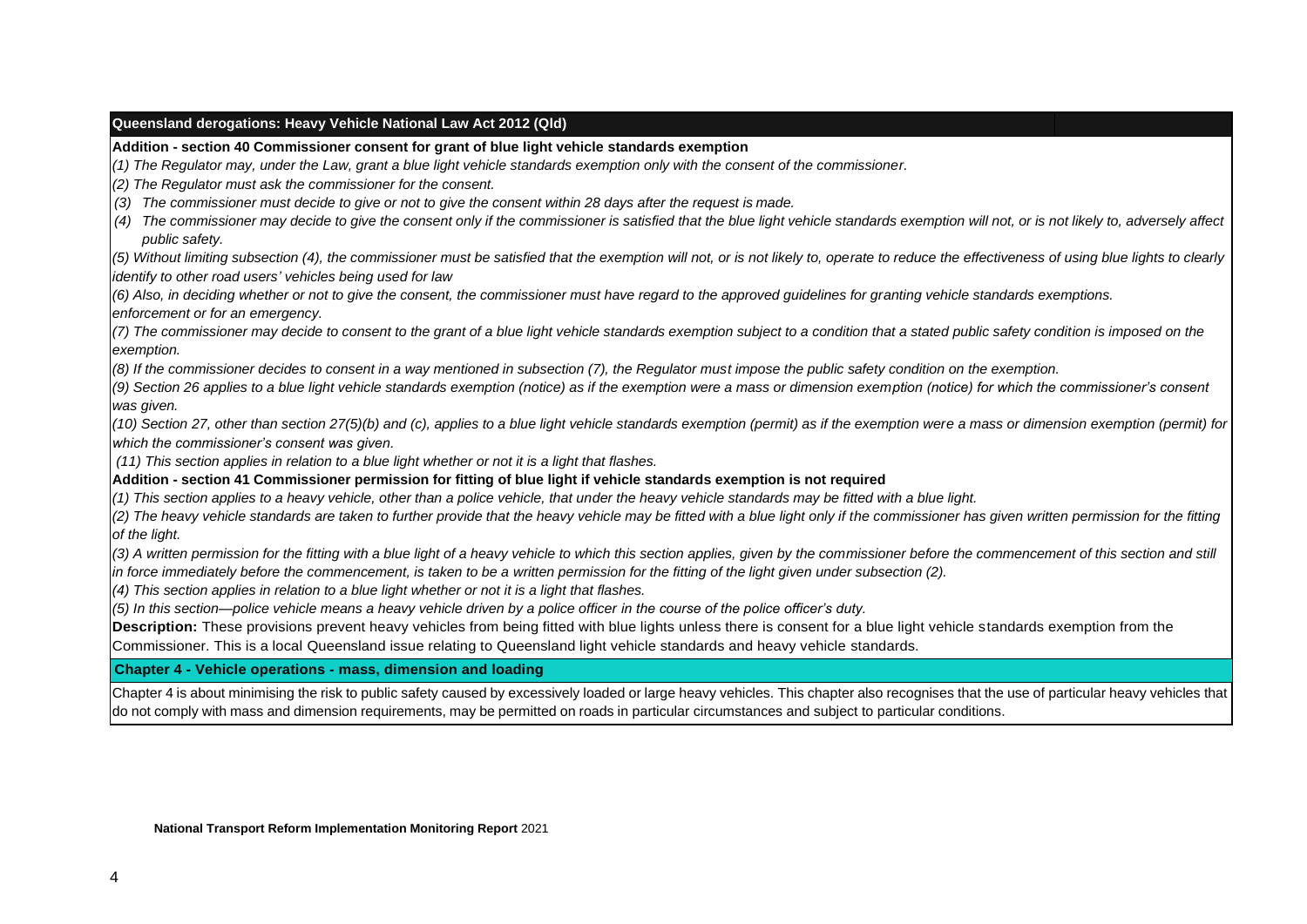#### **Queensland derogations: Heavy Vehicle National Law Act 2012 (Qld)**

**Addition - section 40 Commissioner consent for grant of blue light vehicle standards exemption**

*(1) The Regulator may, under the Law, grant a blue light vehicle standards exemption only with the consent of the commissioner.*

*(2) The Regulator must ask the commissioner for the consent.*

*(3) The commissioner must decide to give or not to give the consent within 28 days after the request is made.*

(4) The commissioner may decide to give the consent only if the commissioner is satisfied that the blue light vehicle standards exemption will not, or is not likely to, adversely affect *public safety.*

*(5) Without limiting subsection (4), the commissioner must be satisfied that the exemption will not, or is not likely to, operate to reduce the effectiveness of using blue lights to clearly identify to other road users' vehicles being used for law*

*(6) Also, in deciding whether or not to give the consent, the commissioner must have regard to the approved guidelines for granting vehicle standards exemptions. enforcement or for an emergency.*

*(7) The commissioner may decide to consent to the grant of a blue light vehicle standards exemption subject to a condition that a stated public safety condition is imposed on the exemption.*

*(8) If the commissioner decides to consent in a way mentioned in subsection (7), the Regulator must impose the public safety condition on the exemption.*

*(9) Section 26 applies to a blue light vehicle standards exemption (notice) as if the exemption were a mass or dimension exemption (notice) for which the commissioner's consent was given.*

*(10) Section 27, other than section 27(5)(b) and (c), applies to a blue light vehicle standards exemption (permit) as if the exemption were a mass or dimension exemption (permit) for which the commissioner's consent was given.*

*(11) This section applies in relation to a blue light whether or not it is a light that flashes.*

**Addition - section 41 Commissioner permission for fitting of blue light if vehicle standards exemption is not required**

*(1) This section applies to a heavy vehicle, other than a police vehicle, that under the heavy vehicle standards may be fitted with a blue light.*

*(2) The heavy vehicle standards are taken to further provide that the heavy vehicle may be fitted with a blue light only if the commissioner has given written permission for the fitting of the light.*

*(3) A written permission for the fitting with a blue light of a heavy vehicle to which this section applies, given by the commissioner before the commencement of this section and still in force immediately before the commencement, is taken to be a written permission for the fitting of the light given under subsection (2).*

*(4) This section applies in relation to a blue light whether or not it is a light that flashes.*

*(5) In this section—police vehicle means a heavy vehicle driven by a police officer in the course of the police officer's duty.*

**Description:** These provisions prevent heavy vehicles from being fitted with blue lights unless there is consent for a blue light vehicle standards exemption from the Commissioner. This is a local Queensland issue relating to Queensland light vehicle standards and heavy vehicle standards.

**Chapter 4 - Vehicle operations - mass, dimension and loading**

Chapter 4 is about minimising the risk to public safety caused by excessively loaded or large heavy vehicles. This chapter also recognises that the use of particular heavy vehicles that do not comply with mass and dimension requirements, may be permitted on roads in particular circumstances and subject to particular conditions.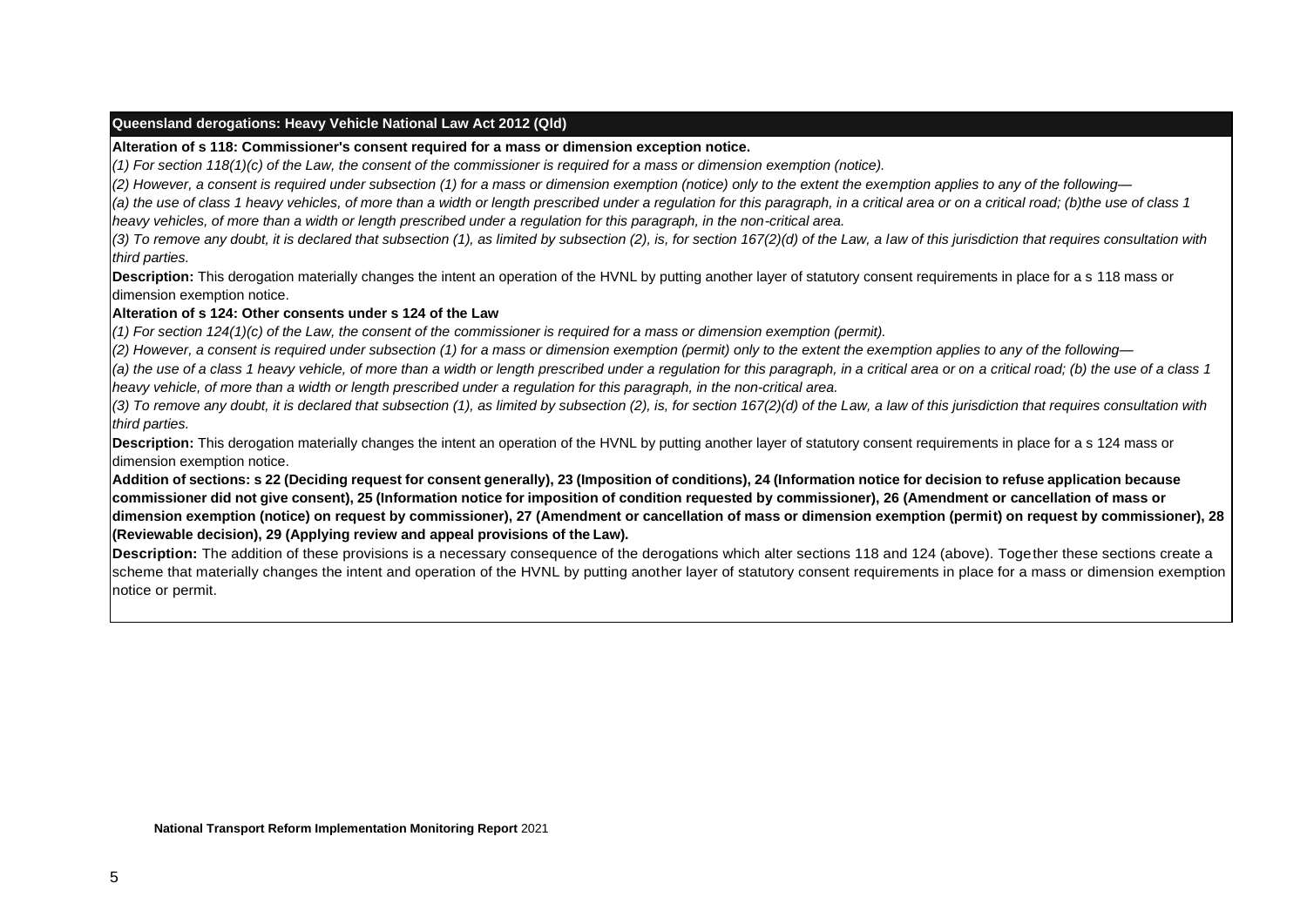#### **Queensland derogations: Heavy Vehicle National Law Act 2012 (Qld)**

**Alteration of s 118: Commissioner's consent required for a mass or dimension exception notice.** 

*(1) For section 118(1)(c) of the Law, the consent of the commissioner is required for a mass or dimension exemption (notice).*

*(2) However, a consent is required under subsection (1) for a mass or dimension exemption (notice) only to the extent the exemption applies to any of the following—*

(a) the use of class 1 heavy vehicles, of more than a width or length prescribed under a regulation for this paragraph, in a critical area or on a critical road; (b)the use of class 1 *heavy vehicles, of more than a width or length prescribed under a regulation for this paragraph, in the non-critical area.*

*(3) To remove any doubt, it is declared that subsection (1), as limited by subsection (2), is, for section 167(2)(d) of the Law, a law of this jurisdiction that requires consultation with third parties.*

**Description:** This derogation materially changes the intent an operation of the HVNL by putting another layer of statutory consent requirements in place for a s 118 mass or dimension exemption notice.

#### **Alteration of s 124: Other consents under s 124 of the Law**

*(1) For section 124(1)(c) of the Law, the consent of the commissioner is required for a mass or dimension exemption (permit).*

*(2) However, a consent is required under subsection (1) for a mass or dimension exemption (permit) only to the extent the exemption applies to any of the following—*

(a) the use of a class 1 heavy vehicle, of more than a width or length prescribed under a regulation for this paragraph, in a critical area or on a critical road; (b) the use of a class 1 *heavy vehicle, of more than a width or length prescribed under a regulation for this paragraph, in the non-critical area.*

*(3) To remove any doubt, it is declared that subsection (1), as limited by subsection (2), is, for section 167(2)(d) of the Law, a law of this jurisdiction that requires consultation with third parties.*

**Description:** This derogation materially changes the intent an operation of the HVNL by putting another layer of statutory consent requirements in place for a s 124 mass or dimension exemption notice.

Addition of sections: s 22 (Deciding request for consent generally), 23 (Imposition of conditions), 24 (Information notice for decision to refuse application because commissioner did not give consent), 25 (Information notice for imposition of condition requested by commissioner), 26 (Amendment or cancellation of mass or **dimension exemption (notice) on request by commissioner), 27 (Amendment or cancellation of mass or dimension exemption (permit) on request by commissioner), 28 (Reviewable decision), 29 (Applying review and appeal provisions of the Law).**

**Description:** The addition of these provisions is a necessary consequence of the derogations which alter sections 118 and 124 (above). Together these sections create a scheme that materially changes the intent and operation of the HVNL by putting another layer of statutory consent requirements in place for a mass or dimension exemption notice or permit.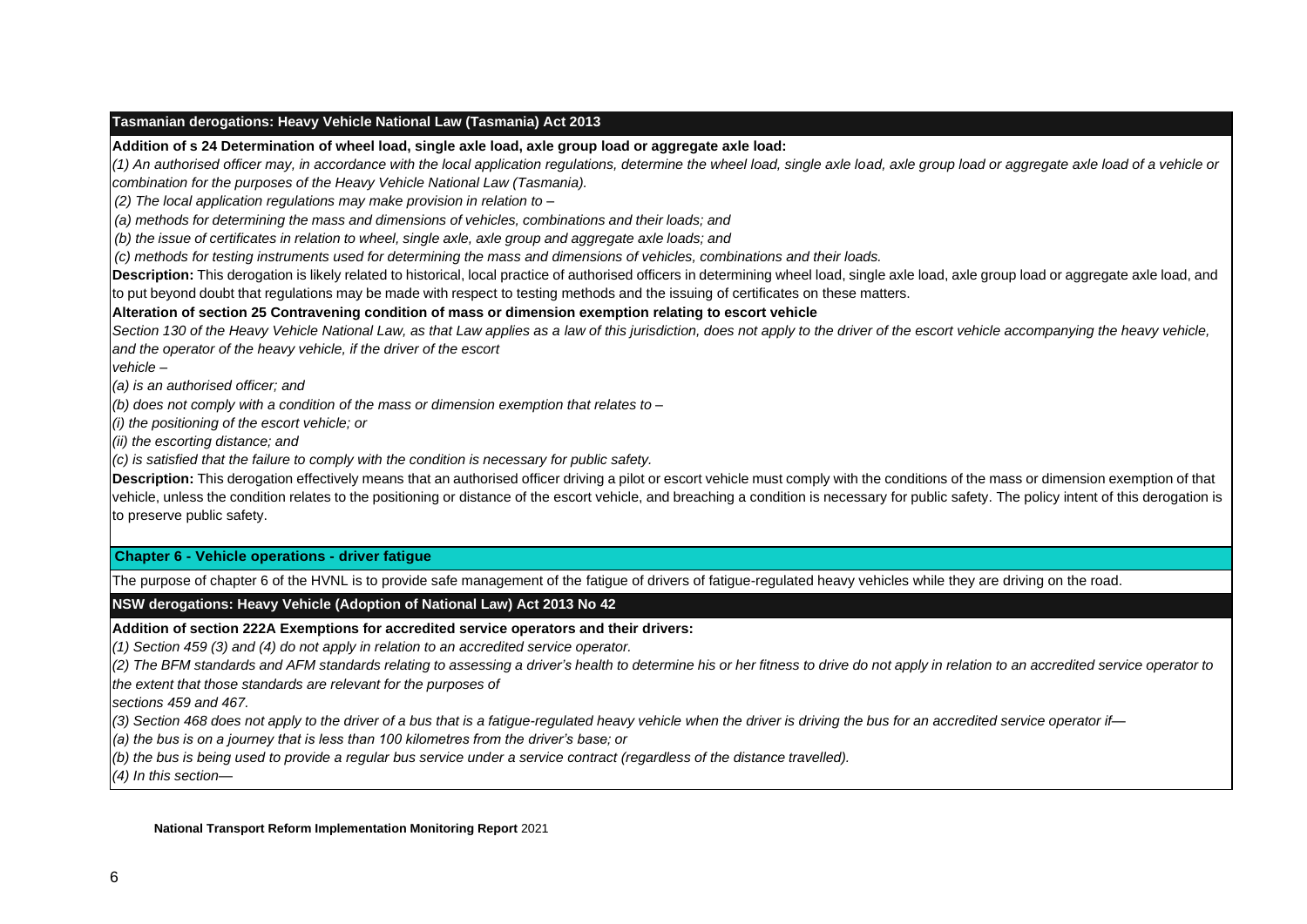#### **Tasmanian derogations: Heavy Vehicle National Law (Tasmania) Act 2013**

**Addition of s 24 Determination of wheel load, single axle load, axle group load or aggregate axle load:** 

*(1) An authorised officer may, in accordance with the local application regulations, determine the wheel load, single axle load, axle group load or aggregate axle load of a vehicle or combination for the purposes of the Heavy Vehicle National Law (Tasmania).*

*(2) The local application regulations may make provision in relation to –*

*(a) methods for determining the mass and dimensions of vehicles, combinations and their loads; and*

*(b) the issue of certificates in relation to wheel, single axle, axle group and aggregate axle loads; and*

*(c) methods for testing instruments used for determining the mass and dimensions of vehicles, combinations and their loads.*

Description: This derogation is likely related to historical, local practice of authorised officers in determining wheel load, single axle load, axle group load or aggregate axle load, and to put beyond doubt that regulations may be made with respect to testing methods and the issuing of certificates on these matters.

**Alteration of section 25 Contravening condition of mass or dimension exemption relating to escort vehicle**

Section 130 of the Heavy Vehicle National Law, as that Law applies as a law of this jurisdiction, does not apply to the driver of the escort vehicle accompanying the heavy vehicle, *and the operator of the heavy vehicle, if the driver of the escort*

*vehicle –*

*(a) is an authorised officer; and*

*(b) does not comply with a condition of the mass or dimension exemption that relates to –*

*(i) the positioning of the escort vehicle; or*

*(ii) the escorting distance; and*

*(c) is satisfied that the failure to comply with the condition is necessary for public safety.*

**Description:** This derogation effectively means that an authorised officer driving a pilot or escort vehicle must comply with the conditions of the mass or dimension exemption of that vehicle, unless the condition relates to the positioning or distance of the escort vehicle, and breaching a condition is necessary for public safety. The policy intent of this derogation is to preserve public safety.

#### **Chapter 6 - Vehicle operations - driver fatigue**

The purpose of chapter 6 of the HVNL is to provide safe management of the fatigue of drivers of fatigue-regulated heavy vehicles while they are driving on the road.

**NSW derogations: Heavy Vehicle (Adoption of National Law) Act 2013 No 42**

**Addition of section 222A Exemptions for accredited service operators and their drivers:** 

*(1) Section 459 (3) and (4) do not apply in relation to an accredited service operator.*

(2) The BFM standards and AFM standards relating to assessing a driver's health to determine his or her fitness to drive do not apply in relation to an accredited service operator to

*the extent that those standards are relevant for the purposes of*

*sections 459 and 467.*

(3) Section 468 does not apply to the driver of a bus that is a fatigue-regulated heavy vehicle when the driver is driving the bus for an accredited service operator if-

*(a) the bus is on a journey that is less than 100 kilometres from the driver's base; or*

(b) the bus is being used to provide a regular bus service under a service contract (regardless of the distance travelled).

*(4) In this section—*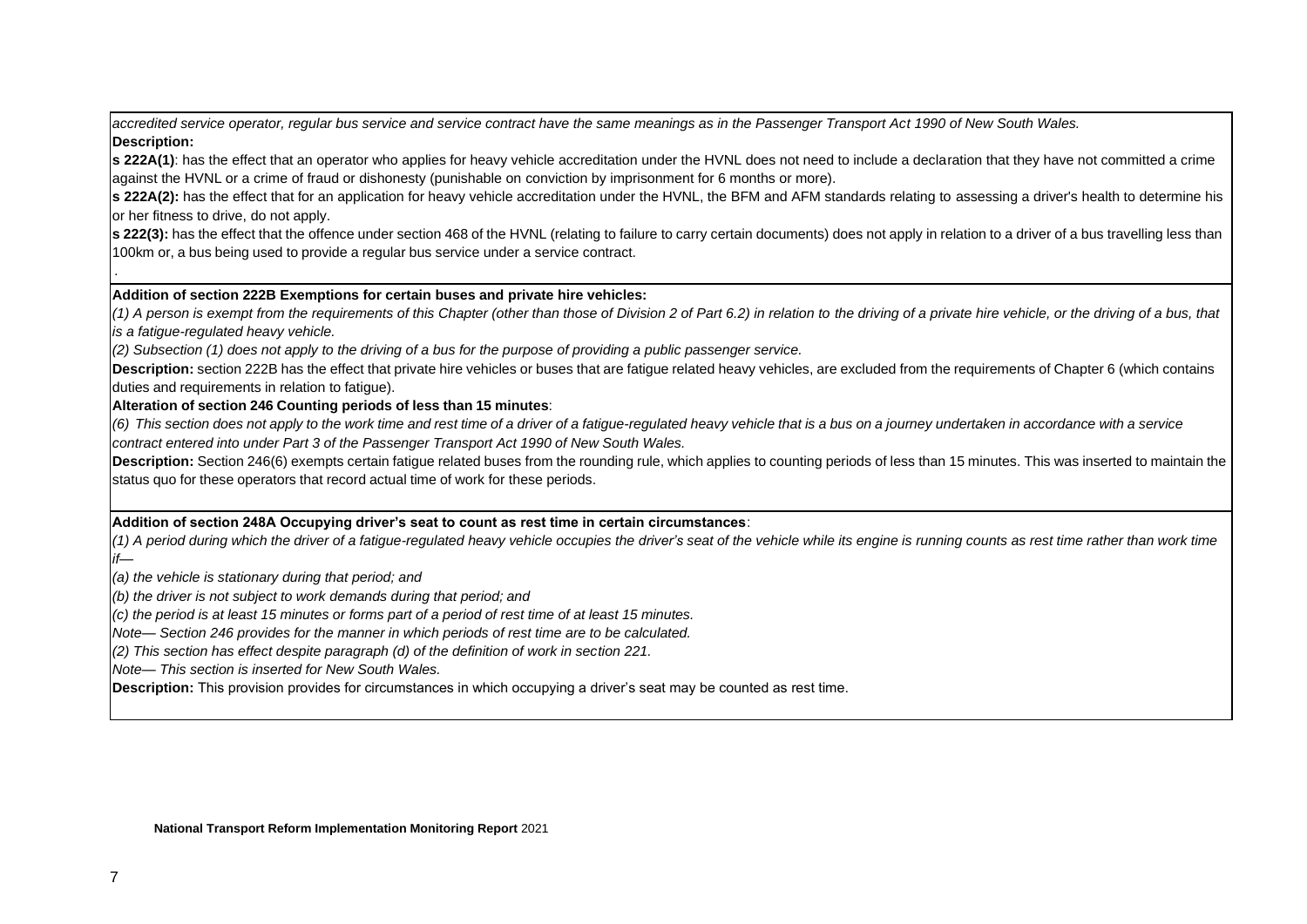*accredited service operator, regular bus service and service contract have the same meanings as in the Passenger Transport Act 1990 of New South Wales.* **Description:**

**s 222A(1)**: has the effect that an operator who applies for heavy vehicle accreditation under the HVNL does not need to include a declaration that they have not committed a crime against the HVNL or a crime of fraud or dishonesty (punishable on conviction by imprisonment for 6 months or more).

**s 222A(2):** has the effect that for an application for heavy vehicle accreditation under the HVNL, the BFM and AFM standards relating to assessing a driver's health to determine his or her fitness to drive, do not apply.

**s** 222(3): has the effect that the offence under section 468 of the HVNL (relating to failure to carry certain documents) does not apply in relation to a driver of a bus travelling less than 100km or, a bus being used to provide a regular bus service under a service contract.

#### **Addition of section 222B Exemptions for certain buses and private hire vehicles:**

*(1) A person is exempt from the requirements of this Chapter (other than those of Division 2 of Part 6.2) in relation to the driving of a private hire vehicle, or the driving of a bus, that is a fatigue-regulated heavy vehicle.*

*(2) Subsection (1) does not apply to the driving of a bus for the purpose of providing a public passenger service.*

**Description:** section 222B has the effect that private hire vehicles or buses that are fatigue related heavy vehicles, are excluded from the requirements of Chapter 6 (which contains duties and requirements in relation to fatigue).

#### **Alteration of section 246 Counting periods of less than 15 minutes**:

(6) This section does not apply to the work time and rest time of a driver of a fatigue-regulated heavy vehicle that is a bus on a journey undertaken in accordance with a service *contract entered into under Part 3 of the Passenger Transport Act 1990 of New South Wales.*

Description: Section 246(6) exempts certain fatigue related buses from the rounding rule, which applies to counting periods of less than 15 minutes. This was inserted to maintain the status quo for these operators that record actual time of work for these periods.

#### **Addition of section 248A Occupying driver's seat to count as rest time in certain circumstances**:

(1) A period during which the driver of a fatique-regulated heavy vehicle occupies the driver's seat of the vehicle while its engine is running counts as rest time rather than work time *if—*

*(a) the vehicle is stationary during that period; and*

*(b) the driver is not subject to work demands during that period; and*

*(c) the period is at least 15 minutes or forms part of a period of rest time of at least 15 minutes.*

*Note— Section 246 provides for the manner in which periods of rest time are to be calculated.*

*(2) This section has effect despite paragraph (d) of the definition of work in section 221.*

*Note— This section is inserted for New South Wales.*

**Description:** This provision provides for circumstances in which occupying a driver's seat may be counted as rest time.

.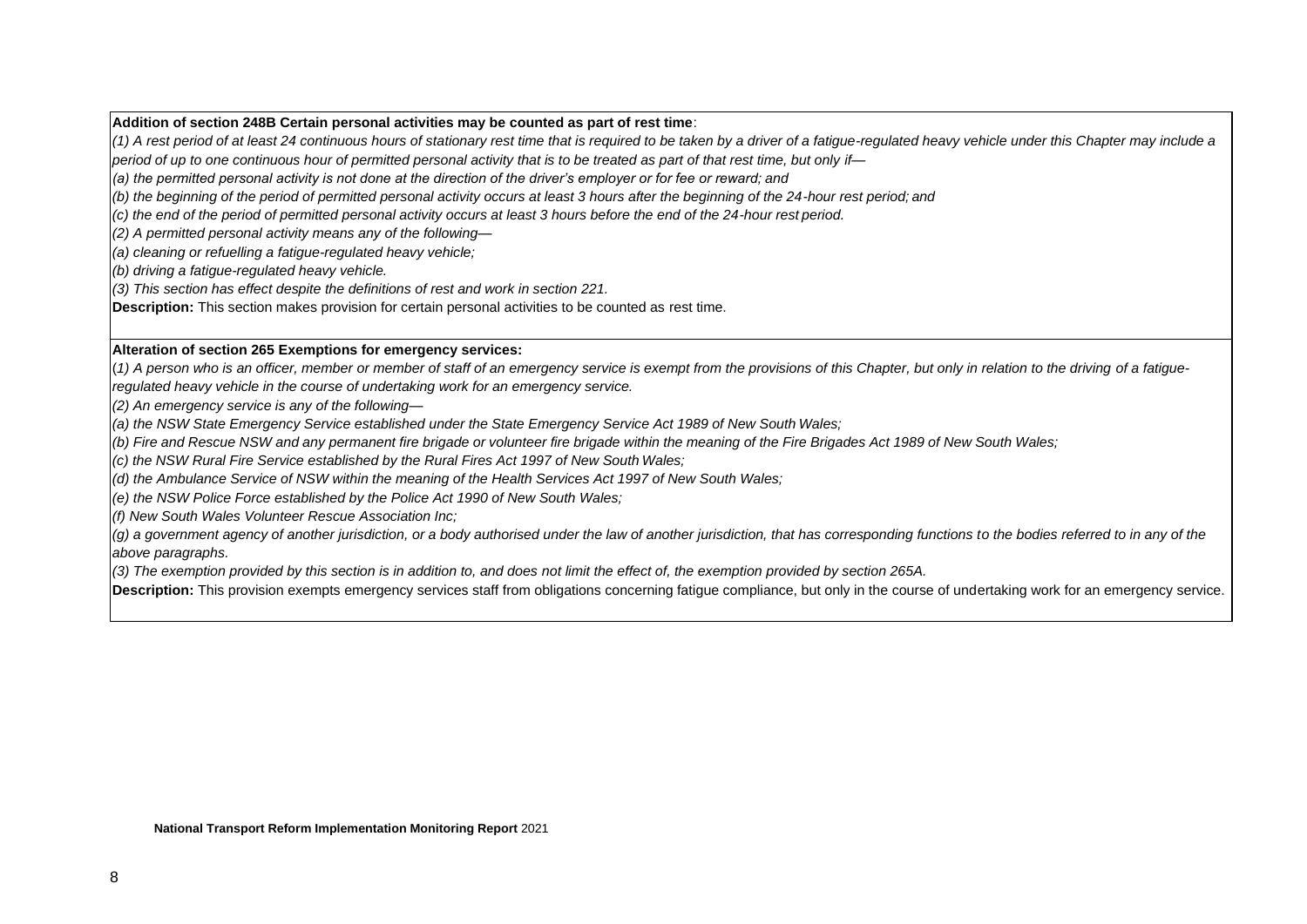#### **Addition of section 248B Certain personal activities may be counted as part of rest time**:

*(1) A rest period of at least 24 continuous hours of stationary rest time that is required to be taken by a driver of a fatigue-regulated heavy vehicle under this Chapter may include a period of up to one continuous hour of permitted personal activity that is to be treated as part of that rest time, but only if—*

*(a) the permitted personal activity is not done at the direction of the driver's employer or for fee or reward; and*

*(b) the beginning of the period of permitted personal activity occurs at least 3 hours after the beginning of the 24-hour rest period; and*

*(c) the end of the period of permitted personal activity occurs at least 3 hours before the end of the 24-hour rest period.*

*(2) A permitted personal activity means any of the following—*

*(a) cleaning or refuelling a fatigue-regulated heavy vehicle;*

*(b) driving a fatigue-regulated heavy vehicle.*

*(3) This section has effect despite the definitions of rest and work in section 221.*

**Description:** This section makes provision for certain personal activities to be counted as rest time.

#### **Alteration of section 265 Exemptions for emergency services:**

(*1) A person who is an officer, member or member of staff of an emergency service is exempt from the provisions of this Chapter, but only in relation to the driving of a fatigueregulated heavy vehicle in the course of undertaking work for an emergency service.*

*(2) An emergency service is any of the following—*

*(a) the NSW State Emergency Service established under the State Emergency Service Act 1989 of New South Wales;* 

(b) Fire and Rescue NSW and any permanent fire brigade or volunteer fire brigade within the meaning of the Fire Brigades Act 1989 of New South Wales;

*(c) the NSW Rural Fire Service established by the Rural Fires Act 1997 of New South Wales;*

*(d) the Ambulance Service of NSW within the meaning of the Health Services Act 1997 of New South Wales;*

*(e) the NSW Police Force established by the Police Act 1990 of New South Wales;*

*(f) New South Wales Volunteer Rescue Association Inc;*

*(g) a government agency of another jurisdiction, or a body authorised under the law of another jurisdiction, that has corresponding functions to the bodies referred to in any of the above paragraphs.*

*(3) The exemption provided by this section is in addition to, and does not limit the effect of, the exemption provided by section 265A.*

**Description:** This provision exempts emergency services staff from obligations concerning fatigue compliance, but only in the course of undertaking work for an emergency service.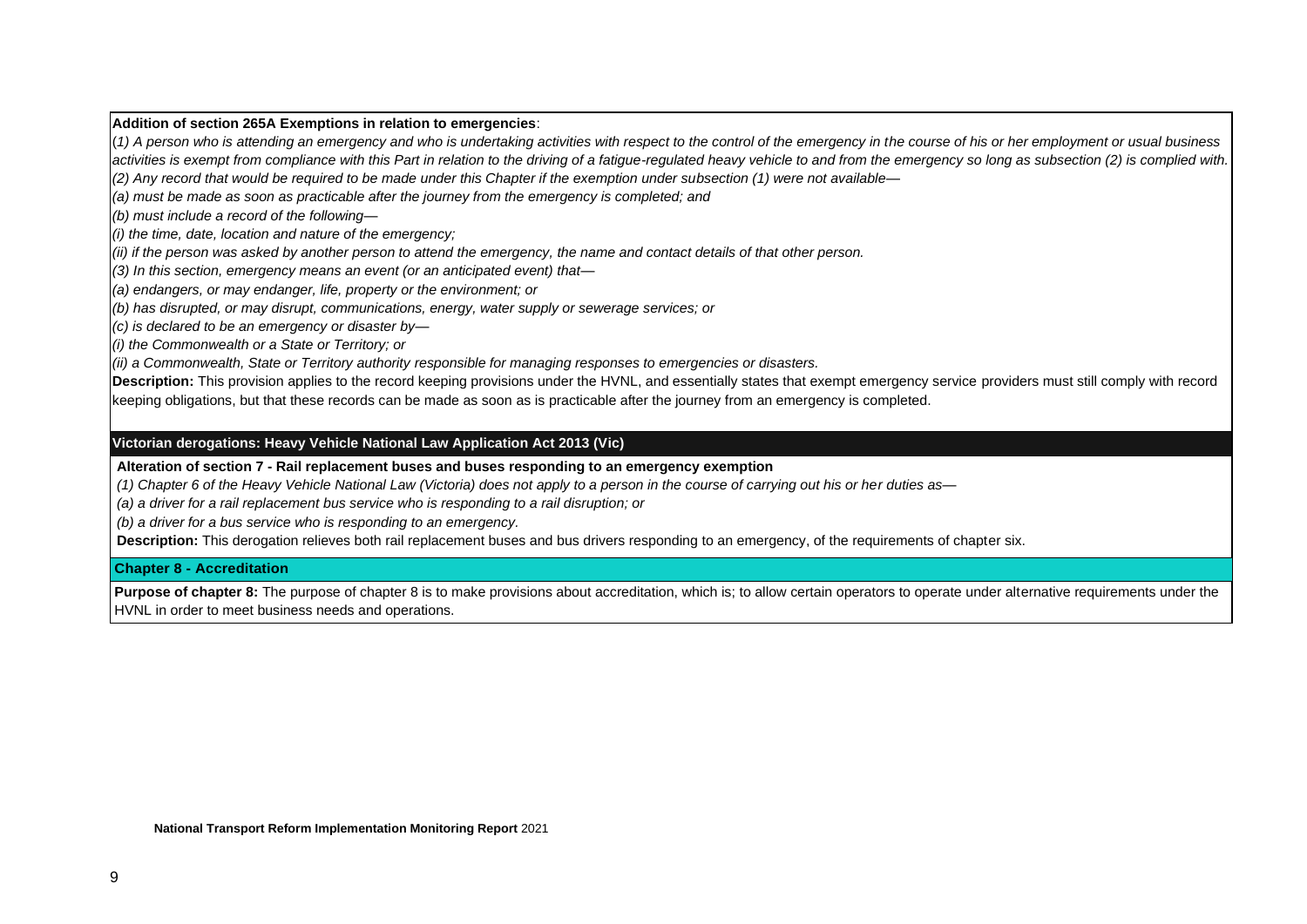#### **Addition of section 265A Exemptions in relation to emergencies**:

(*1) A person who is attending an emergency and who is undertaking activities with respect to the control of the emergency in the course of his or her employment or usual business activities is exempt from compliance with this Part in relation to the driving of a fatigue-regulated heavy vehicle to and from the emergency so long as subsection (2) is complied with. (2) Any record that would be required to be made under this Chapter if the exemption under subsection (1) were not available—*

*(a) must be made as soon as practicable after the journey from the emergency is completed; and*

*(b) must include a record of the following—*

*(i) the time, date, location and nature of the emergency;*

*(ii) if the person was asked by another person to attend the emergency, the name and contact details of that other person.*

*(3) In this section, emergency means an event (or an anticipated event) that—*

*(a) endangers, or may endanger, life, property or the environment; or*

*(b) has disrupted, or may disrupt, communications, energy, water supply or sewerage services; or*

*(c) is declared to be an emergency or disaster by—*

*(i) the Commonwealth or a State or Territory; or*

*(ii) a Commonwealth, State or Territory authority responsible for managing responses to emergencies or disasters.*

**Description:** This provision applies to the record keeping provisions under the HVNL, and essentially states that exempt emergency service providers must still comply with record keeping obligations, but that these records can be made as soon as is practicable after the journey from an emergency is completed.

#### **Victorian derogations: Heavy Vehicle National Law Application Act 2013 (Vic)**

**Alteration of section 7 - Rail replacement buses and buses responding to an emergency exemption**

*(1) Chapter 6 of the Heavy Vehicle National Law (Victoria) does not apply to a person in the course of carrying out his or her duties as—*

*(a) a driver for a rail replacement bus service who is responding to a rail disruption; or*

*(b) a driver for a bus service who is responding to an emergency.*

**Description:** This derogation relieves both rail replacement buses and bus drivers responding to an emergency, of the requirements of chapter six.

#### **Chapter 8 - Accreditation**

**Purpose of chapter 8:** The purpose of chapter 8 is to make provisions about accreditation, which is; to allow certain operators to operate under alternative requirements under the HVNL in order to meet business needs and operations.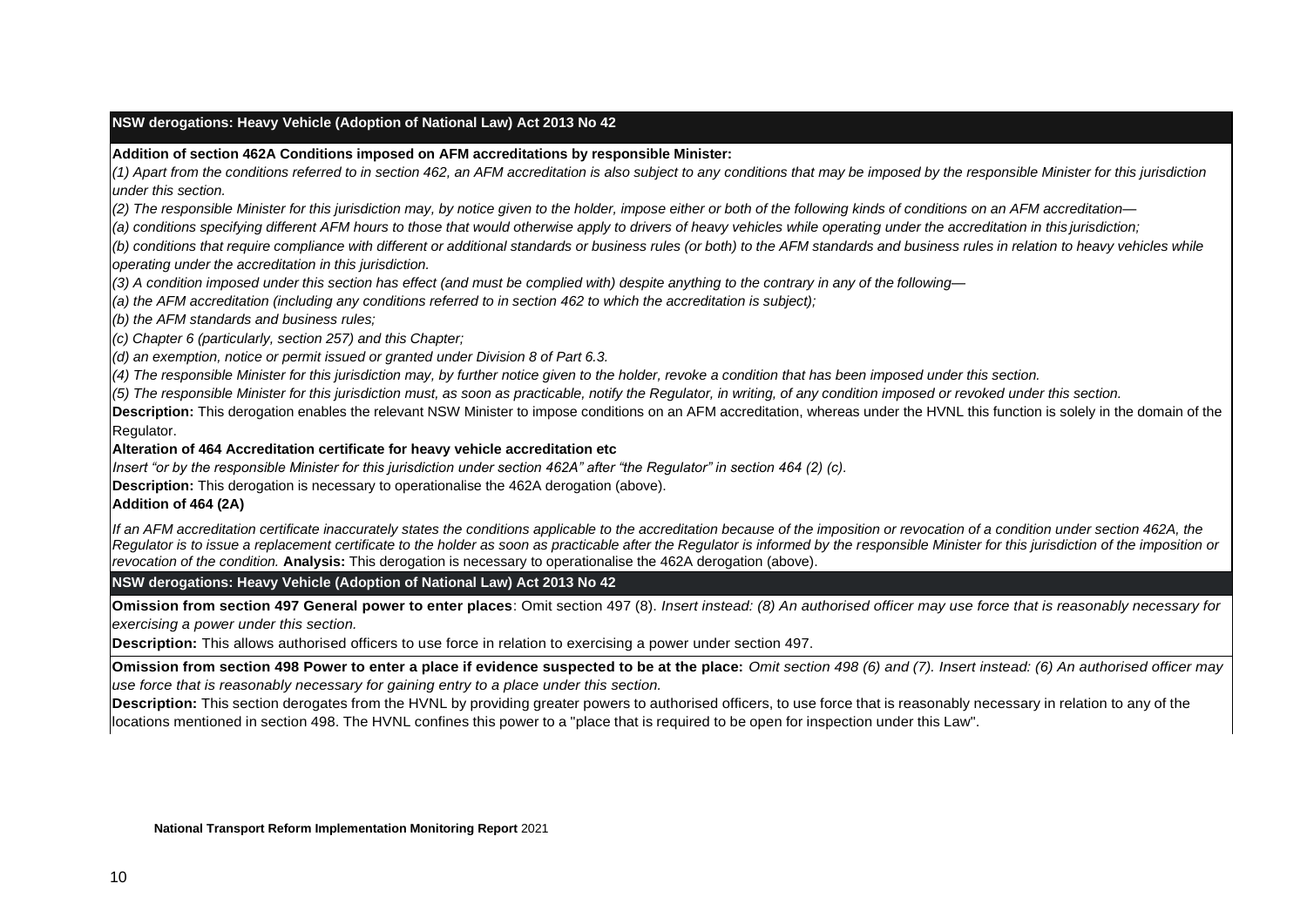#### **NSW derogations: Heavy Vehicle (Adoption of National Law) Act 2013 No 42**

#### **Addition of section 462A Conditions imposed on AFM accreditations by responsible Minister:**

*(1) Apart from the conditions referred to in section 462, an AFM accreditation is also subject to any conditions that may be imposed by the responsible Minister for this jurisdiction under this section.*

(2) The responsible Minister for this jurisdiction may, by notice given to the holder, impose either or both of the following kinds of conditions on an AFM accreditation-

(a) conditions specifying different AFM hours to those that would otherwise apply to drivers of heavy vehicles while operating under the accreditation in this jurisdiction;

(b) conditions that require compliance with different or additional standards or business rules (or both) to the AFM standards and business rules in relation to heavy vehicles while *operating under the accreditation in this jurisdiction.*

*(3) A condition imposed under this section has effect (and must be complied with) despite anything to the contrary in any of the following—*

*(a) the AFM accreditation (including any conditions referred to in section 462 to which the accreditation is subject);*

*(b) the AFM standards and business rules;*

*(c) Chapter 6 (particularly, section 257) and this Chapter;*

*(d) an exemption, notice or permit issued or granted under Division 8 of Part 6.3.*

(4) The responsible Minister for this jurisdiction may, by further notice given to the holder, revoke a condition that has been imposed under this section.

(5) The responsible Minister for this jurisdiction must, as soon as practicable, notify the Regulator, in writing, of any condition imposed or revoked under this section.

**Description:** This derogation enables the relevant NSW Minister to impose conditions on an AFM accreditation, whereas under the HVNL this function is solely in the domain of the Regulator.

#### **Alteration of 464 Accreditation certificate for heavy vehicle accreditation etc**

*Insert "or by the responsible Minister for this jurisdiction under section 462A" after "the Regulator" in section 464 (2) (c).*

**Description:** This derogation is necessary to operationalise the 462A derogation (above).

#### **Addition of 464 (2A)**

If an AFM accreditation certificate inaccurately states the conditions applicable to the accreditation because of the imposition or revocation of a condition under section 462A, the Regulator is to issue a replacement certificate to the holder as soon as practicable after the Regulator is informed by the responsible Minister for this jurisdiction of the imposition or *revocation of the condition.* **Analysis:** This derogation is necessary to operationalise the 462A derogation (above).

**NSW derogations: Heavy Vehicle (Adoption of National Law) Act 2013 No 42**

**Omission from section 497 General power to enter places**: Omit section 497 (8). *Insert instead: (8) An authorised officer may use force that is reasonably necessary for exercising a power under this section.*

**Description:** This allows authorised officers to use force in relation to exercising a power under section 497.

**Omission from section 498 Power to enter a place if evidence suspected to be at the place:** *Omit section 498 (6) and (7). Insert instead: (6) An authorised officer may use force that is reasonably necessary for gaining entry to a place under this section.*

**Description:** This section derogates from the HVNL by providing greater powers to authorised officers, to use force that is reasonably necessary in relation to any of the locations mentioned in section 498. The HVNL confines this power to a "place that is required to be open for inspection under this Law".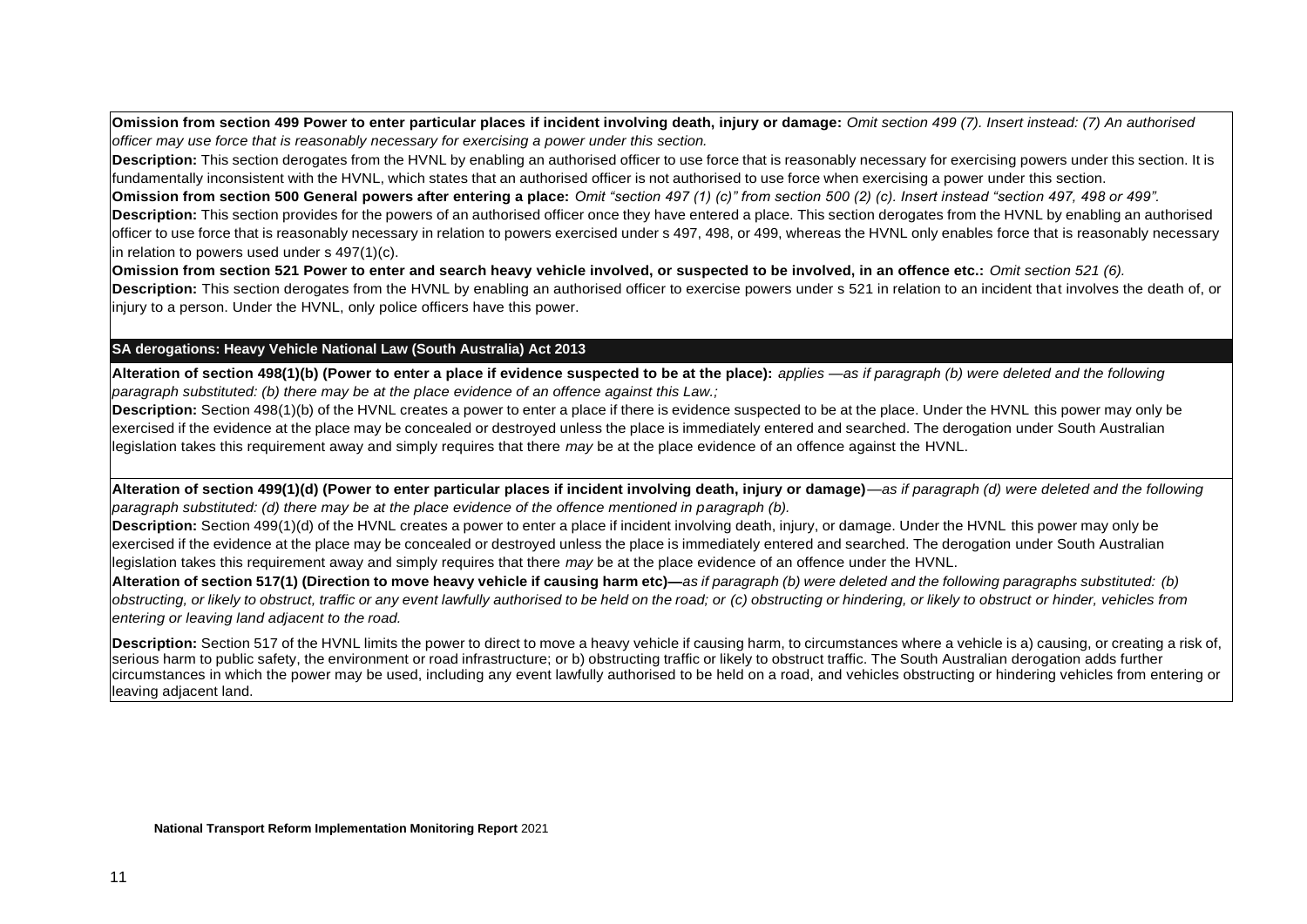**Omission from section 499 Power to enter particular places if incident involving death, injury or damage:** *Omit section 499 (7). Insert instead: (7) An authorised officer may use force that is reasonably necessary for exercising a power under this section.*

**Description:** This section derogates from the HVNL by enabling an authorised officer to use force that is reasonably necessary for exercising powers under this section. It is fundamentally inconsistent with the HVNL, which states that an authorised officer is not authorised to use force when exercising a power under this section.

**Omission from section 500 General powers after entering a place:** *Omit "section 497 (1) (c)" from section 500 (2) (c). Insert instead "section 497, 498 or 499".* **Description:** This section provides for the powers of an authorised officer once they have entered a place. This section derogates from the HVNL by enabling an authorised officer to use force that is reasonably necessary in relation to powers exercised under s 497, 498, or 499, whereas the HVNL only enables force that is reasonably necessary in relation to powers used under s 497(1)(c).

**Omission from section 521 Power to enter and search heavy vehicle involved, or suspected to be involved, in an offence etc.:** *Omit section 521 (6).* **Description:** This section derogates from the HVNL by enabling an authorised officer to exercise powers under s 521 in relation to an incident that involves the death of, or injury to a person. Under the HVNL, only police officers have this power.

#### **SA derogations: Heavy Vehicle National Law (South Australia) Act 2013**

**Alteration of section 498(1)(b) (Power to enter a place if evidence suspected to be at the place):** *applies —as if paragraph (b) were deleted and the following paragraph substituted: (b) there may be at the place evidence of an offence against this Law.;*

**Description:** Section 498(1)(b) of the HVNL creates a power to enter a place if there is evidence suspected to be at the place. Under the HVNL this power may only be exercised if the evidence at the place may be concealed or destroyed unless the place is immediately entered and searched. The derogation under South Australian legislation takes this requirement away and simply requires that there *may* be at the place evidence of an offence against the HVNL.

**Alteration of section 499(1)(d) (Power to enter particular places if incident involving death, injury or damage)**—*as if paragraph (d) were deleted and the following paragraph substituted: (d) there may be at the place evidence of the offence mentioned in paragraph (b).*

**Description:** Section 499(1)(d) of the HVNL creates a power to enter a place if incident involving death, injury, or damage. Under the HVNL this power may only be exercised if the evidence at the place may be concealed or destroyed unless the place is immediately entered and searched. The derogation under South Australian legislation takes this requirement away and simply requires that there *may* be at the place evidence of an offence under the HVNL.

Alteration of section 517(1) (Direction to move heavy vehicle if causing harm etc)—as if paragraph (b) were deleted and the following paragraphs substituted: (b) obstructing, or likely to obstruct, traffic or any event lawfully authorised to be held on the road; or (c) obstructing or hindering, or likely to obstruct or hinder, vehicles from *entering or leaving land adjacent to the road.*

**Description:** Section 517 of the HVNL limits the power to direct to move a heavy vehicle if causing harm, to circumstances where a vehicle is a) causing, or creating a risk of, serious harm to public safety, the environment or road infrastructure; or b) obstructing traffic or likely to obstruct traffic. The South Australian derogation adds further circumstances in which the power may be used, including any event lawfully authorised to be held on a road, and vehicles obstructing or hindering vehicles from entering or leaving adjacent land.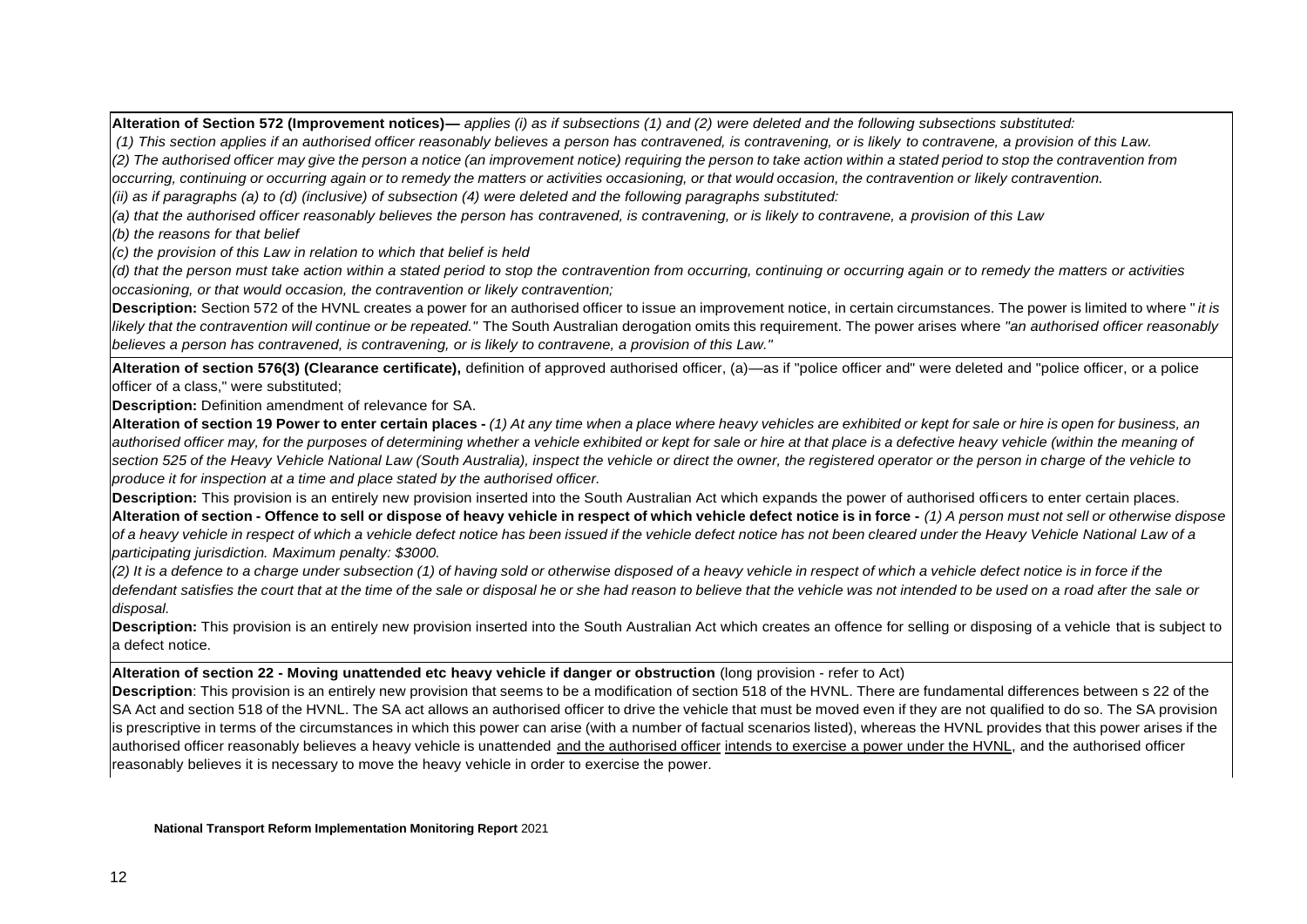**Alteration of Section 572 (Improvement notices)***— applies (i) as if subsections (1) and (2) were deleted and the following subsections substituted:*

*(1) This section applies if an authorised officer reasonably believes a person has contravened, is contravening, or is likely to contravene, a provision of this Law.*

(2) The authorised officer may give the person a notice (an improvement notice) requiring the person to take action within a stated period to stop the contravention from

occurring, continuing or occurring again or to remedy the matters or activities occasioning, or that would occasion, the contravention or likely contravention.

*(ii) as if paragraphs (a) to (d) (inclusive) of subsection (4) were deleted and the following paragraphs substituted:*

*(a) that the authorised officer reasonably believes the person has contravened, is contravening, or is likely to contravene, a provision of this Law*

*(b) the reasons for that belief*

*(c) the provision of this Law in relation to which that belief is held*

*(d) that the person must take action within a stated period to stop the contravention from occurring, continuing or occurring again or to remedy the matters or activities occasioning, or that would occasion, the contravention or likely contravention;*

**Description:** Section 572 of the HVNL creates a power for an authorised officer to issue an improvement notice, in certain circumstances. The power is limited to where " *it is* likely that the contravention will continue or be repeated." The South Australian derogation omits this requirement. The power arises where "an authorised officer reasonably *believes a person has contravened, is contravening, or is likely to contravene, a provision of this Law."*

Alteration of section 576(3) (Clearance certificate), definition of approved authorised officer, (a)—as if "police officer and" were deleted and "police officer, or a police officer of a class," were substituted;

**Description:** Definition amendment of relevance for SA.

Alteration of section 19 Power to enter certain places - (1) At any time when a place where heavy vehicles are exhibited or kept for sale or hire is open for business, an authorised officer may, for the purposes of determining whether a vehicle exhibited or kept for sale or hire at that place is a defective heavy vehicle (within the meaning of section 525 of the Heavy Vehicle National Law (South Australia), inspect the vehicle or direct the owner, the registered operator or the person in charge of the vehicle to *produce it for inspection at a time and place stated by the authorised officer.*

**Description:** This provision is an entirely new provision inserted into the South Australian Act which expands the power of authorised officers to enter certain places. Alteration of section - Offence to sell or dispose of heavy vehicle in respect of which vehicle defect notice is in force - (1) A person must not sell or otherwise dispose of a heavy vehicle in respect of which a vehicle defect notice has been issued if the vehicle defect notice has not been cleared under the Heavy Vehicle National Law of a *participating jurisdiction. Maximum penalty: \$3000.*

(2) It is a defence to a charge under subsection (1) of having sold or otherwise disposed of a heavy vehicle in respect of which a vehicle defect notice is in force if the defendant satisfies the court that at the time of the sale or disposal he or she had reason to believe that the vehicle was not intended to be used on a road after the sale or *disposal.*

**Description:** This provision is an entirely new provision inserted into the South Australian Act which creates an offence for selling or disposing of a vehicle that is subject to a defect notice.

#### **Alteration of section 22 - Moving unattended etc heavy vehicle if danger or obstruction** (long provision - refer to Act)

**Description**: This provision is an entirely new provision that seems to be a modification of section 518 of the HVNL. There are fundamental differences between s 22 of the SA Act and section 518 of the HVNL. The SA act allows an authorised officer to drive the vehicle that must be moved even if they are not qualified to do so. The SA provision is prescriptive in terms of the circumstances in which this power can arise (with a number of factual scenarios listed), whereas the HVNL provides that this power arises if the authorised officer reasonably believes a heavy vehicle is unattended and the authorised officer intends to exercise a power under the HVNL, and the authorised officer reasonably believes it is necessary to move the heavy vehicle in order to exercise the power.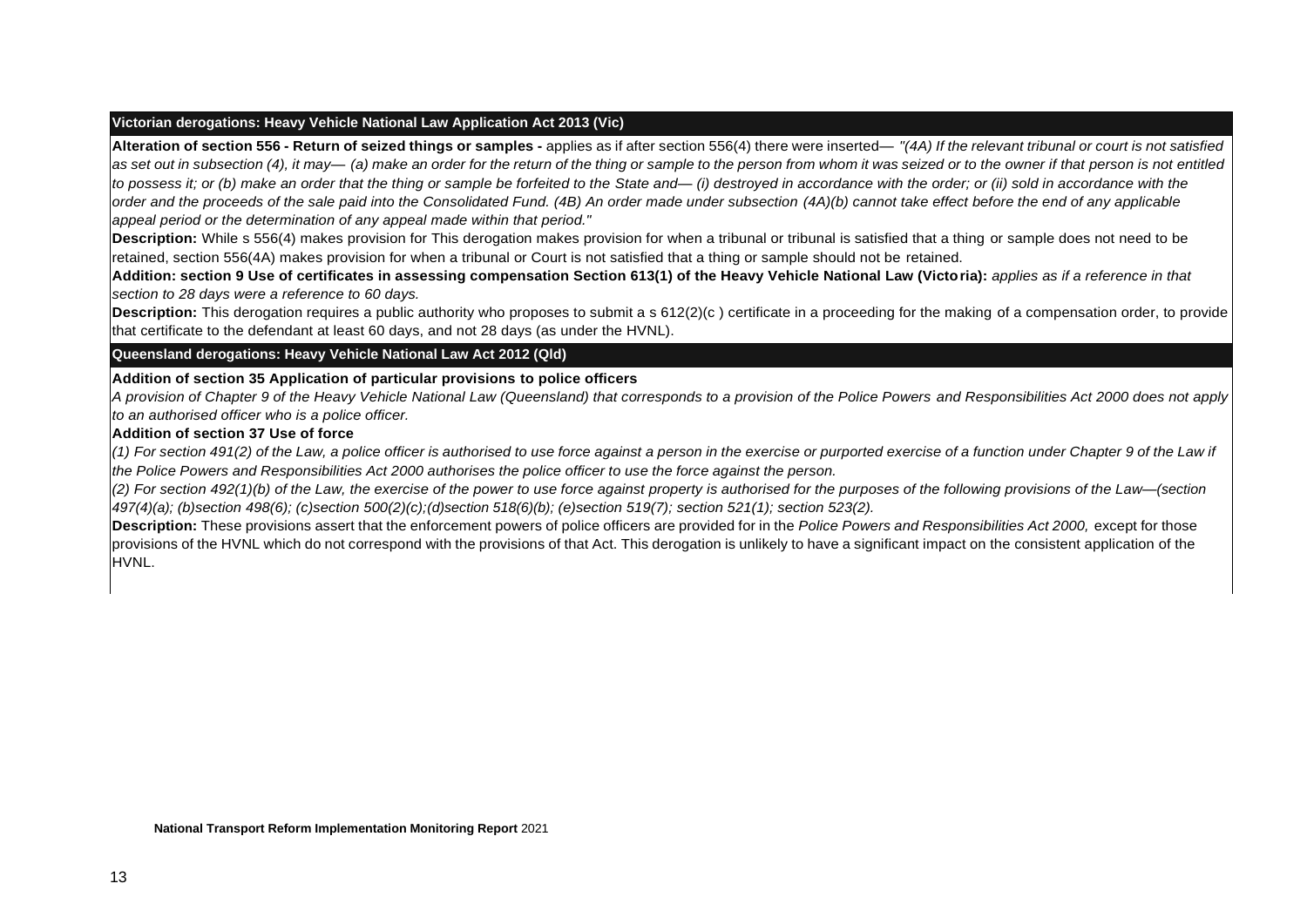#### **Victorian derogations: Heavy Vehicle National Law Application Act 2013 (Vic)**

Alteration of section 556 - Return of seized things or samples - applies as if after section 556(4) there were inserted— "(4A) If the relevant tribunal or court is not satisfied as set out in subsection (4), it may— (a) make an order for the return of the thing or sample to the person from whom it was seized or to the owner if that person is not entitled *to possess it; or (b) make an order that the thing or sample be forfeited to the State and— (i) destroyed in accordance with the order; or (ii) sold in accordance with the*  order and the proceeds of the sale paid into the Consolidated Fund. (4B) An order made under subsection (4A)(b) cannot take effect before the end of any applicable *appeal period or the determination of any appeal made within that period."*

**Description:** While s 556(4) makes provision for This derogation makes provision for when a tribunal or tribunal is satisfied that a thing or sample does not need to be retained, section 556(4A) makes provision for when a tribunal or Court is not satisfied that a thing or sample should not be retained.

**Addition: section 9 Use of certificates in assessing compensation Section 613(1) of the Heavy Vehicle National Law (Victoria):** *applies as if a reference in that section to 28 days were a reference to 60 days.*

**Description:** This derogation requires a public authority who proposes to submit a s 612(2)(c) certificate in a proceeding for the making of a compensation order, to provide that certificate to the defendant at least 60 days, and not 28 days (as under the HVNL).

**Queensland derogations: Heavy Vehicle National Law Act 2012 (Qld)**

#### **Addition of section 35 Application of particular provisions to police officers**

*A provision of Chapter 9 of the Heavy Vehicle National Law (Queensland) that corresponds to a provision of the Police Powers and Responsibilities Act 2000 does not apply to an authorised officer who is a police officer.*

#### **Addition of section 37 Use of force**

(1) For section 491(2) of the Law, a police officer is authorised to use force against a person in the exercise or purported exercise of a function under Chapter 9 of the Law if the Police Powers and Responsibilities Act 2000 authorises the police officer to use the force against the person.

(2) For section 492(1)(b) of the Law, the exercise of the power to use force against property is authorised for the purposes of the following provisions of the Law–(section *497(4)(a); (b)section 498(6); (c)section 500(2)(c);(d)section 518(6)(b); (e)section 519(7); section 521(1); section 523(2).*

**Description:** These provisions assert that the enforcement powers of police officers are provided for in the *Police Powers and Responsibilities Act 2000,* except for those provisions of the HVNL which do not correspond with the provisions of that Act. This derogation is unlikely to have a significant impact on the consistent application of the HVNL.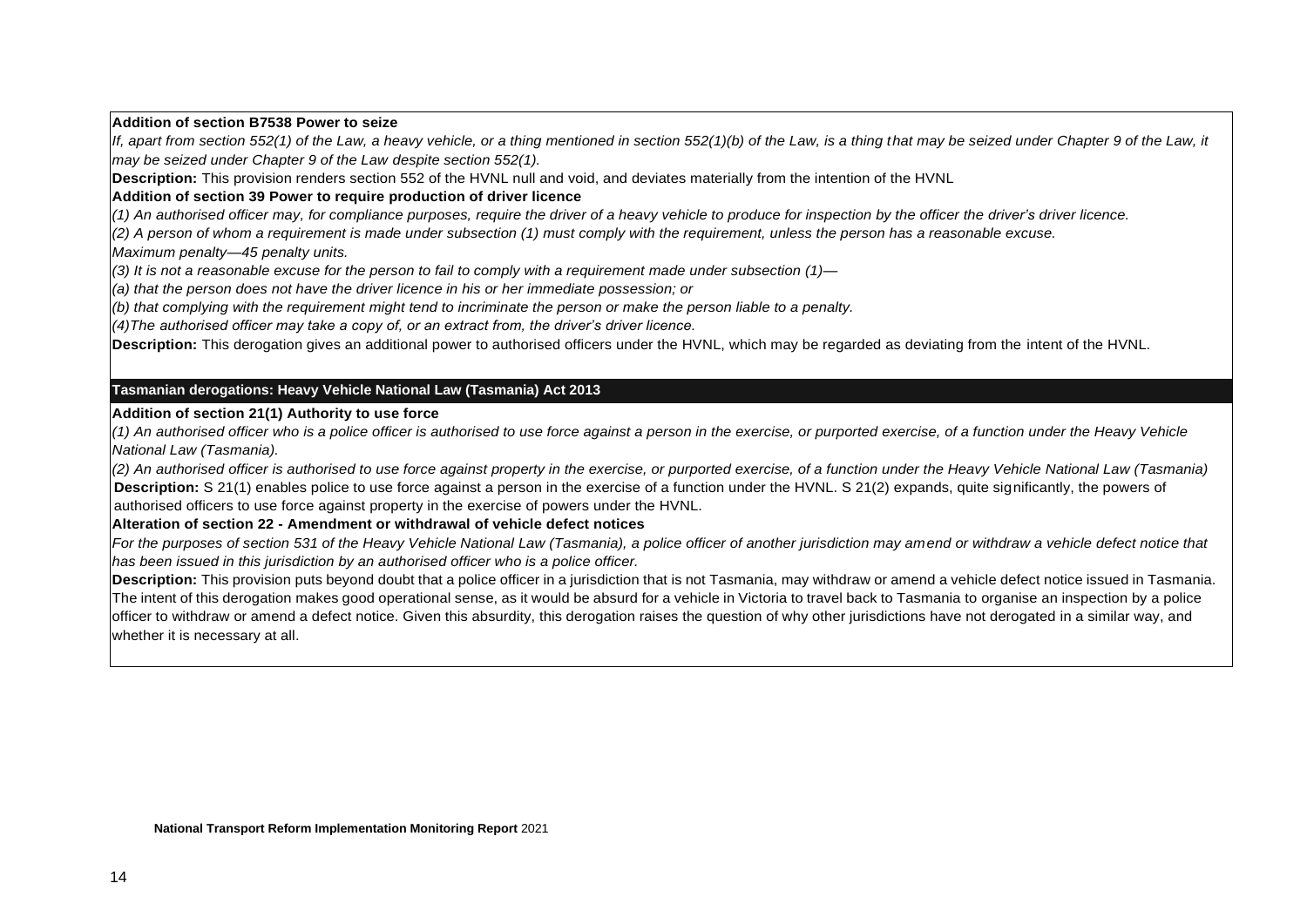#### **Addition of section B7538 Power to seize**

*If, apart from section 552(1) of the Law, a heavy vehicle, or a thing mentioned in section 552(1)(b) of the Law, is a thing that may be seized under Chapter 9 of the Law, it may be seized under Chapter 9 of the Law despite section 552(1).*

**Description:** This provision renders section 552 of the HVNL null and void, and deviates materially from the intention of the HVNL

#### **Addition of section 39 Power to require production of driver licence**

(1) An authorised officer may, for compliance purposes, require the driver of a heavy vehicle to produce for inspection by the officer the driver's driver licence.

(2) A person of whom a requirement is made under subsection (1) must comply with the requirement, unless the person has a reasonable excuse.

*Maximum penalty—45 penalty units.*

*(3) It is not a reasonable excuse for the person to fail to comply with a requirement made under subsection (1)—*

*(a) that the person does not have the driver licence in his or her immediate possession; or*

(b) that complying with the requirement might tend to incriminate the person or make the person liable to a penalty.

*(4)The authorised officer may take a copy of, or an extract from, the driver's driver licence.*

**Description:** This derogation gives an additional power to authorised officers under the HVNL, which may be regarded as deviating from the intent of the HVNL.

#### **Tasmanian derogations: Heavy Vehicle National Law (Tasmania) Act 2013**

#### **Addition of section 21(1) Authority to use force**

(1) An authorised officer who is a police officer is authorised to use force against a person in the exercise, or purported exercise, of a function under the Heavy Vehicle *National Law (Tasmania).*

(2) An authorised officer is authorised to use force against property in the exercise, or purported exercise, of a function under the Heavy Vehicle National Law (Tasmania) **Description:** S 21(1) enables police to use force against a person in the exercise of a function under the HVNL. S 21(2) expands, quite significantly, the powers of authorised officers to use force against property in the exercise of powers under the HVNL.

#### **Alteration of section 22 - Amendment or withdrawal of vehicle defect notices**

For the purposes of section 531 of the Heavy Vehicle National Law (Tasmania), a police officer of another jurisdiction may amend or withdraw a vehicle defect notice that *has been issued in this jurisdiction by an authorised officer who is a police officer.*

**Description:** This provision puts beyond doubt that a police officer in a jurisdiction that is not Tasmania, may withdraw or amend a vehicle defect notice issued in Tasmania. The intent of this derogation makes good operational sense, as it would be absurd for a vehicle in Victoria to travel back to Tasmania to organise an inspection by a police officer to withdraw or amend a defect notice. Given this absurdity, this derogation raises the question of why other jurisdictions have not derogated in a similar way, and whether it is necessary at all.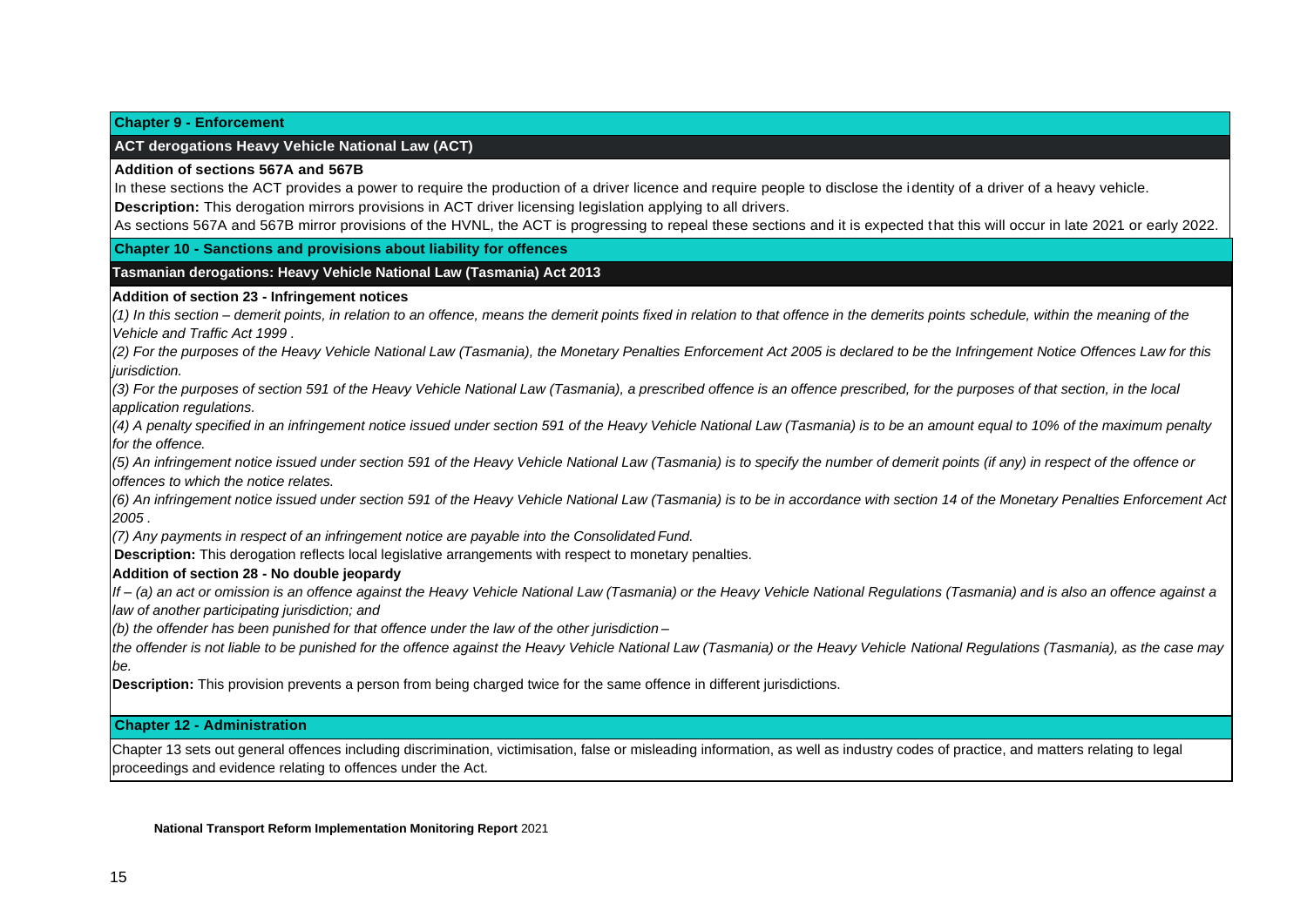#### **Chapter 9 - Enforcement**

#### **ACT derogations Heavy Vehicle National Law (ACT)**

#### **Addition of sections 567A and 567B**

In these sections the ACT provides a power to require the production of a driver licence and require people to disclose the identity of a driver of a heavy vehicle. **Description:** This derogation mirrors provisions in ACT driver licensing legislation applying to all drivers.

As sections 567A and 567B mirror provisions of the HVNL, the ACT is progressing to repeal these sections and it is expected that this will occur in late 2021 or early 2022.

#### **Chapter 10 - Sanctions and provisions about liability for offences**

#### **Tasmanian derogations: Heavy Vehicle National Law (Tasmania) Act 2013**

#### **Addition of section 23 - Infringement notices**

*(1) In this section – demerit points, in relation to an offence, means the demerit points fixed in relation to that offence in the demerits points schedule, within the meaning of the Vehicle and Traffic Act 1999 .*

(2) For the purposes of the Heavy Vehicle National Law (Tasmania), the Monetary Penalties Enforcement Act 2005 is declared to be the Infringement Notice Offences Law for this *jurisdiction.*

(3) For the purposes of section 591 of the Heavy Vehicle National Law (Tasmania), a prescribed offence is an offence prescribed, for the purposes of that section, in the local *application regulations.*

(4) A penalty specified in an infringement notice issued under section 591 of the Heavy Vehicle National Law (Tasmania) is to be an amount equal to 10% of the maximum penalty *for the offence.*

(5) An infringement notice issued under section 591 of the Heavy Vehicle National Law (Tasmania) is to specify the number of demerit points (if any) in respect of the offence or *offences to which the notice relates.*

(6) An infringement notice issued under section 591 of the Heavy Vehicle National Law (Tasmania) is to be in accordance with section 14 of the Monetary Penalties Enforcement Act *2005 .*

*(7) Any payments in respect of an infringement notice are payable into the Consolidated Fund.*

**Description:** This derogation reflects local legislative arrangements with respect to monetary penalties.

#### **Addition of section 28 - No double jeopardy**

If - (a) an act or omission is an offence against the Heavy Vehicle National Law (Tasmania) or the Heavy Vehicle National Regulations (Tasmania) and is also an offence against a *law of another participating jurisdiction; and*

*(b) the offender has been punished for that offence under the law of the other jurisdiction –*

*the offender is not liable to be punished for the offence against the Heavy Vehicle National Law (Tasmania) or the Heavy Vehicle National Regulations (Tasmania), as the case may be.*

**Description:** This provision prevents a person from being charged twice for the same offence in different jurisdictions.

#### **Chapter 12 - Administration**

Chapter 13 sets out general offences including discrimination, victimisation, false or misleading information, as well as industry codes of practice, and matters relating to legal proceedings and evidence relating to offences under the Act.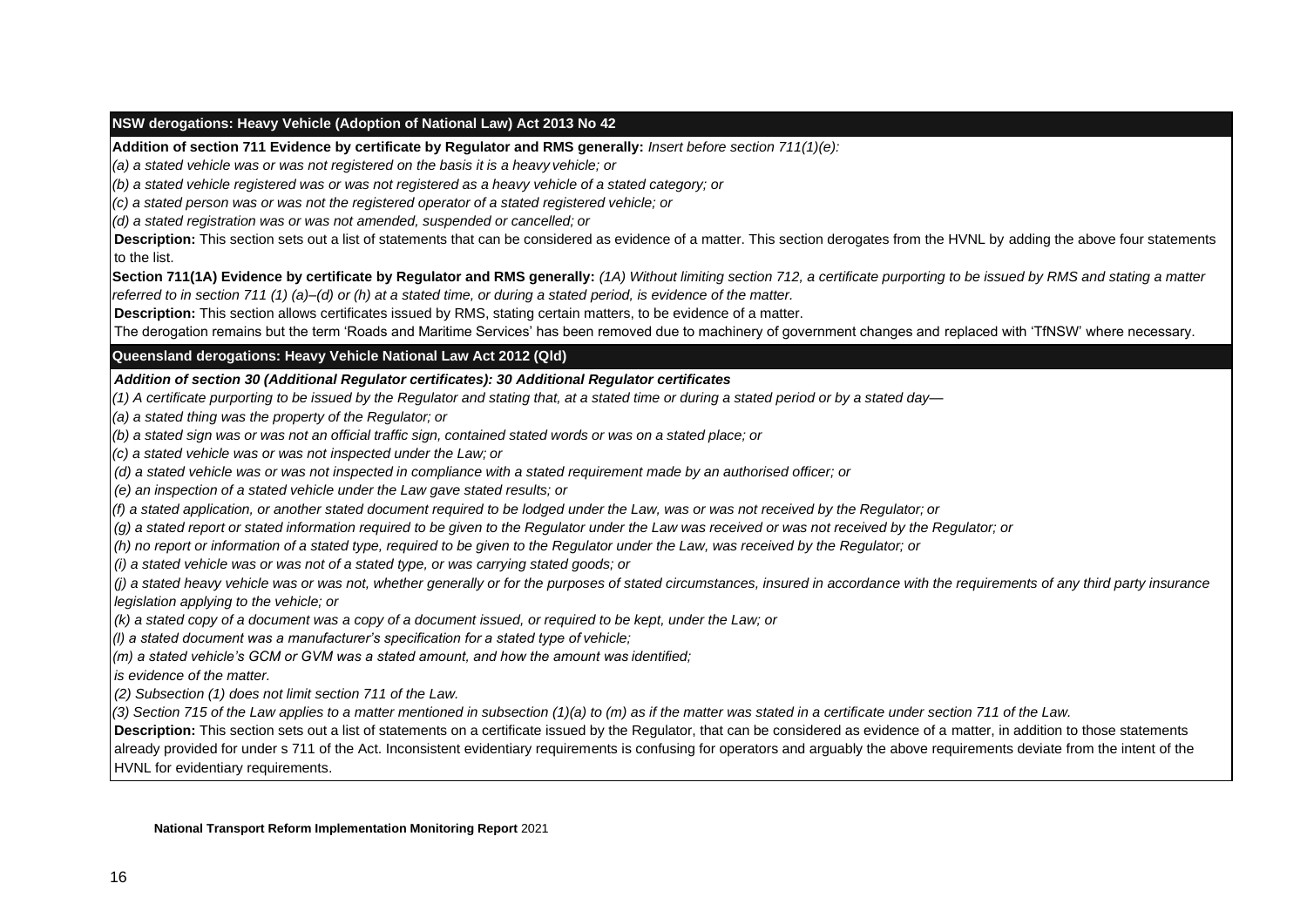#### **NSW derogations: Heavy Vehicle (Adoption of National Law) Act 2013 No 42**

**Addition of section 711 Evidence by certificate by Regulator and RMS generally:** *Insert before section 711(1)(e):*

*(a) a stated vehicle was or was not registered on the basis it is a heavy vehicle; or*

(b) a stated vehicle registered was or was not registered as a heavy vehicle of a stated category; or

*(c) a stated person was or was not the registered operator of a stated registered vehicle; or*

*(d) a stated registration was or was not amended, suspended or cancelled; or*

**Description:** This section sets out a list of statements that can be considered as evidence of a matter. This section derogates from the HVNL by adding the above four statements to the list.

Section 711(1A) Evidence by certificate by Regulator and RMS generally: (1A) Without limiting section 712, a certificate purporting to be issued by RMS and stating a matter *referred to in section 711 (1) (a)–(d) or (h) at a stated time, or during a stated period, is evidence of the matter.*

**Description:** This section allows certificates issued by RMS, stating certain matters, to be evidence of a matter.

The derogation remains but the term 'Roads and Maritime Services' has been removed due to machinery of government changes and replaced with 'TfNSW' where necessary.

**Queensland derogations: Heavy Vehicle National Law Act 2012 (Qld)**

*Addition of section 30 (Additional Regulator certificates): 30 Additional Regulator certificates*

(1) A certificate purporting to be issued by the Regulator and stating that, at a stated time or during a stated period or by a stated day-

*(a) a stated thing was the property of the Regulator; or*

(b) a stated sign was or was not an official traffic sign, contained stated words or was on a stated place; or

*(c) a stated vehicle was or was not inspected under the Law; or*

*(d) a stated vehicle was or was not inspected in compliance with a stated requirement made by an authorised officer; or* 

*(e) an inspection of a stated vehicle under the Law gave stated results; or*

*(f) a stated application, or another stated document required to be lodged under the Law, was or was not received by the Regulator; or*

(g) a stated report or stated information required to be given to the Regulator under the Law was received or was not received by the Regulator; or

(h) no report or information of a stated type, required to be given to the Regulator under the Law, was received by the Regulator; or

*(i) a stated vehicle was or was not of a stated type, or was carrying stated goods; or*

*(j) a stated heavy vehicle was or was not, whether generally or for the purposes of stated circumstances, insured in accordance with the requirements of any third party insurance legislation applying to the vehicle; or* 

*(k) a stated copy of a document was a copy of a document issued, or required to be kept, under the Law; or*

*(l) a stated document was a manufacturer's specification for a stated type of vehicle;*

*(m) a stated vehicle's GCM or GVM was a stated amount, and how the amount was identified;*

*is evidence of the matter.*

*(2) Subsection (1) does not limit section 711 of the Law.*

*(3) Section 715 of the Law applies to a matter mentioned in subsection (1)(a) to (m) as if the matter was stated in a certificate under section 711 of the Law.*

**Description:** This section sets out a list of statements on a certificate issued by the Regulator, that can be considered as evidence of a matter, in addition to those statements already provided for under s 711 of the Act. Inconsistent evidentiary requirements is confusing for operators and arguably the above requirements deviate from the intent of the HVNL for evidentiary requirements.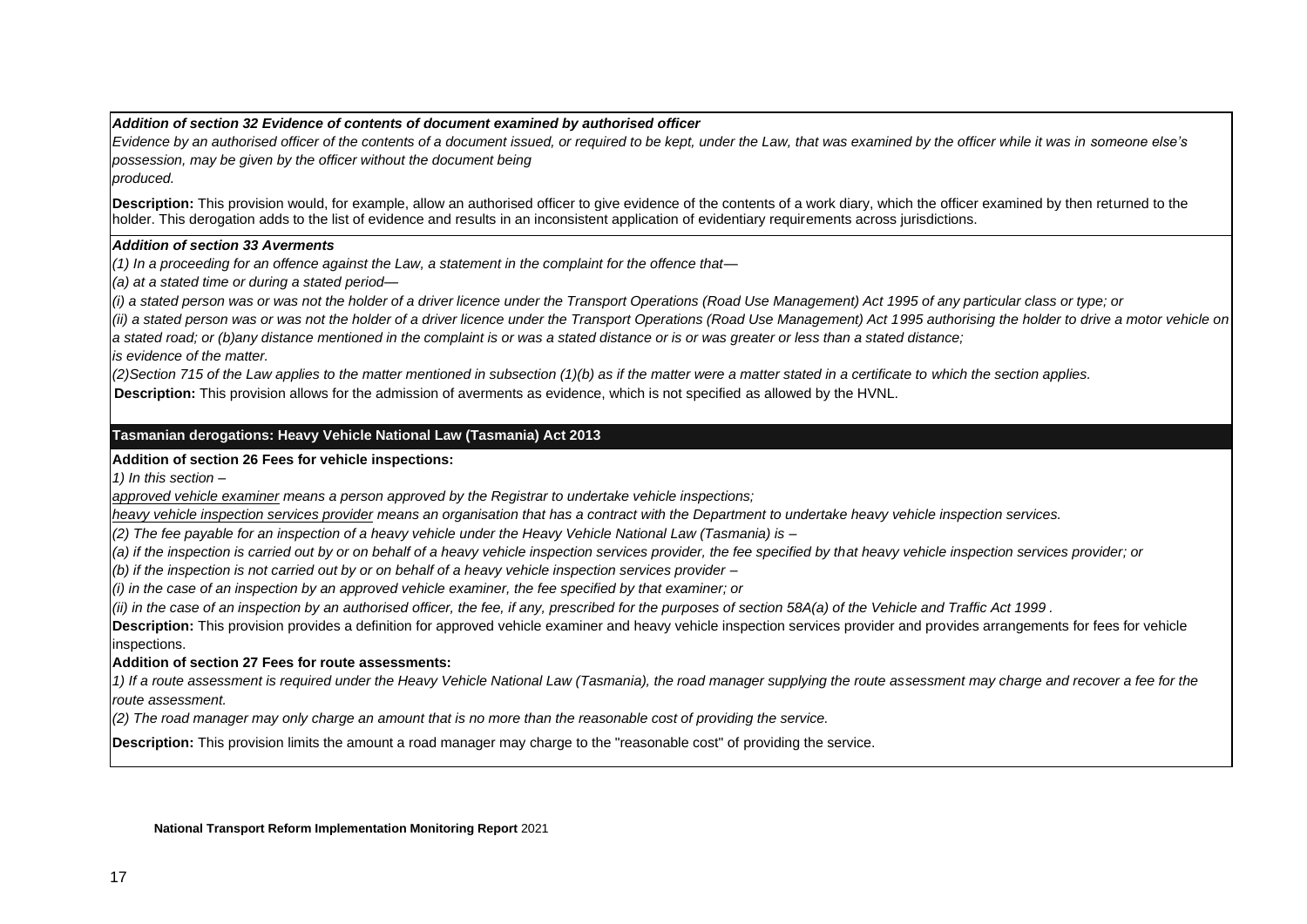#### *Addition of section 32 Evidence of contents of document examined by authorised officer*

*Evidence by an authorised officer of the contents of a document issued, or required to be kept, under the Law, that was examined by the officer while it was in someone else's possession, may be given by the officer without the document being*

*produced.*

**Description:** This provision would, for example, allow an authorised officer to give evidence of the contents of a work diary, which the officer examined by then returned to the holder. This derogation adds to the list of evidence and results in an inconsistent application of evidentiary requirements across jurisdictions.

#### *Addition of section 33 Averments*

*(1) In a proceeding for an offence against the Law, a statement in the complaint for the offence that—*

*(a) at a stated time or during a stated period—*

(i) a stated person was or was not the holder of a driver licence under the Transport Operations (Road Use Management) Act 1995 of any particular class or type; or

*(ii) a stated person was or was not the holder of a driver licence under the Transport Operations (Road Use Management) Act 1995 authorising the holder to drive a motor vehicle on*  a stated road; or (b)any distance mentioned in the complaint is or was a stated distance or is or was greater or less than a stated distance;

*is evidence of the matter.*

*(2)Section 715 of the Law applies to the matter mentioned in subsection (1)(b) as if the matter were a matter stated in a certificate to which the section applies.*

**Description:** This provision allows for the admission of averments as evidence, which is not specified as allowed by the HVNL.

#### **Tasmanian derogations: Heavy Vehicle National Law (Tasmania) Act 2013**

#### **Addition of section 26 Fees for vehicle inspections:**

*1) In this section –*

*approved vehicle examiner means a person approved by the Registrar to undertake vehicle inspections;*

*heavy vehicle inspection services provider means an organisation that has a contract with the Department to undertake heavy vehicle inspection services.* 

*(2) The fee payable for an inspection of a heavy vehicle under the Heavy Vehicle National Law (Tasmania) is –*

*(a) if the inspection is carried out by or on behalf of a heavy vehicle inspection services provider, the fee specified by that heavy vehicle inspection services provider; or*

*(b) if the inspection is not carried out by or on behalf of a heavy vehicle inspection services provider –*

*(i) in the case of an inspection by an approved vehicle examiner, the fee specified by that examiner; or*

*(ii) in the case of an inspection by an authorised officer, the fee, if any, prescribed for the purposes of section 58A(a) of the Vehicle and Traffic Act 1999 .*

**Description:** This provision provides a definition for approved vehicle examiner and heavy vehicle inspection services provider and provides arrangements for fees for vehicle inspections.

#### **Addition of section 27 Fees for route assessments:**

*1) If a route assessment is required under the Heavy Vehicle National Law (Tasmania), the road manager supplying the route assessment may charge and recover a fee for the route assessment.*

*(2) The road manager may only charge an amount that is no more than the reasonable cost of providing the service.*

**Description:** This provision limits the amount a road manager may charge to the "reasonable cost" of providing the service.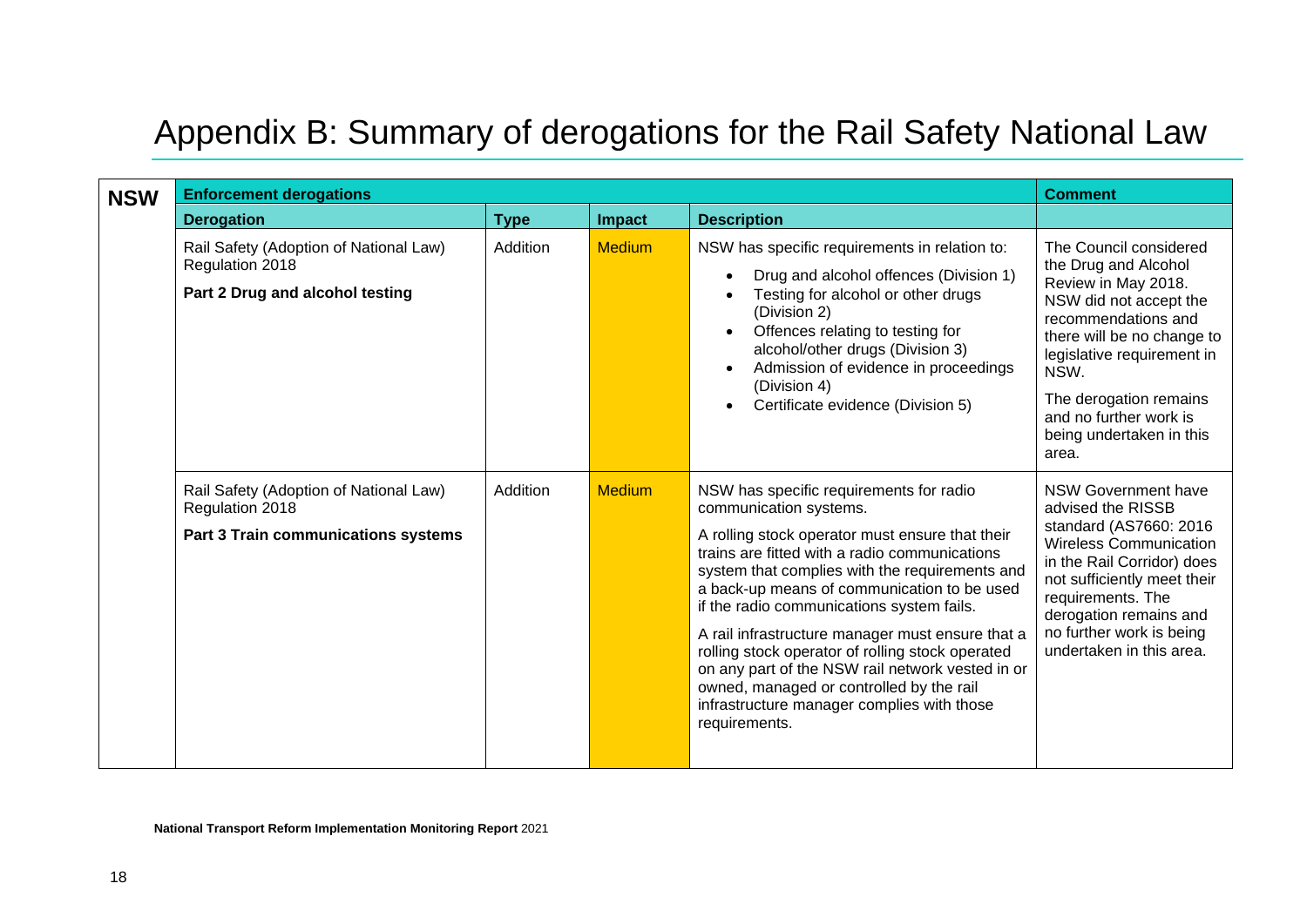# Appendix B: Summary of derogations for the Rail Safety National Law

<span id="page-44-0"></span>

| <b>NSW</b> | <b>Enforcement derogations</b>                                                                   | <b>Comment</b> |               |                                                                                                                                                                                                                                                                                                                                                                                                                                                                                                                                                                                            |                                                                                                                                                                                                                                                                                     |
|------------|--------------------------------------------------------------------------------------------------|----------------|---------------|--------------------------------------------------------------------------------------------------------------------------------------------------------------------------------------------------------------------------------------------------------------------------------------------------------------------------------------------------------------------------------------------------------------------------------------------------------------------------------------------------------------------------------------------------------------------------------------------|-------------------------------------------------------------------------------------------------------------------------------------------------------------------------------------------------------------------------------------------------------------------------------------|
|            | <b>Derogation</b>                                                                                | <b>Type</b>    | Impact        | <b>Description</b>                                                                                                                                                                                                                                                                                                                                                                                                                                                                                                                                                                         |                                                                                                                                                                                                                                                                                     |
|            | Rail Safety (Adoption of National Law)<br>Regulation 2018<br>Part 2 Drug and alcohol testing     | Addition       | <b>Medium</b> | NSW has specific requirements in relation to:<br>Drug and alcohol offences (Division 1)<br>$\bullet$<br>Testing for alcohol or other drugs<br>(Division 2)<br>Offences relating to testing for<br>$\bullet$<br>alcohol/other drugs (Division 3)<br>Admission of evidence in proceedings<br>(Division 4)<br>Certificate evidence (Division 5)                                                                                                                                                                                                                                               | The Council considered<br>the Drug and Alcohol<br>Review in May 2018.<br>NSW did not accept the<br>recommendations and<br>there will be no change to<br>legislative requirement in<br>NSW.<br>The derogation remains<br>and no further work is<br>being undertaken in this<br>area. |
|            | Rail Safety (Adoption of National Law)<br>Regulation 2018<br>Part 3 Train communications systems | Addition       | <b>Medium</b> | NSW has specific requirements for radio<br>communication systems.<br>A rolling stock operator must ensure that their<br>trains are fitted with a radio communications<br>system that complies with the requirements and<br>a back-up means of communication to be used<br>if the radio communications system fails.<br>A rail infrastructure manager must ensure that a<br>rolling stock operator of rolling stock operated<br>on any part of the NSW rail network vested in or<br>owned, managed or controlled by the rail<br>infrastructure manager complies with those<br>requirements. | <b>NSW Government have</b><br>advised the RISSB<br>standard (AS7660: 2016)<br><b>Wireless Communication</b><br>in the Rail Corridor) does<br>not sufficiently meet their<br>requirements. The<br>derogation remains and<br>no further work is being<br>undertaken in this area.     |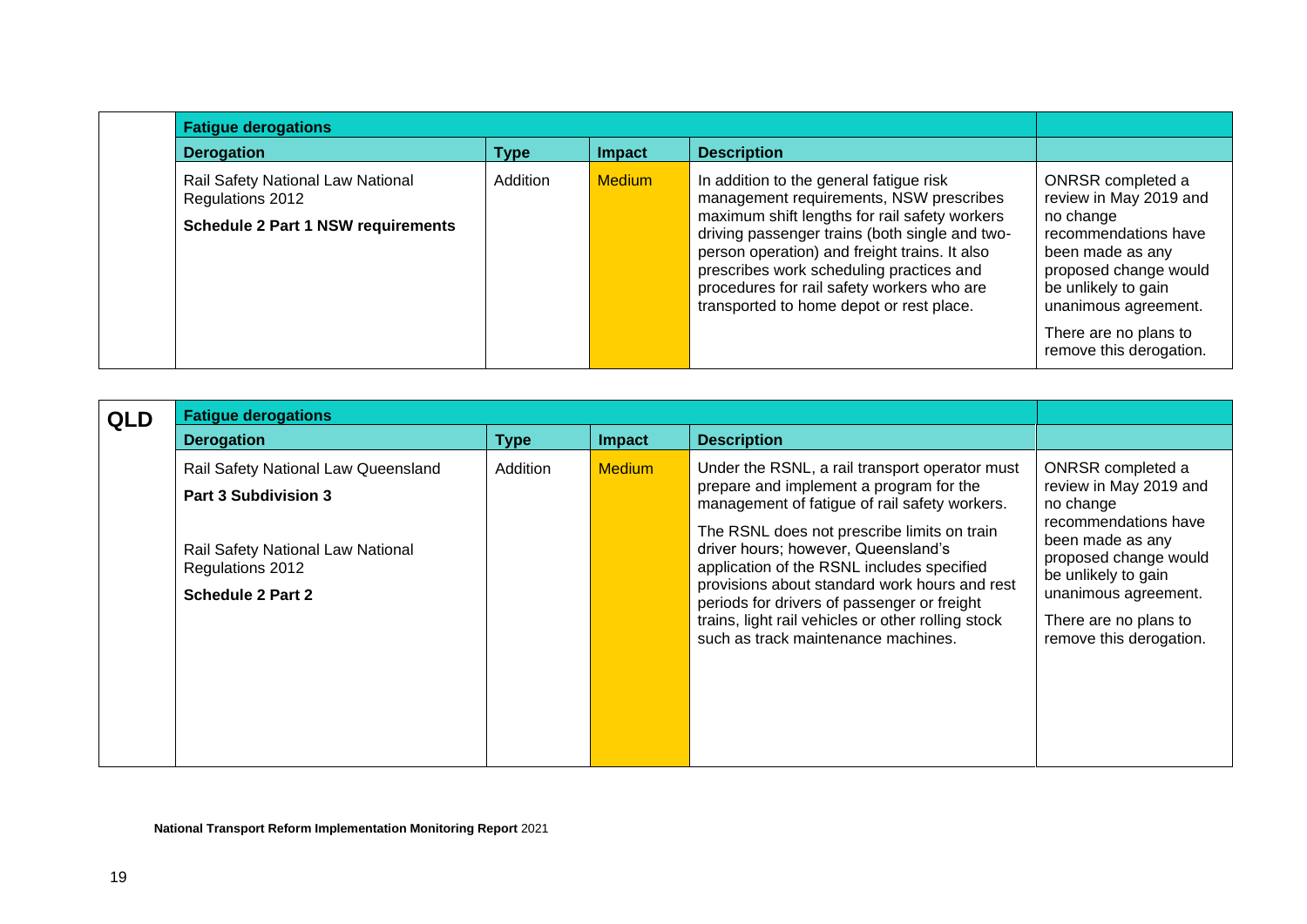| <b>Fatigue derogations</b>                            |          |               |                                                                                                                                                                                                                                                                                        |                                                                                                                               |  |  |  |
|-------------------------------------------------------|----------|---------------|----------------------------------------------------------------------------------------------------------------------------------------------------------------------------------------------------------------------------------------------------------------------------------------|-------------------------------------------------------------------------------------------------------------------------------|--|--|--|
| <b>Derogation</b>                                     | Type     | Impact        | <b>Description</b>                                                                                                                                                                                                                                                                     |                                                                                                                               |  |  |  |
| Rail Safety National Law National<br>Regulations 2012 | Addition | <b>Medium</b> | In addition to the general fatigue risk<br>management requirements, NSW prescribes                                                                                                                                                                                                     | ONRSR completed a<br>review in May 2019 and                                                                                   |  |  |  |
| <b>Schedule 2 Part 1 NSW requirements</b>             |          |               | maximum shift lengths for rail safety workers<br>driving passenger trains (both single and two-<br>person operation) and freight trains. It also<br>prescribes work scheduling practices and<br>procedures for rail safety workers who are<br>transported to home depot or rest place. | no change<br>recommendations have<br>been made as any<br>proposed change would<br>be unlikely to gain<br>unanimous agreement. |  |  |  |
|                                                       |          |               |                                                                                                                                                                                                                                                                                        | There are no plans to<br>remove this derogation.                                                                              |  |  |  |

| <b>QLD</b> | <b>Fatigue derogations</b>                                                 |             |               |                                                                                                                                                                                                                                                                                                                               |                                                                                                                                                                      |
|------------|----------------------------------------------------------------------------|-------------|---------------|-------------------------------------------------------------------------------------------------------------------------------------------------------------------------------------------------------------------------------------------------------------------------------------------------------------------------------|----------------------------------------------------------------------------------------------------------------------------------------------------------------------|
|            | <b>Derogation</b>                                                          | <b>Type</b> | Impact        | <b>Description</b>                                                                                                                                                                                                                                                                                                            |                                                                                                                                                                      |
|            | Rail Safety National Law Queensland<br><b>Part 3 Subdivision 3</b>         | Addition    | <b>Medium</b> | Under the RSNL, a rail transport operator must<br>prepare and implement a program for the<br>management of fatigue of rail safety workers.                                                                                                                                                                                    | ONRSR completed a<br>review in May 2019 and<br>no change                                                                                                             |
|            | Rail Safety National Law National<br>Regulations 2012<br>Schedule 2 Part 2 |             |               | The RSNL does not prescribe limits on train<br>driver hours; however, Queensland's<br>application of the RSNL includes specified<br>provisions about standard work hours and rest<br>periods for drivers of passenger or freight<br>trains, light rail vehicles or other rolling stock<br>such as track maintenance machines. | recommendations have<br>been made as any<br>proposed change would<br>be unlikely to gain<br>unanimous agreement.<br>There are no plans to<br>remove this derogation. |
|            |                                                                            |             |               |                                                                                                                                                                                                                                                                                                                               |                                                                                                                                                                      |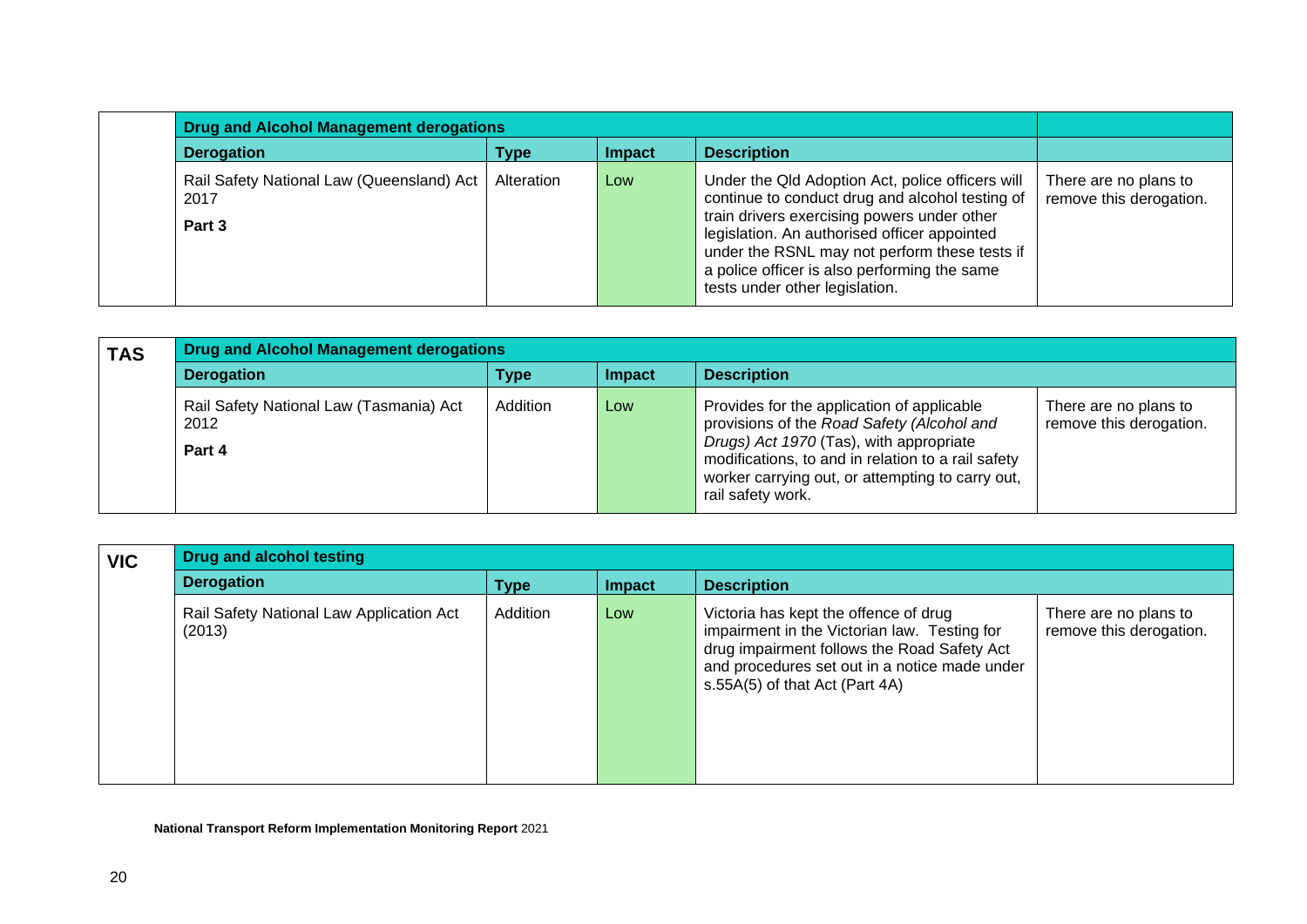|                                                               | <b>Drug and Alcohol Management derogations</b> |               |                                                                                                                                                                                                                                                                                                                                       |                                                  |  |  |
|---------------------------------------------------------------|------------------------------------------------|---------------|---------------------------------------------------------------------------------------------------------------------------------------------------------------------------------------------------------------------------------------------------------------------------------------------------------------------------------------|--------------------------------------------------|--|--|
| <b>Derogation</b>                                             | Type                                           | <b>Impact</b> | <b>Description</b>                                                                                                                                                                                                                                                                                                                    |                                                  |  |  |
| Rail Safety National Law (Queensland) Act  <br>2017<br>Part 3 | Alteration                                     | Low           | Under the Qld Adoption Act, police officers will<br>continue to conduct drug and alcohol testing of<br>train drivers exercising powers under other<br>legislation. An authorised officer appointed<br>under the RSNL may not perform these tests if<br>a police officer is also performing the same<br>tests under other legislation. | There are no plans to<br>remove this derogation. |  |  |

| <b>TAS</b> | <b>Drug and Alcohol Management derogations</b>            |          |               |                                                                                                                                                                                                                                                                    |                                                  |
|------------|-----------------------------------------------------------|----------|---------------|--------------------------------------------------------------------------------------------------------------------------------------------------------------------------------------------------------------------------------------------------------------------|--------------------------------------------------|
|            | <b>Derogation</b>                                         | Type     | <b>Impact</b> | <b>Description</b>                                                                                                                                                                                                                                                 |                                                  |
|            | Rail Safety National Law (Tasmania) Act<br>2012<br>Part 4 | Addition | Low           | Provides for the application of applicable<br>provisions of the Road Safety (Alcohol and<br>Drugs) Act 1970 (Tas), with appropriate<br>modifications, to and in relation to a rail safety<br>worker carrying out, or attempting to carry out,<br>rail safety work. | There are no plans to<br>remove this derogation. |

| <b>VIC</b> | <b>Drug and alcohol testing</b>                    |             |        |                                                                                                                                                                                                                         |                                                  |  |
|------------|----------------------------------------------------|-------------|--------|-------------------------------------------------------------------------------------------------------------------------------------------------------------------------------------------------------------------------|--------------------------------------------------|--|
|            | <b>Derogation</b>                                  | <b>Type</b> | Impact | <b>Description</b>                                                                                                                                                                                                      |                                                  |  |
|            | Rail Safety National Law Application Act<br>(2013) | Addition    | Low    | Victoria has kept the offence of drug<br>impairment in the Victorian law. Testing for<br>drug impairment follows the Road Safety Act<br>and procedures set out in a notice made under<br>s.55A(5) of that Act (Part 4A) | There are no plans to<br>remove this derogation. |  |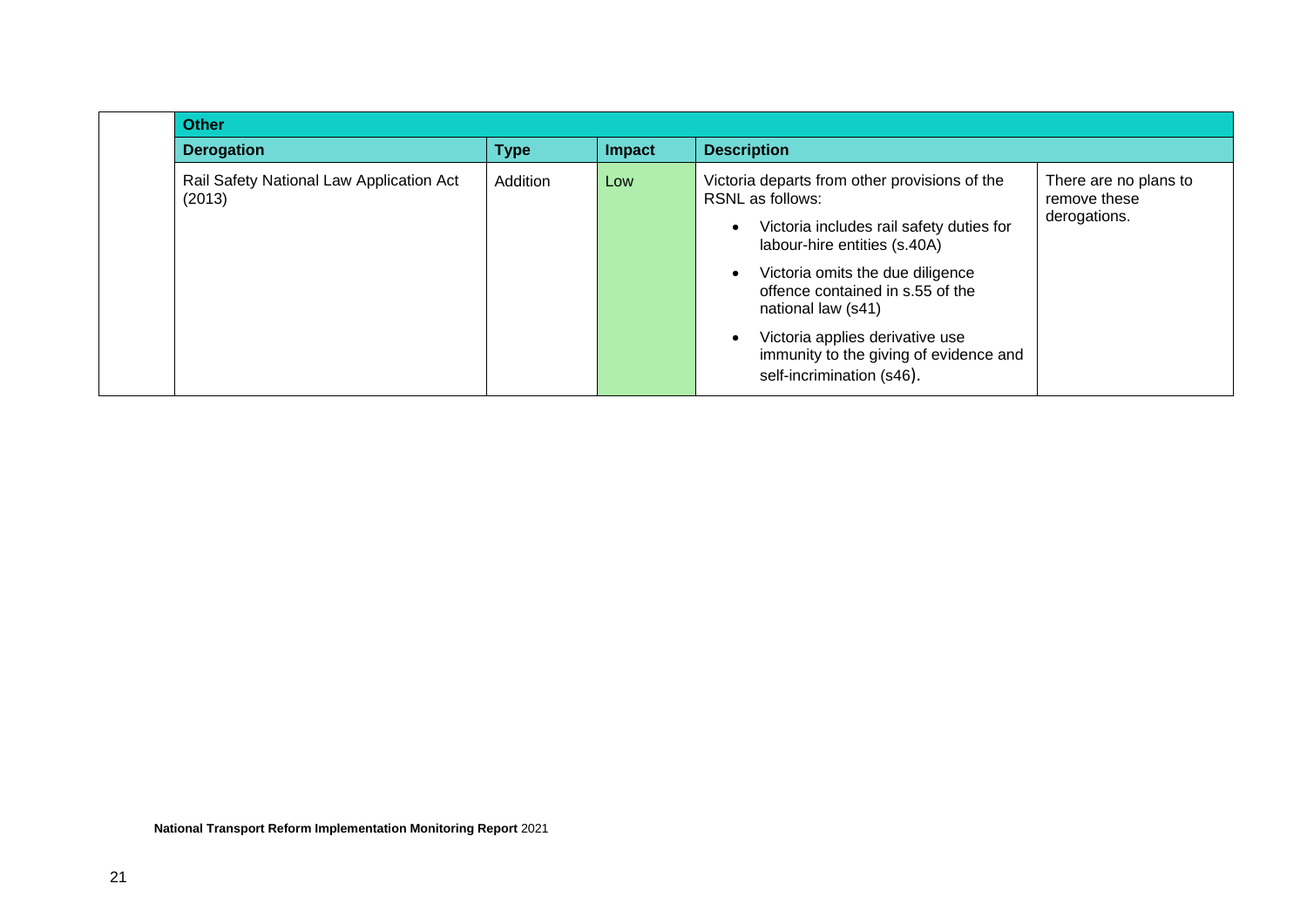| <b>Other</b>                                       |             |        |                                                                                                                                                                                                                                                                                                                                                              |                                                       |  |
|----------------------------------------------------|-------------|--------|--------------------------------------------------------------------------------------------------------------------------------------------------------------------------------------------------------------------------------------------------------------------------------------------------------------------------------------------------------------|-------------------------------------------------------|--|
| <b>Derogation</b>                                  | <b>Type</b> | Impact | <b>Description</b>                                                                                                                                                                                                                                                                                                                                           |                                                       |  |
| Rail Safety National Law Application Act<br>(2013) | Addition    | Low    | Victoria departs from other provisions of the<br><b>RSNL</b> as follows:<br>Victoria includes rail safety duties for<br>labour-hire entities (s.40A)<br>Victoria omits the due diligence<br>offence contained in s.55 of the<br>national law (s41)<br>Victoria applies derivative use<br>immunity to the giving of evidence and<br>self-incrimination (s46). | There are no plans to<br>remove these<br>derogations. |  |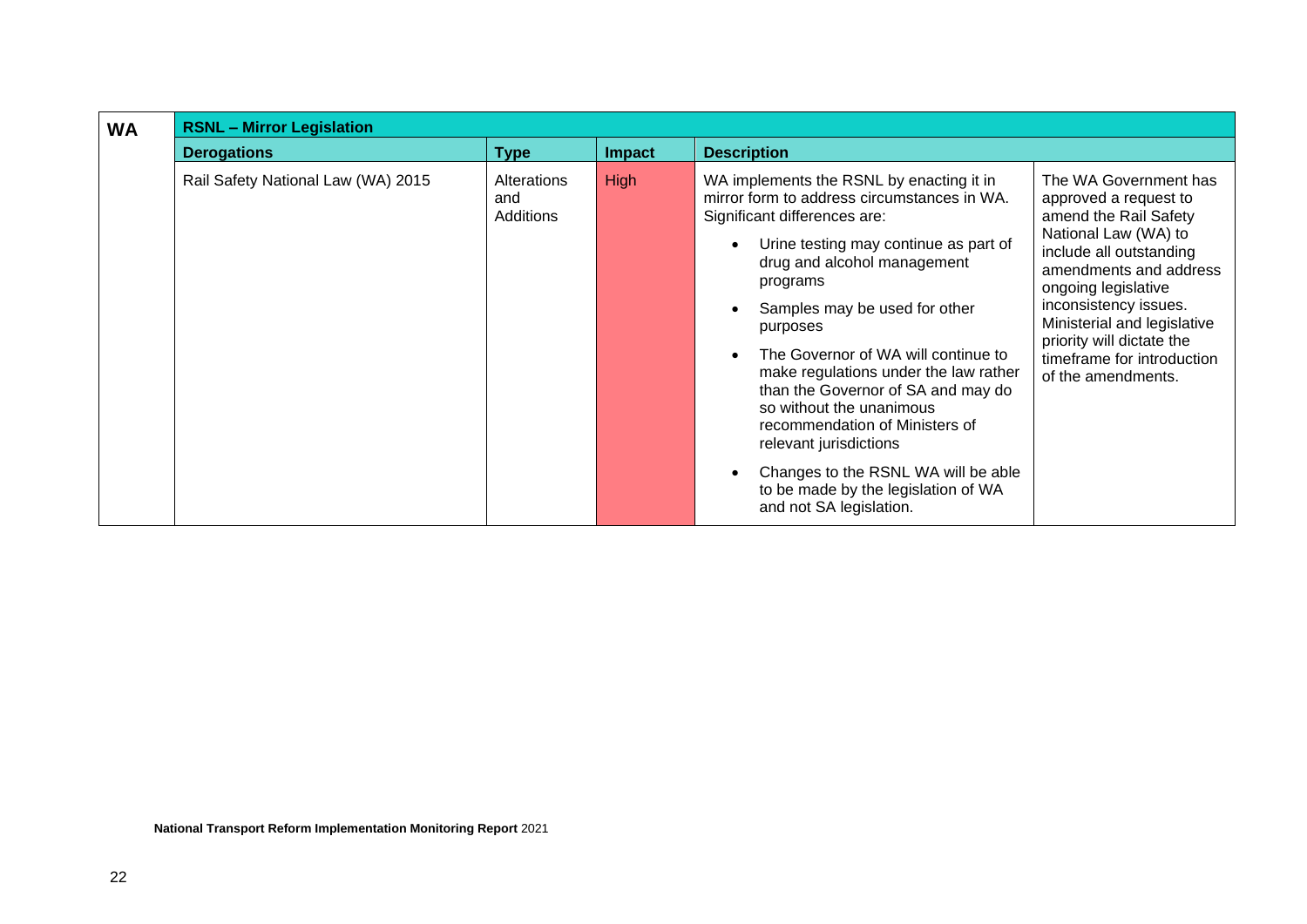| <b>WA</b> | <b>RSNL - Mirror Legislation</b>   |                                 |               |                                                                                                                                                                                                                                                                                                                                                                                                                                                                                                                                                                                 |                                                                                                                                                                                                                                                                                                                      |  |  |  |
|-----------|------------------------------------|---------------------------------|---------------|---------------------------------------------------------------------------------------------------------------------------------------------------------------------------------------------------------------------------------------------------------------------------------------------------------------------------------------------------------------------------------------------------------------------------------------------------------------------------------------------------------------------------------------------------------------------------------|----------------------------------------------------------------------------------------------------------------------------------------------------------------------------------------------------------------------------------------------------------------------------------------------------------------------|--|--|--|
|           | <b>Derogations</b>                 | <b>Type</b>                     | <b>Impact</b> | <b>Description</b>                                                                                                                                                                                                                                                                                                                                                                                                                                                                                                                                                              |                                                                                                                                                                                                                                                                                                                      |  |  |  |
|           | Rail Safety National Law (WA) 2015 | Alterations<br>and<br>Additions | <b>High</b>   | WA implements the RSNL by enacting it in<br>mirror form to address circumstances in WA.<br>Significant differences are:<br>Urine testing may continue as part of<br>drug and alcohol management<br>programs<br>Samples may be used for other<br>purposes<br>The Governor of WA will continue to<br>make regulations under the law rather<br>than the Governor of SA and may do<br>so without the unanimous<br>recommendation of Ministers of<br>relevant jurisdictions<br>Changes to the RSNL WA will be able<br>to be made by the legislation of WA<br>and not SA legislation. | The WA Government has<br>approved a request to<br>amend the Rail Safety<br>National Law (WA) to<br>include all outstanding<br>amendments and address<br>ongoing legislative<br>inconsistency issues.<br>Ministerial and legislative<br>priority will dictate the<br>timeframe for introduction<br>of the amendments. |  |  |  |